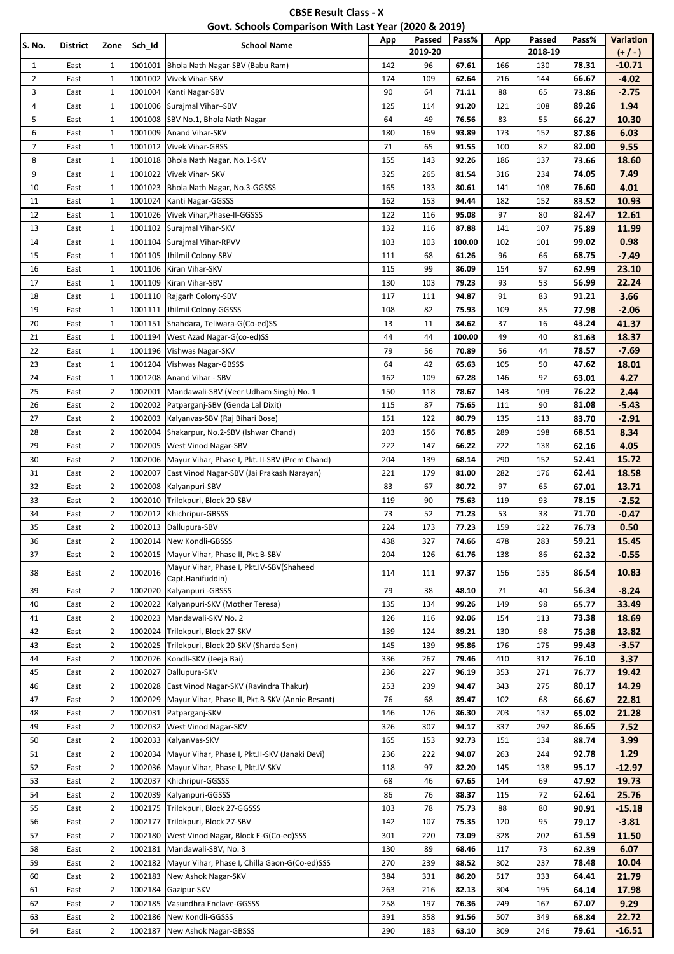| <b>CBSE Result Class - X</b>                          |  |
|-------------------------------------------------------|--|
| Govt. Schools Comparison With Last Year (2020 & 2019) |  |

| S. No.         | <b>District</b> | Zone           | Sch_Id  | <b>School Name</b>                              | App | Passed<br>2019-20 | Pass%  | App | Passed<br>2018-19 | Pass% | Variation<br>$(+/-)$ |
|----------------|-----------------|----------------|---------|-------------------------------------------------|-----|-------------------|--------|-----|-------------------|-------|----------------------|
| $\mathbf{1}$   | East            | 1              | 1001001 | Bhola Nath Nagar-SBV (Babu Ram)                 | 142 | 96                | 67.61  | 166 | 130               | 78.31 | $-10.71$             |
| $\overline{2}$ | East            | $\mathbf{1}$   | 1001002 | Vivek Vihar-SBV                                 | 174 | 109               | 62.64  | 216 | 144               | 66.67 | $-4.02$              |
| 3              | East            | 1              | 1001004 | Kanti Nagar-SBV                                 | 90  | 64                | 71.11  | 88  | 65                | 73.86 | $-2.75$              |
| 4              | East            | $\mathbf{1}$   | 1001006 | Surajmal Vihar-SBV                              | 125 | 114               | 91.20  | 121 | 108               | 89.26 | 1.94                 |
| 5              | East            | $\mathbf{1}$   | 1001008 | SBV No.1, Bhola Nath Nagar                      | 64  | 49                | 76.56  | 83  | 55                | 66.27 | 10.30                |
| 6              | East            | 1              | 1001009 | Anand Vihar-SKV                                 | 180 | 169               | 93.89  | 173 | 152               | 87.86 | 6.03                 |
| $\overline{7}$ | East            | $\mathbf{1}$   | 1001012 | <b>Vivek Vihar-GBSS</b>                         | 71  | 65                | 91.55  | 100 | 82                | 82.00 | 9.55                 |
| 8              | East            | 1              | 1001018 | Bhola Nath Nagar, No.1-SKV                      | 155 | 143               | 92.26  | 186 | 137               | 73.66 | 18.60                |
| 9              | East            | $\mathbf{1}$   | 1001022 | Vivek Vihar- SKV                                | 325 | 265               | 81.54  | 316 | 234               | 74.05 | 7.49                 |
| 10             | East            | $\mathbf{1}$   | 1001023 | Bhola Nath Nagar, No.3-GGSSS                    | 165 | 133               | 80.61  | 141 | 108               | 76.60 | 4.01                 |
| 11             | East            | 1              | 1001024 | Kanti Nagar-GGSSS                               | 162 | 153               | 94.44  | 182 | 152               | 83.52 | 10.93                |
| 12             | East            | $\mathbf{1}$   | 1001026 | Vivek Vihar, Phase-II-GGSSS                     | 122 | 116               | 95.08  | 97  | 80                | 82.47 | 12.61                |
| 13             | East            | 1              | 1001102 | Surajmal Vihar-SKV                              | 132 | 116               | 87.88  | 141 | 107               | 75.89 | 11.99                |
| 14             | East            | $\mathbf{1}$   | 1001104 | Surajmal Vihar-RPVV                             | 103 | 103               | 100.00 | 102 | 101               | 99.02 | 0.98                 |
| 15             | East            | 1              | 1001105 | Jhilmil Colony-SBV                              | 111 | 68                | 61.26  | 96  | 66                | 68.75 | $-7.49$              |
| 16             | East            | $\mathbf{1}$   | 1001106 | Kiran Vihar-SKV                                 | 115 | 99                | 86.09  | 154 | 97                | 62.99 | 23.10                |
| 17             | East            | 1              | 1001109 | Kiran Vihar-SBV                                 | 130 | 103               | 79.23  | 93  | 53                | 56.99 | 22.24                |
| 18             | East            | $\mathbf{1}$   | 1001110 | Rajgarh Colony-SBV                              | 117 | 111               | 94.87  | 91  | 83                | 91.21 | 3.66                 |
| 19             | East            | $\mathbf{1}$   | 1001111 | Jhilmil Colony-GGSSS                            | 108 | 82                | 75.93  | 109 | 85                | 77.98 | $-2.06$              |
| 20             | East            | 1              | 1001151 | Shahdara, Teliwara-G(Co-ed)SS                   | 13  | 11                | 84.62  | 37  | 16                | 43.24 | 41.37                |
| 21             | East            | $\mathbf{1}$   | 1001194 | West Azad Nagar-G(co-ed)SS                      | 44  | 44                | 100.00 | 49  | 40                | 81.63 | 18.37                |
| 22             | East            | $\mathbf{1}$   | 1001196 | Vishwas Nagar-SKV                               | 79  | 56                | 70.89  | 56  | 44                | 78.57 | $-7.69$              |
| 23             | East            | $\mathbf{1}$   | 1001204 | Vishwas Nagar-GBSSS                             | 64  | 42                | 65.63  | 105 | 50                | 47.62 | 18.01                |
| 24             | East            | $\mathbf{1}$   | 1001208 | Anand Vihar - SBV                               | 162 | 109               | 67.28  | 146 | 92                | 63.01 | 4.27                 |
| 25             | East            | $\overline{2}$ | 1002001 | Mandawali-SBV (Veer Udham Singh) No. 1          | 150 | 118               | 78.67  | 143 | 109               | 76.22 | 2.44                 |
| 26             | East            | $\overline{2}$ | 1002002 | Patparganj-SBV (Genda Lal Dixit)                | 115 | 87                | 75.65  | 111 | 90                | 81.08 | $-5.43$              |
| 27             | East            | $\overline{2}$ | 1002003 | Kalyanvas-SBV (Raj Bihari Bose)                 | 151 | 122               | 80.79  | 135 | 113               | 83.70 | $-2.91$              |
| 28             | East            | $\overline{2}$ | 1002004 | Shakarpur, No.2-SBV (Ishwar Chand)              | 203 | 156               | 76.85  | 289 | 198               | 68.51 | 8.34                 |
| 29             | East            | $\overline{2}$ | 1002005 | <b>West Vinod Nagar-SBV</b>                     | 222 | 147               | 66.22  | 222 | 138               | 62.16 | 4.05                 |
| 30             | East            | $\overline{2}$ | 1002006 | Mayur Vihar, Phase I, Pkt. II-SBV (Prem Chand)  | 204 | 139               | 68.14  | 290 | 152               | 52.41 | 15.72                |
| 31             | East            | $\overline{2}$ | 1002007 | East Vinod Nagar-SBV (Jai Prakash Narayan)      | 221 | 179               | 81.00  | 282 | 176               | 62.41 | 18.58                |
| 32             | East            | $\overline{2}$ | 1002008 | Kalyanpuri-SBV                                  | 83  | 67                | 80.72  | 97  | 65                | 67.01 | 13.71                |
| 33             | East            | $\overline{2}$ | 1002010 | Trilokpuri, Block 20-SBV                        | 119 | 90                | 75.63  | 119 | 93                | 78.15 | $-2.52$              |
| 34             | East            | $\overline{2}$ | 1002012 | Khichripur-GBSSS                                | 73  | 52                | 71.23  | 53  | 38                | 71.70 | $-0.47$              |
| 35             | East            | $\overline{2}$ | 1002013 | Dallupura-SBV                                   | 224 | 173               | 77.23  | 159 | 122               | 76.73 | 0.50                 |
| 36             | East            | 2              |         | 1002014 New Kondli-GBSSS                        | 438 | 327               | 74.66  | 478 | 283               | 59.21 | 15.45                |
| 37             | East            | $\overline{2}$ | 1002015 | Mayur Vihar, Phase II, Pkt.B-SBV                | 204 | 126               | 61.76  | 138 | 86                | 62.32 | $-0.55$              |
|                |                 |                |         | Mayur Vihar, Phase I, Pkt.IV-SBV(Shaheed        |     |                   |        |     |                   |       |                      |
| 38             | East            | $\overline{2}$ | 1002016 | Capt.Hanifuddin)                                | 114 | 111               | 97.37  | 156 | 135               | 86.54 | 10.83                |
| 39             | East            | $\overline{2}$ | 1002020 | Kalyanpuri - GBSSS                              | 79  | 38                | 48.10  | 71  | 40                | 56.34 | $-8.24$              |
| 40             | East            | $\overline{2}$ | 1002022 | Kalyanpuri-SKV (Mother Teresa)                  | 135 | 134               | 99.26  | 149 | 98                | 65.77 | 33.49                |
| 41             | East            | $\overline{2}$ | 1002023 | Mandawali-SKV No. 2                             | 126 | 116               | 92.06  | 154 | 113               | 73.38 | 18.69                |
| 42             | East            | $\overline{2}$ | 1002024 | Trilokpuri, Block 27-SKV                        | 139 | 124               | 89.21  | 130 | 98                | 75.38 | 13.82                |
| 43             | East            | $\overline{2}$ | 1002025 | Trilokpuri, Block 20-SKV (Sharda Sen)           | 145 | 139               | 95.86  | 176 | 175               | 99.43 | $-3.57$              |
| 44             | East            | $\overline{2}$ | 1002026 | Kondli-SKV (Jeeja Bai)                          | 336 | 267               | 79.46  | 410 | 312               | 76.10 | 3.37                 |
| 45             | East            | $\overline{2}$ | 1002027 | Dallupura-SKV                                   | 236 | 227               | 96.19  | 353 | 271               | 76.77 | 19.42                |
| 46             | East            | $\overline{2}$ | 1002028 | East Vinod Nagar-SKV (Ravindra Thakur)          | 253 | 239               | 94.47  | 343 | 275               | 80.17 | 14.29                |
| 47             | East            | $\overline{2}$ | 1002029 | Mayur Vihar, Phase II, Pkt.B-SKV (Annie Besant) | 76  | 68                | 89.47  | 102 | 68                | 66.67 | 22.81                |
| 48             | East            | $\overline{2}$ | 1002031 | Patparganj-SKV                                  | 146 | 126               | 86.30  | 203 | 132               | 65.02 | 21.28                |
| 49             | East            | $\overline{2}$ | 1002032 | West Vinod Nagar-SKV                            | 326 | 307               | 94.17  | 337 | 292               | 86.65 | 7.52                 |
| 50             | East            | $\overline{2}$ | 1002033 | KalyanVas-SKV                                   | 165 | 153               | 92.73  | 151 | 134               | 88.74 | 3.99                 |
| 51             | East            | $\overline{2}$ | 1002034 | Mayur Vihar, Phase I, Pkt.II-SKV (Janaki Devi)  | 236 | 222               | 94.07  | 263 | 244               | 92.78 | 1.29                 |
| 52             | East            | $\overline{2}$ | 1002036 | Mayur Vihar, Phase I, Pkt.IV-SKV                | 118 | 97                | 82.20  | 145 | 138               | 95.17 | $-12.97$             |
| 53             | East            | $\overline{2}$ | 1002037 | Khichripur-GGSSS                                | 68  | 46                | 67.65  | 144 | 69                | 47.92 | 19.73                |
| 54             | East            | $\overline{2}$ | 1002039 | Kalyanpuri-GGSSS                                | 86  | 76                | 88.37  | 115 | 72                | 62.61 | 25.76                |
| 55             | East            | $\overline{2}$ | 1002175 | Trilokpuri, Block 27-GGSSS                      | 103 | 78                | 75.73  | 88  | 80                | 90.91 | $-15.18$             |
| 56             | East            | $\overline{2}$ | 1002177 | Trilokpuri, Block 27-SBV                        | 142 | 107               | 75.35  | 120 | 95                | 79.17 | $-3.81$              |
| 57             | East            | $\overline{2}$ | 1002180 | West Vinod Nagar, Block E-G(Co-ed)SSS           | 301 | 220               | 73.09  | 328 | 202               | 61.59 | 11.50                |
| 58             | East            | $\overline{2}$ | 1002181 | Mandawali-SBV, No. 3                            | 130 | 89                | 68.46  | 117 | 73                | 62.39 | 6.07                 |
| 59             | East            | $\overline{2}$ | 1002182 | Mayur Vihar, Phase I, Chilla Gaon-G(Co-ed)SSS   | 270 | 239               | 88.52  | 302 | 237               | 78.48 | 10.04                |
| 60             | East            | $\overline{2}$ | 1002183 | New Ashok Nagar-SKV                             | 384 | 331               | 86.20  | 517 | 333               | 64.41 | 21.79                |
| 61             | East            | $\overline{2}$ | 1002184 | Gazipur-SKV                                     | 263 | 216               | 82.13  | 304 | 195               | 64.14 | 17.98                |
| 62             | East            | $\overline{2}$ | 1002185 | Vasundhra Enclave-GGSSS                         | 258 | 197               | 76.36  | 249 | 167               | 67.07 | 9.29                 |
| 63             | East            | $\overline{2}$ | 1002186 | New Kondli-GGSSS                                | 391 | 358               | 91.56  | 507 | 349               | 68.84 | 22.72                |
| 64             | East            | $\overline{2}$ | 1002187 | New Ashok Nagar-GBSSS                           | 290 | 183               | 63.10  | 309 | 246               | 79.61 | $-16.51$             |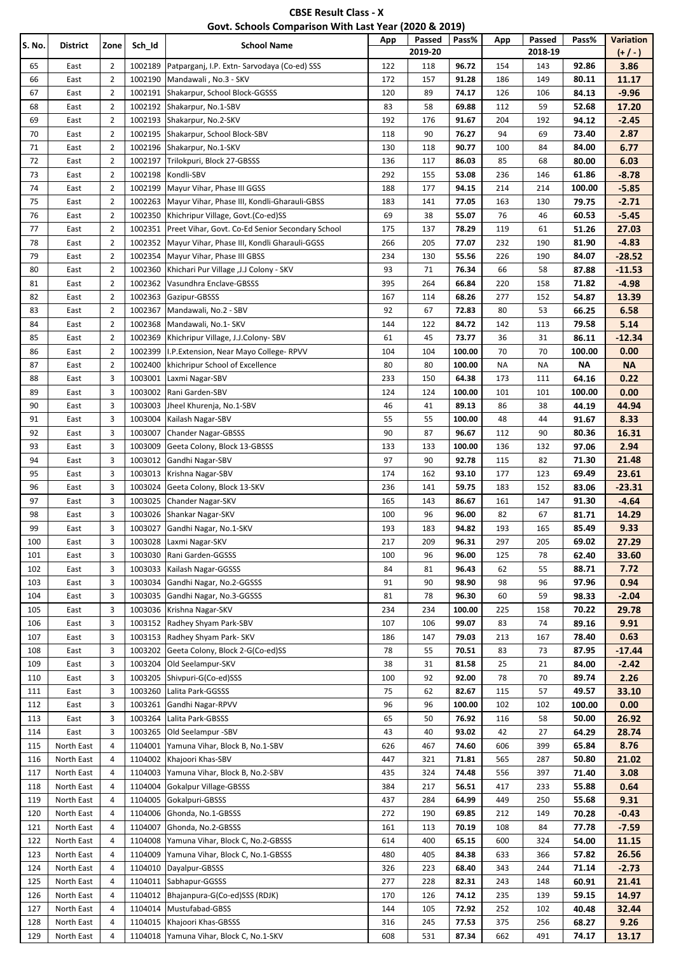| <b>CBSE Result Class - X</b>                          |
|-------------------------------------------------------|
| Govt. Schools Comparison With Last Year (2020 & 2019) |

| S. No. | District   | Zone           | Sch_Id  | <b>School Name</b>                               | App | Passed<br>2019-20 | Pass%  | App       | Passed<br>2018-19 | Pass%  | Variation<br>$(+/-)$ |
|--------|------------|----------------|---------|--------------------------------------------------|-----|-------------------|--------|-----------|-------------------|--------|----------------------|
| 65     | East       | 2              | 1002189 | Patparganj, I.P. Extn- Sarvodaya (Co-ed) SSS     | 122 | 118               | 96.72  | 154       | 143               | 92.86  | 3.86                 |
| 66     | East       | 2              | 1002190 | Mandawali, No.3 - SKV                            | 172 | 157               | 91.28  | 186       | 149               | 80.11  | 11.17                |
| 67     | East       | $\overline{2}$ | 1002191 | Shakarpur, School Block-GGSSS                    | 120 | 89                | 74.17  | 126       | 106               | 84.13  | $-9.96$              |
| 68     | East       | 2              | 1002192 | Shakarpur, No.1-SBV                              | 83  | 58                | 69.88  | 112       | 59                | 52.68  | 17.20                |
| 69     | East       | $\overline{2}$ | 1002193 | Shakarpur, No.2-SKV                              | 192 | 176               | 91.67  | 204       | 192               | 94.12  | $-2.45$              |
| 70     | East       | 2              | 1002195 | Shakarpur, School Block-SBV                      | 118 | 90                | 76.27  | 94        | 69                | 73.40  | 2.87                 |
| 71     | East       | 2              | 1002196 | Shakarpur, No.1-SKV                              | 130 | 118               | 90.77  | 100       | 84                | 84.00  | 6.77                 |
| 72     | East       | 2              | 1002197 | Trilokpuri, Block 27-GBSSS                       | 136 | 117               | 86.03  | 85        | 68                | 80.00  | 6.03                 |
| 73     | East       | 2              | 1002198 | Kondli-SBV                                       | 292 | 155               | 53.08  | 236       | 146               | 61.86  | $-8.78$              |
| 74     | East       | 2              | 1002199 | Mayur Vihar, Phase III GGSS                      | 188 | 177               | 94.15  | 214       | 214               | 100.00 | $-5.85$              |
| 75     | East       | 2              | 1002263 | Mayur Vihar, Phase III, Kondli-Gharauli-GBSS     | 183 | 141               | 77.05  | 163       | 130               | 79.75  | $-2.71$              |
| 76     | East       | 2              | 1002350 | Khichripur Village, Govt.(Co-ed)SS               | 69  | 38                | 55.07  | 76        | 46                | 60.53  | $-5.45$              |
| 77     | East       | 2              | 1002351 | Preet Vihar, Govt. Co-Ed Senior Secondary School | 175 | 137               | 78.29  | 119       | 61                | 51.26  | 27.03                |
| 78     | East       | 2              | 1002352 | Mayur Vihar, Phase III, Kondli Gharauli-GGSS     | 266 | 205               | 77.07  | 232       | 190               | 81.90  | $-4.83$              |
| 79     | East       | 2              | 1002354 | Mayur Vihar, Phase III GBSS                      | 234 | 130               | 55.56  | 226       | 190               | 84.07  | $-28.52$             |
| 80     | East       | 2              | 1002360 | Khichari Pur Village , J.J Colony - SKV          | 93  | 71                | 76.34  | 66        | 58                | 87.88  | $-11.53$             |
| 81     | East       | 2              | 1002362 | Vasundhra Enclave-GBSSS                          | 395 | 264               | 66.84  | 220       | 158               | 71.82  | $-4.98$              |
| 82     | East       | 2              | 1002363 | Gazipur-GBSSS                                    | 167 | 114               | 68.26  | 277       | 152               | 54.87  | 13.39                |
| 83     | East       | 2              | 1002367 | Mandawali, No.2 - SBV                            | 92  | 67                | 72.83  | 80        | 53                | 66.25  | 6.58                 |
| 84     | East       | 2              | 1002368 | Mandawali, No.1- SKV                             | 144 | 122               | 84.72  | 142       | 113               | 79.58  | 5.14                 |
| 85     | East       | 2              | 1002369 | Khichripur Village, J.J.Colony-SBV               | 61  | 45                | 73.77  | 36        | 31                | 86.11  | $-12.34$             |
| 86     | East       | 2              | 1002399 | I.P. Extension, Near Mayo College-RPVV           | 104 | 104               | 100.00 | 70        | 70                | 100.00 | 0.00                 |
| 87     | East       | 2              | 1002400 | khichripur School of Excellence                  | 80  | 80                | 100.00 | <b>NA</b> | <b>NA</b>         | ΝA     | <b>NA</b>            |
| 88     | East       | 3              | 1003001 | Laxmi Nagar-SBV                                  | 233 | 150               | 64.38  | 173       | 111               | 64.16  | 0.22                 |
| 89     | East       | 3              | 1003002 | Rani Garden-SBV                                  | 124 | 124               | 100.00 | 101       | 101               | 100.00 | 0.00                 |
| 90     | East       | 3              | 1003003 | Jheel Khurenja, No.1-SBV                         | 46  | 41                | 89.13  | 86        | 38                | 44.19  | 44.94                |
| 91     | East       | 3              | 1003004 | Kailash Nagar-SBV                                | 55  | 55                | 100.00 | 48        | 44                | 91.67  | 8.33                 |
| 92     | East       | 3              | 1003007 | <b>Chander Nagar-GBSSS</b>                       | 90  | 87                | 96.67  | 112       | 90                | 80.36  | 16.31                |
| 93     | East       | 3              | 1003009 | Geeta Colony, Block 13-GBSSS                     | 133 | 133               | 100.00 | 136       | 132               | 97.06  | 2.94                 |
| 94     | East       | 3              | 1003012 | Gandhi Nagar-SBV                                 | 97  | 90                | 92.78  | 115       | 82                | 71.30  | 21.48                |
| 95     | East       | 3              | 1003013 | Krishna Nagar-SBV                                | 174 | 162               | 93.10  | 177       | 123               | 69.49  | 23.61                |
| 96     | East       | 3              | 1003024 | Geeta Colony, Block 13-SKV                       | 236 | 141               | 59.75  | 183       | 152               | 83.06  | -23.31               |
| 97     | East       | 3              | 1003025 | Chander Nagar-SKV                                | 165 | 143               | 86.67  | 161       | 147               | 91.30  | $-4.64$              |
| 98     | East       | 3              | 1003026 | Shankar Nagar-SKV                                | 100 | 96                | 96.00  | 82        | 67                | 81.71  | 14.29                |
| 99     | East       | 3              | 1003027 | Gandhi Nagar, No.1-SKV                           | 193 | 183               | 94.82  | 193       | 165               | 85.49  | 9.33                 |
| 100    | East       | 3              | 1003028 | Laxmi Nagar-SKV                                  | 217 | 209               | 96.31  | 297       | 205               | 69.02  | 27.29                |
| 101    | East       | 3              | 1003030 | Rani Garden-GGSSS                                | 100 | 96                | 96.00  | 125       | 78                | 62.40  | 33.60                |
| 102    | East       | 3              | 1003033 | Kailash Nagar-GGSSS                              | 84  | 81                | 96.43  | 62        | 55                | 88.71  | 7.72                 |
| 103    | East       | 3              | 1003034 | Gandhi Nagar, No.2-GGSSS                         | 91  | 90                | 98.90  | 98        | 96                | 97.96  | 0.94                 |
| 104    | East       | 3              | 1003035 | Gandhi Nagar, No.3-GGSSS                         | 81  | 78                | 96.30  | 60        | 59                | 98.33  | -2.04                |
| 105    | East       | 3              | 1003036 | Krishna Nagar-SKV                                | 234 | 234               | 100.00 | 225       | 158               | 70.22  | 29.78                |
| 106    | East       | 3              | 1003152 | Radhey Shyam Park-SBV                            | 107 | 106               | 99.07  | 83        | 74                | 89.16  | 9.91                 |
| 107    | East       | 3              | 1003153 | Radhey Shyam Park- SKV                           | 186 | 147               | 79.03  | 213       | 167               | 78.40  | 0.63                 |
| 108    | East       | 3              | 1003202 | Geeta Colony, Block 2-G(Co-ed)SS                 | 78  | 55                | 70.51  | 83        | 73                | 87.95  | -17.44               |
| 109    | East       | 3              | 1003204 | Old Seelampur-SKV                                | 38  | 31                | 81.58  | 25        | 21                | 84.00  | -2.42                |
| 110    | East       | 3              | 1003205 | Shivpuri-G(Co-ed)SSS                             | 100 | 92                | 92.00  | 78        | 70                | 89.74  | 2.26                 |
| 111    | East       | 3              | 1003260 | Lalita Park-GGSSS                                | 75  | 62                | 82.67  | 115       | 57                | 49.57  | 33.10                |
| 112    | East       | 3              | 1003261 | Gandhi Nagar-RPVV                                | 96  | 96                | 100.00 | 102       | 102               | 100.00 | 0.00                 |
| 113    | East       | 3              | 1003264 | Lalita Park-GBSSS                                | 65  | 50                | 76.92  | 116       | 58                | 50.00  | 26.92                |
| 114    | East       | 3              | 1003265 | Old Seelampur -SBV                               | 43  | 40                | 93.02  | 42        | 27                | 64.29  | 28.74                |
| 115    | North East | 4              | 1104001 | Yamuna Vihar, Block B, No.1-SBV                  | 626 | 467               | 74.60  | 606       | 399               | 65.84  | 8.76                 |
| 116    | North East | 4              | 1104002 | Khajoori Khas-SBV                                | 447 | 321               | 71.81  | 565       | 287               | 50.80  | 21.02                |
| 117    | North East | 4              | 1104003 | Yamuna Vihar, Block B, No.2-SBV                  | 435 | 324               | 74.48  | 556       | 397               | 71.40  | 3.08                 |
| 118    | North East | 4              | 1104004 | Gokalpur Village-GBSSS                           | 384 | 217               | 56.51  | 417       | 233               | 55.88  | 0.64                 |
| 119    | North East | 4              | 1104005 | Gokalpuri-GBSSS                                  | 437 | 284               | 64.99  | 449       | 250               | 55.68  | 9.31                 |
| 120    | North East | 4              | 1104006 | Ghonda, No.1-GBSSS                               | 272 | 190               | 69.85  | 212       | 149               | 70.28  | -0.43                |
| 121    | North East | 4              | 1104007 | Ghonda, No.2-GBSSS                               | 161 | 113               | 70.19  | 108       | 84                |        |                      |
|        |            |                |         |                                                  |     |                   |        |           |                   | 77.78  | $-7.59$              |
| 122    | North East | 4              | 1104008 | Yamuna Vihar, Block C, No.2-GBSSS                | 614 | 400               | 65.15  | 600       | 324               | 54.00  | 11.15                |
| 123    | North East | 4              | 1104009 | Yamuna Vihar, Block C, No.1-GBSSS                | 480 | 405               | 84.38  | 633       | 366               | 57.82  | 26.56                |
| 124    | North East | 4              | 1104010 | Dayalpur-GBSSS                                   | 326 | 223               | 68.40  | 343       | 244               | 71.14  | $-2.73$              |
| 125    | North East | 4              | 1104011 | Sabhapur-GGSSS                                   | 277 | 228               | 82.31  | 243       | 148               | 60.91  | 21.41                |
| 126    | North East | 4              | 1104012 | Bhajanpura-G(Co-ed)SSS (RDJK)                    | 170 | 126               | 74.12  | 235       | 139               | 59.15  | 14.97                |
| 127    | North East | 4              | 1104014 | Mustufabad-GBSS                                  | 144 | 105               | 72.92  | 252       | 102               | 40.48  | 32.44                |
| 128    | North East | 4              | 1104015 | Khajoori Khas-GBSSS                              | 316 | 245               | 77.53  | 375       | 256               | 68.27  | 9.26                 |
| 129    | North East | 4              | 1104018 | Yamuna Vihar, Block C, No.1-SKV                  | 608 | 531               | 87.34  | 662       | 491               | 74.17  | 13.17                |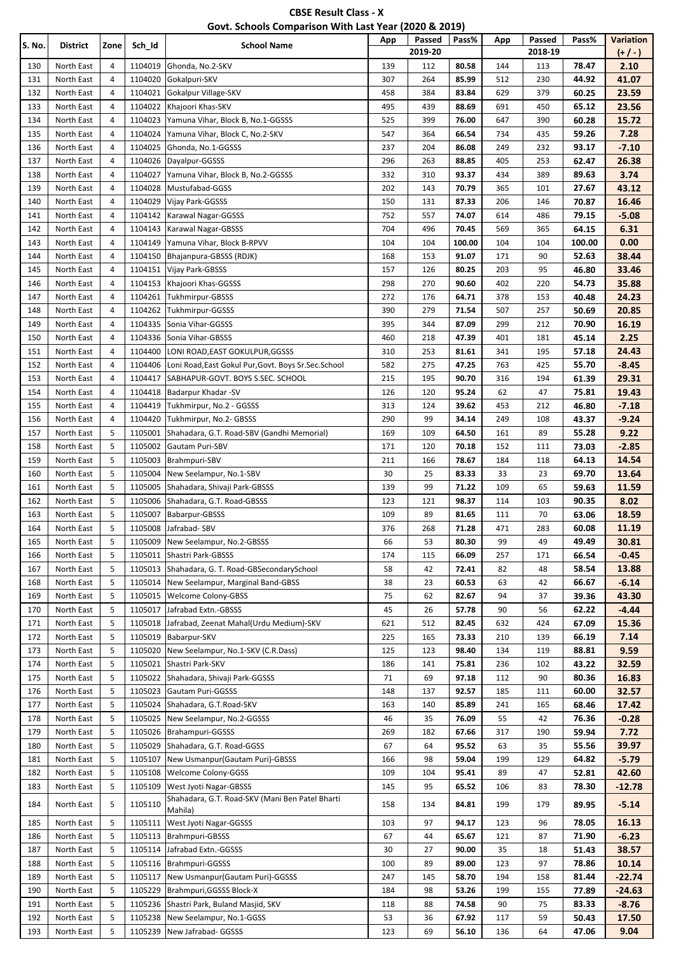| <b>CBSE Result Class - X</b>                          |
|-------------------------------------------------------|
| Govt. Schools Comparison With Last Year (2020 & 2019) |

| S. No.     | District                 | Zone   | Sch_Id             | <b>School Name</b>                                           | App        | Passed<br>2019-20 | Pass%           | App        | Passed<br>2018-19 | Pass%           | Variation<br>$(+/-)$ |
|------------|--------------------------|--------|--------------------|--------------------------------------------------------------|------------|-------------------|-----------------|------------|-------------------|-----------------|----------------------|
| 130        | North East               | 4      | 1104019            | Ghonda, No.2-SKV                                             | 139        | 112               | 80.58           | 144        | 113               | 78.47           | 2.10                 |
| 131        | North East               | 4      | 1104020            | Gokalpuri-SKV                                                | 307        | 264               | 85.99           | 512        | 230               | 44.92           | 41.07                |
| 132        | North East               | 4      | 1104021            | Gokalpur Village-SKV                                         | 458        | 384               | 83.84           | 629        | 379               | 60.25           | 23.59                |
| 133        | North East               | 4      | 1104022            | Khajoori Khas-SKV                                            | 495        | 439               | 88.69           | 691        | 450               | 65.12           | 23.56                |
| 134        | North East               | 4      | 1104023            | Yamuna Vihar, Block B, No.1-GGSSS                            | 525        | 399               | 76.00           | 647        | 390               | 60.28           | 15.72                |
| 135        | North East               | 4      | 1104024            | Yamuna Vihar, Block C, No.2-SKV                              | 547        | 364               | 66.54           | 734        | 435               | 59.26           | 7.28                 |
| 136        | North East               | 4      | 1104025            | Ghonda, No.1-GGSSS                                           | 237        | 204               | 86.08           | 249        | 232               | 93.17           | $-7.10$              |
| 137        | North East               | 4      | 1104026            | Dayalpur-GGSSS                                               | 296        | 263               | 88.85           | 405        | 253               | 62.47           | 26.38                |
| 138        | North East               | 4      | 1104027            | Yamuna Vihar, Block B, No.2-GGSSS                            | 332        | 310               | 93.37           | 434        | 389               | 89.63           | 3.74                 |
| 139        | North East               | 4      | 1104028            | Mustufabad-GGSS                                              | 202        | 143               | 70.79           | 365        | 101               | 27.67           | 43.12                |
| 140        | North East               | 4      | 1104029            | Vijay Park-GGSSS                                             | 150        | 131               | 87.33           | 206        | 146               | 70.87           | 16.46                |
| 141        | North East               | 4      | 1104142            | Karawal Nagar-GGSSS                                          | 752        | 557               | 74.07           | 614        | 486               | 79.15           | $-5.08$              |
| 142<br>143 | North East<br>North East | 4<br>4 | 1104143<br>1104149 | Karawal Nagar-GBSSS<br>Yamuna Vihar, Block B-RPVV            | 704<br>104 | 496<br>104        | 70.45<br>100.00 | 569<br>104 | 365<br>104        | 64.15           | 6.31<br>0.00         |
| 144        | North East               | 4      | 1104150            | Bhajanpura-GBSSS (RDJK)                                      | 168        | 153               | 91.07           | 171        | 90                | 100.00<br>52.63 | 38.44                |
| 145        | North East               | 4      | 1104151            | Vijay Park-GBSSS                                             | 157        | 126               | 80.25           | 203        | 95                | 46.80           | 33.46                |
| 146        | North East               | 4      | 1104153            | Khajoori Khas-GGSSS                                          | 298        | 270               | 90.60           | 402        | 220               | 54.73           | 35.88                |
| 147        | North East               | 4      | 1104261            | <b>Tukhmirpur-GBSSS</b>                                      | 272        | 176               | 64.71           | 378        | 153               | 40.48           | 24.23                |
| 148        | North East               | 4      | 1104262            | Tukhmirpur-GGSSS                                             | 390        | 279               | 71.54           | 507        | 257               | 50.69           | 20.85                |
| 149        | North East               | 4      | 1104335            | Sonia Vihar-GGSSS                                            | 395        | 344               | 87.09           | 299        | 212               | 70.90           | 16.19                |
| 150        | North East               | 4      | 1104336            | Sonia Vihar-GBSSS                                            | 460        | 218               | 47.39           | 401        | 181               | 45.14           | 2.25                 |
| 151        | North East               | 4      | 1104400            | LONI ROAD, EAST GOKULPUR, GGSSS                              | 310        | 253               | 81.61           | 341        | 195               | 57.18           | 24.43                |
| 152        | North East               | 4      | 1104406            | Loni Road, East Gokul Pur, Govt. Boys Sr. Sec. School        | 582        | 275               | 47.25           | 763        | 425               | 55.70           | $-8.45$              |
| 153        | North East               | 4      | 1104417            | SABHAPUR-GOVT. BOYS S.SEC. SCHOOL                            | 215        | 195               | 90.70           | 316        | 194               | 61.39           | 29.31                |
| 154        | North East               | 4      | 1104418            | Badarpur Khadar -SV                                          | 126        | 120               | 95.24           | 62         | 47                | 75.81           | 19.43                |
| 155        | North East               | 4      | 1104419            | Tukhmirpur, No.2 - GGSSS                                     | 313        | 124               | 39.62           | 453        | 212               | 46.80           | $-7.18$              |
| 156        | North East               | 4      | 1104420            | Tukhmirpur, No.2- GBSSS                                      | 290        | 99                | 34.14           | 249        | 108               | 43.37           | $-9.24$              |
| 157        | North East               | 5      | 1105001            | Shahadara, G.T. Road-SBV (Gandhi Memorial)                   | 169        | 109               | 64.50           | 161        | 89                | 55.28           | 9.22                 |
| 158        | North East               | 5      | 1105002            | Gautam Puri-SBV                                              | 171        | 120               | 70.18           | 152        | 111               | 73.03           | $-2.85$              |
| 159        | North East               | 5      | 1105003            | Brahmpuri-SBV                                                | 211        | 166               | 78.67           | 184        | 118               | 64.13           | 14.54                |
| 160        | North East               | 5      | 1105004            | New Seelampur, No.1-SBV                                      | 30         | 25                | 83.33           | 33         | 23                | 69.70           | 13.64                |
| 161        | North East               | 5      | 1105005            | Shahadara, Shivaji Park-GBSSS                                | 139        | 99                | 71.22           | 109        | 65                | 59.63           | 11.59                |
| 162        | North East               | 5      | 1105006            | Shahadara, G.T. Road-GBSSS                                   | 123        | 121               | 98.37           | 114        | 103               | 90.35           | 8.02                 |
| 163        | North East               | 5      | 1105007            | Babarpur-GBSSS                                               | 109        | 89                | 81.65           | 111        | 70                | 63.06           | 18.59                |
| 164        | North East               | 5      | 1105008            | Jafrabad-SBV                                                 | 376        | 268               | 71.28           | 471        | 283               | 60.08           | 11.19                |
| 165        | North East               | 5      | 1105009            | New Seelampur, No.2-GBSSS                                    | 66         | 53                | 80.30           | 99         | 49                | 49.49           | 30.81                |
| 166        | North East               | 5      | 1105011            | Shastri Park-GBSSS                                           | 174        | 115               | 66.09           | 257        | 171               | 66.54           | -0.45                |
| 167        | North East               | 5      | 1105013            | Shahadara, G. T. Road-GBSecondarySchool                      | 58         | 42                | 72.41           | 82         | 48                | 58.54           | 13.88                |
| 168        | North East               | 5      | 1105014            | New Seelampur, Marginal Band-GBSS                            | 38         | 23                | 60.53           | 63         | 42                | 66.67           | $-6.14$              |
| 169        | North East               | 5      | 1105015            | <b>Welcome Colony-GBSS</b>                                   | 75         | 62                | 82.67           | 94         | 37                | 39.36           | 43.30                |
| 170        | North East               | 5      | 1105017            | Jafrabad Extn.-GBSSS                                         | 45         | 26                | 57.78           | 90         | 56                | 62.22           | $-4.44$              |
| 171        | North East               | 5      | 1105018            | Jafrabad, Zeenat Mahal(Urdu Medium)-SKV                      | 621        | 512               | 82.45           | 632        | 424               | 67.09           | 15.36                |
| 172        | North East               | 5      | 1105019            | Babarpur-SKV                                                 | 225        | 165               | 73.33           | 210        | 139               | 66.19           | 7.14                 |
| 173<br>174 | North East<br>North East | 5<br>5 | 1105020<br>1105021 | New Seelampur, No.1-SKV (C.R.Dass)<br>Shastri Park-SKV       | 125<br>186 | 123<br>141        | 98.40<br>75.81  | 134<br>236 | 119<br>102        | 88.81           | 9.59                 |
| 175        | North East               | 5      | 1105022            | Shahadara, Shivaji Park-GGSSS                                | 71         | 69                | 97.18           | 112        | 90                | 43.22<br>80.36  | 32.59<br>16.83       |
| 176        | North East               | 5      | 1105023            | Gautam Puri-GGSSS                                            | 148        | 137               | 92.57           | 185        | 111               | 60.00           | 32.57                |
| 177        | North East               | 5      | 1105024            | Shahadara, G.T.Road-SKV                                      | 163        | 140               | 85.89           | 241        | 165               | 68.46           | 17.42                |
| 178        | North East               | 5      | 1105025            | New Seelampur, No.2-GGSSS                                    | 46         | 35                | 76.09           | 55         | 42                | 76.36           | $-0.28$              |
| 179        | North East               | 5      | 1105026            | Brahampuri-GGSSS                                             | 269        | 182               | 67.66           | 317        | 190               | 59.94           | 7.72                 |
| 180        | North East               | 5      | 1105029            | Shahadara, G.T. Road-GGSS                                    | 67         | 64                | 95.52           | 63         | 35                | 55.56           | 39.97                |
| 181        | North East               | 5      | 1105107            | New Usmanpur (Gautam Puri)-GBSSS                             | 166        | 98                | 59.04           | 199        | 129               | 64.82           | $-5.79$              |
| 182        | North East               | 5      | 1105108            | Welcome Colony-GGSS                                          | 109        | 104               | 95.41           | 89         | 47                | 52.81           | 42.60                |
| 183        | North East               | 5      | 1105109            | West Jyoti Nagar-GBSSS                                       | 145        | 95                | 65.52           | 106        | 83                | 78.30           | $-12.78$             |
| 184        | North East               | 5      | 1105110            | Shahadara, G.T. Road-SKV (Mani Ben Patel Bharti              | 158        | 134               | 84.81           | 199        | 179               | 89.95           | $-5.14$              |
|            |                          |        |                    | Mahila)                                                      |            |                   |                 |            |                   |                 |                      |
| 185        | North East               | 5      | 1105111            | West Jyoti Nagar-GGSSS                                       | 103        | 97                | 94.17           | 123        | 96                | 78.05           | 16.13                |
| 186        | North East               | 5      |                    | 1105113 Brahmpuri-GBSSS                                      | 67         | 44                | 65.67           | 121        | 87                | 71.90           | $-6.23$              |
| 187        | North East               | 5      | 1105114            | Jafrabad Extn.-GGSSS                                         | 30         | 27                | 90.00           | 35         | 18                | 51.43           | 38.57                |
| 188        | North East               | 5      | 1105116            | Brahmpuri-GGSSS                                              | 100        | 89                | 89.00           | 123        | 97                | 78.86           | 10.14                |
| 189        | North East               | 5      | 1105117            | New Usmanpur (Gautam Puri)-GGSSS                             | 247        | 145               | 58.70           | 194        | 158               | 81.44           | $-22.74$             |
| 190        | North East               | 5      | 1105229            | Brahmpuri, GGSSS Block-X                                     | 184        | 98                | 53.26           | 199        | 155               | 77.89           | $-24.63$             |
| 191<br>192 | North East<br>North East | 5<br>5 | 1105236<br>1105238 | Shastri Park, Buland Masjid, SKV<br>New Seelampur, No.1-GGSS | 118<br>53  | 88<br>36          | 74.58<br>67.92  | 90<br>117  | 75<br>59          | 83.33<br>50.43  | $-8.76$<br>17.50     |
| 193        | North East               | 5      | 1105239            | New Jafrabad- GGSSS                                          | 123        | 69                | 56.10           | 136        | 64                | 47.06           | 9.04                 |
|            |                          |        |                    |                                                              |            |                   |                 |            |                   |                 |                      |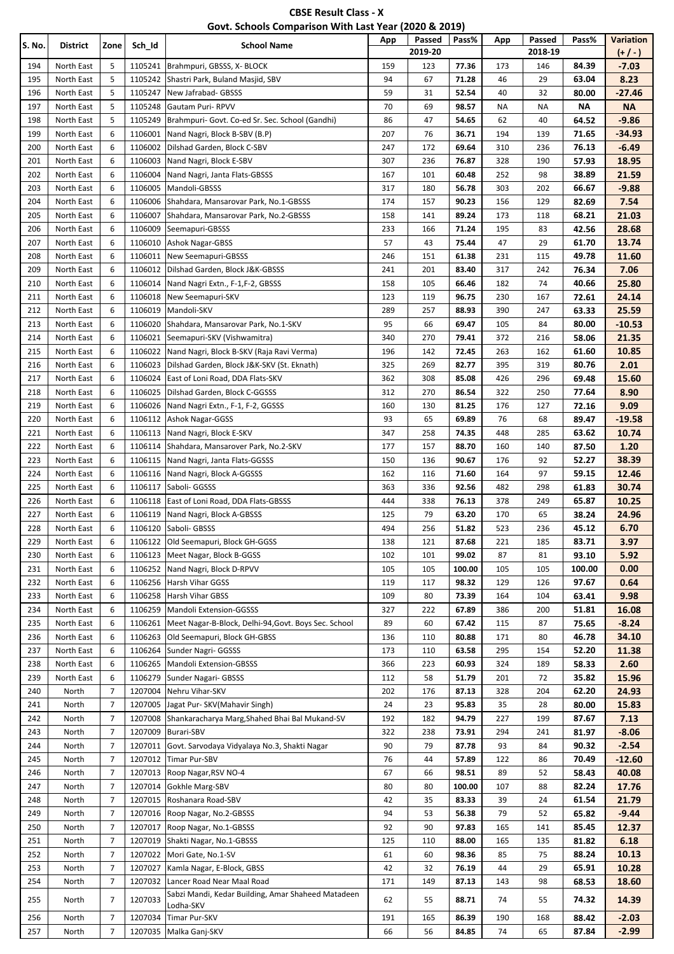| <b>CBSE Result Class - X</b>                          |
|-------------------------------------------------------|
| Govt. Schools Comparison With Last Year (2020 & 2019) |

| S. No.     | District                 | Zone           | Sch_Id             | <b>School Name</b>                                                               | App        | Passed<br>2019-20 | Pass%           | App        | Passed<br>2018-19 | Pass%           | Variation<br>$(+/-)$ |
|------------|--------------------------|----------------|--------------------|----------------------------------------------------------------------------------|------------|-------------------|-----------------|------------|-------------------|-----------------|----------------------|
| 194        | North East               | 5              | 1105241            | Brahmpuri, GBSSS, X- BLOCK                                                       | 159        | 123               | 77.36           | 173        | 146               | 84.39           | $-7.03$              |
| 195        | North East               | 5              | 1105242            | Shastri Park, Buland Masjid, SBV                                                 | 94         | 67                | 71.28           | 46         | 29                | 63.04           | 8.23                 |
| 196        | North East               | 5              | 1105247            | New Jafrabad- GBSSS                                                              | 59         | 31                | 52.54           | 40         | 32                | 80.00           | $-27.46$             |
| 197        | North East               | 5              | 1105248            | <b>Gautam Puri-RPVV</b>                                                          | 70         | 69                | 98.57           | ΝA         | NA                | ΝA              | <b>NA</b>            |
| 198        | North East               | 5              | 1105249            | Brahmpuri- Govt. Co-ed Sr. Sec. School (Gandhi)                                  | 86         | 47                | 54.65           | 62         | 40                | 64.52           | $-9.86$              |
| 199        | North East               | 6              | 1106001            | Nand Nagri, Block B-SBV (B.P)                                                    | 207        | 76                | 36.71           | 194        | 139               | 71.65           | -34.93               |
| 200        | North East               | 6              | 1106002            | Dilshad Garden, Block C-SBV                                                      | 247        | 172               | 69.64           | 310        | 236               | 76.13           | $-6.49$              |
| 201        | North East               | 6              | 1106003            | Nand Nagri, Block E-SBV                                                          | 307        | 236               | 76.87           | 328        | 190               | 57.93           | 18.95                |
| 202        | North East               | 6              | 1106004            | Nand Nagri, Janta Flats-GBSSS                                                    | 167        | 101               | 60.48           | 252        | 98                | 38.89           | 21.59                |
| 203        | North East               | 6              | 1106005            | Mandoli-GBSSS                                                                    | 317        | 180               | 56.78           | 303        | 202               | 66.67           | $-9.88$              |
| 204        | North East               | 6              | 1106006            | Shahdara, Mansarovar Park, No.1-GBSSS                                            | 174        | 157               | 90.23           | 156        | 129               | 82.69           | 7.54                 |
| 205<br>206 | North East<br>North East | 6<br>6         | 1106007<br>1106009 | Shahdara, Mansarovar Park, No.2-GBSSS<br>Seemapuri-GBSSS                         | 158<br>233 | 141<br>166        | 89.24<br>71.24  | 173<br>195 | 118<br>83         | 68.21<br>42.56  | 21.03<br>28.68       |
| 207        | North East               | 6              | 1106010            | <b>Ashok Nagar-GBSS</b>                                                          | 57         | 43                | 75.44           | 47         | 29                | 61.70           | 13.74                |
| 208        | North East               | 6              | 1106011            | New Seemapuri-GBSSS                                                              | 246        | 151               | 61.38           | 231        | 115               | 49.78           | 11.60                |
| 209        | North East               | 6              | 1106012            | Dilshad Garden, Block J&K-GBSSS                                                  | 241        | 201               | 83.40           | 317        | 242               | 76.34           | 7.06                 |
| 210        | North East               | 6              | 1106014            | Nand Nagri Extn., F-1, F-2, GBSSS                                                | 158        | 105               | 66.46           | 182        | 74                | 40.66           | 25.80                |
| 211        | North East               | 6              | 1106018            | New Seemapuri-SKV                                                                | 123        | 119               | 96.75           | 230        | 167               | 72.61           | 24.14                |
| 212        | North East               | 6              | 1106019            | Mandoli-SKV                                                                      | 289        | 257               | 88.93           | 390        | 247               | 63.33           | 25.59                |
| 213        | North East               | 6              | 1106020            | Shahdara, Mansarovar Park, No.1-SKV                                              | 95         | 66                | 69.47           | 105        | 84                | 80.00           | $-10.53$             |
| 214        | North East               | 6              | 1106021            | Seemapuri-SKV (Vishwamitra)                                                      | 340        | 270               | 79.41           | 372        | 216               | 58.06           | 21.35                |
| 215        | North East               | 6              | 1106022            | Nand Nagri, Block B-SKV (Raja Ravi Verma)                                        | 196        | 142               | 72.45           | 263        | 162               | 61.60           | 10.85                |
| 216        | North East               | 6              | 1106023            | Dilshad Garden, Block J&K-SKV (St. Eknath)                                       | 325        | 269               | 82.77           | 395        | 319               | 80.76           | 2.01                 |
| 217        | North East               | 6              | 1106024            | East of Loni Road, DDA Flats-SKV                                                 | 362        | 308               | 85.08           | 426        | 296               | 69.48           | 15.60                |
| 218        | North East               | 6              | 1106025            | Dilshad Garden, Block C-GGSSS                                                    | 312        | 270               | 86.54           | 322        | 250               | 77.64           | 8.90                 |
| 219        | North East               | 6              | 1106026            | Nand Nagri Extn., F-1, F-2, GGSSS                                                | 160        | 130               | 81.25           | 176        | 127               | 72.16           | 9.09                 |
| 220        | North East               | 6              | 1106112            | Ashok Nagar-GGSS                                                                 | 93         | 65                | 69.89           | 76         | 68                | 89.47           | $-19.58$             |
| 221        | North East               | 6              | 1106113            | Nand Nagri, Block E-SKV                                                          | 347        | 258               | 74.35           | 448        | 285               | 63.62           | 10.74                |
| 222        | North East               | 6              | 1106114            | Shahdara, Mansarover Park, No.2-SKV                                              | 177        | 157               | 88.70           | 160        | 140               | 87.50           | 1.20                 |
| 223        | North East               | 6              | 1106115            | Nand Nagri, Janta Flats-GGSSS                                                    | 150        | 136               | 90.67           | 176        | 92                | 52.27           | 38.39                |
| 224        | North East               | 6              | 1106116            | Nand Nagri, Block A-GGSSS                                                        | 162        | 116               | 71.60           | 164        | 97                | 59.15           | 12.46                |
| 225        | North East               | 6              | 1106117            | Saboli- GGSSS                                                                    | 363        | 336               | 92.56           | 482        | 298               | 61.83           | 30.74                |
| 226        | North East               | 6              | 1106118            | East of Loni Road, DDA Flats-GBSSS                                               | 444        | 338               | 76.13           | 378        | 249               | 65.87           | 10.25                |
| 227        | North East               | 6              | 1106119            | Nand Nagri, Block A-GBSSS                                                        | 125        | 79                | 63.20           | 170        | 65                | 38.24           | 24.96                |
| 228        | North East               | 6              | 1106120            | Saboli- GBSSS                                                                    | 494        | 256               | 51.82           | 523        | 236               | 45.12           | 6.70                 |
| 229        | North East               | 6              | 1106122            | Old Seemapuri, Block GH-GGSS                                                     | 138        | 121               | 87.68           | 221        | 185               | 83.71           | 3.97                 |
| 230        | North East               | 6<br>6         | 1106123            | Meet Nagar, Block B-GGSS<br>Nand Nagri, Block D-RPVV                             | 102        | 101               | 99.02           | 87         | 81                | 93.10           | 5.92                 |
| 231<br>232 | North East<br>North East | 6              | 1106252<br>1106256 | Harsh Vihar GGSS                                                                 | 105<br>119 | 105<br>117        | 100.00<br>98.32 | 105<br>129 | 105<br>126        | 100.00<br>97.67 | 0.00<br>0.64         |
| 233        | North East               | 6              | 1106258            | Harsh Vihar GBSS                                                                 | 109        | 80                | 73.39           | 164        | 104               | 63.41           | 9.98                 |
| 234        | North East               | 6              | 1106259            | <b>Mandoli Extension-GGSSS</b>                                                   | 327        | 222               | 67.89           | 386        | 200               | 51.81           | 16.08                |
| 235        | North East               | 6              | 1106261            | Meet Nagar-B-Block, Delhi-94, Govt. Boys Sec. School                             | 89         | 60                | 67.42           | 115        | 87                | 75.65           | $-8.24$              |
| 236        | North East               | 6              | 1106263            | Old Seemapuri, Block GH-GBSS                                                     | 136        | 110               | 80.88           | 171        | 80                | 46.78           | 34.10                |
| 237        | North East               | 6              | 1106264            | Sunder Nagri- GGSSS                                                              | 173        | 110               | 63.58           | 295        | 154               | 52.20           | 11.38                |
| 238        | North East               | 6              | 1106265            | <b>Mandoli Extension-GBSSS</b>                                                   | 366        | 223               | 60.93           | 324        | 189               | 58.33           | 2.60                 |
| 239        | North East               | 6              | 1106279            | Sunder Nagari- GBSSS                                                             | 112        | 58                | 51.79           | 201        | 72                | 35.82           | 15.96                |
| 240        | North                    | 7              | 1207004            | Nehru Vihar-SKV                                                                  | 202        | 176               | 87.13           | 328        | 204               | 62.20           | 24.93                |
| 241        | North                    | $\overline{7}$ | 1207005            | Jagat Pur- SKV (Mahavir Singh)                                                   | 24         | 23                | 95.83           | 35         | 28                | 80.00           | 15.83                |
| 242        | North                    | $\overline{7}$ | 1207008            | Shankaracharya Marg, Shahed Bhai Bal Mukand-SV                                   | 192        | 182               | 94.79           | 227        | 199               | 87.67           | 7.13                 |
| 243        | North                    | $\overline{7}$ | 1207009            | <b>Burari-SBV</b>                                                                | 322        | 238               | 73.91           | 294        | 241               | 81.97           | $-8.06$              |
| 244        | North                    | $\overline{7}$ | 1207011            | Govt. Sarvodaya Vidyalaya No.3, Shakti Nagar                                     | 90         | 79                | 87.78           | 93         | 84                | 90.32           | $-2.54$              |
| 245        | North                    | $\overline{7}$ | 1207012            | Timar Pur-SBV                                                                    | 76         | 44                | 57.89           | 122        | 86                | 70.49           | $-12.60$             |
| 246        | North                    | $\overline{7}$ | 1207013            | Roop Nagar, RSV NO-4                                                             | 67         | 66                | 98.51           | 89         | 52                | 58.43           | 40.08                |
| 247        | North                    | $\overline{7}$ | 1207014            | Gokhle Marg-SBV                                                                  | 80         | 80                | 100.00          | 107        | 88                | 82.24           | 17.76                |
| 248        | North                    | $\overline{7}$ | 1207015            | Roshanara Road-SBV                                                               | 42         | 35                | 83.33           | 39         | 24                | 61.54           | 21.79                |
| 249        | North                    | $\overline{7}$ | 1207016            | Roop Nagar, No.2-GBSSS                                                           | 94         | 53                | 56.38           | 79         | 52                | 65.82           | $-9.44$              |
| 250        | North                    | $\overline{7}$ | 1207017            | Roop Nagar, No.1-GBSSS                                                           | 92         | 90                | 97.83           | 165        | 141               | 85.45           | 12.37                |
| 251        | North                    | $\overline{7}$ | 1207019            | Shakti Nagar, No.1-GBSSS                                                         | 125        | 110               | 88.00           | 165        | 135               | 81.82           | 6.18                 |
| 252        | North                    | $\overline{7}$ | 1207022            | Mori Gate, No.1-SV                                                               | 61         | 60                | 98.36           | 85         | 75                | 88.24           | 10.13                |
| 253        | North                    | $\overline{7}$ | 1207027            | Kamla Nagar, E-Block, GBSS                                                       | 42         | 32                | 76.19           | 44         | 29                | 65.91           | 10.28                |
| 254        | North                    | $\overline{7}$ | 1207032            | Lancer Road Near Maal Road<br>Sabzi Mandi, Kedar Building, Amar Shaheed Matadeen | 171        | 149               | 87.13           | 143        | 98                | 68.53           | 18.60                |
| 255        | North                    | 7              | 1207033            | Lodha-SKV                                                                        | 62         | 55                | 88.71           | 74         | 55                | 74.32           | 14.39                |
| 256        | North                    | $\overline{7}$ | 1207034            | Timar Pur-SKV                                                                    | 191        | 165               | 86.39           | 190        | 168               | 88.42           | $-2.03$              |
| 257        | North                    | $\overline{7}$ | 1207035            | Malka Ganj-SKV                                                                   | 66         | 56                | 84.85           | 74         | 65                | 87.84           | $-2.99$              |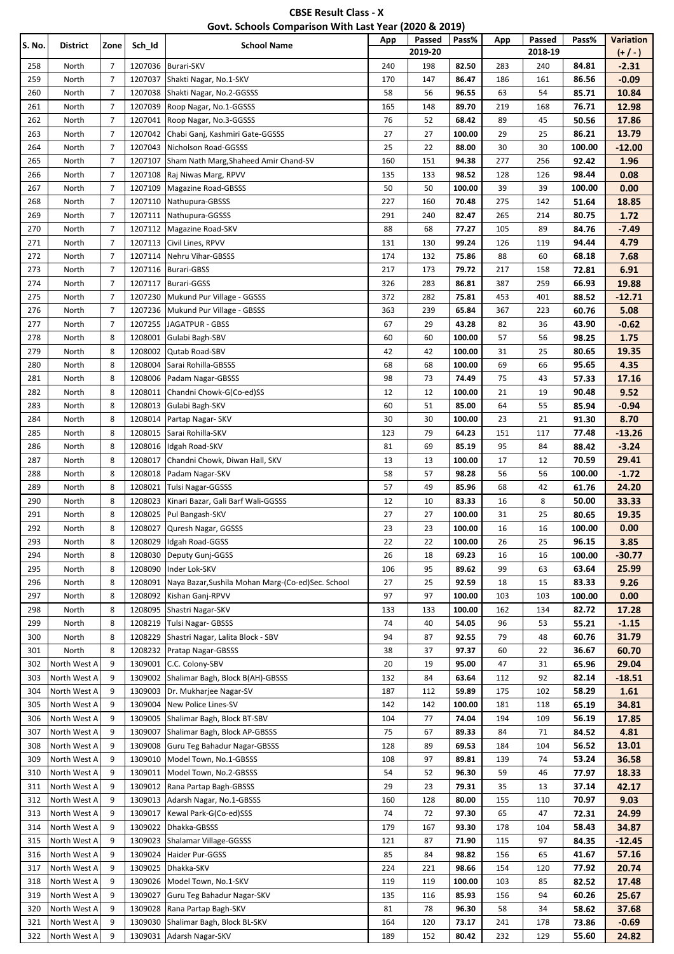| <b>CBSE Result Class - X</b>                          |  |
|-------------------------------------------------------|--|
| Govt. Schools Comparison With Last Year (2020 & 2019) |  |

| S. No. | <b>District</b> | Zone           | Sch_Id  | <b>School Name</b>                                | $\cdots$<br>App | Passed  | Pass%  | App | Passed  | Pass%  | <b>Variation</b> |
|--------|-----------------|----------------|---------|---------------------------------------------------|-----------------|---------|--------|-----|---------|--------|------------------|
|        |                 |                |         |                                                   |                 | 2019-20 |        |     | 2018-19 |        | $(+ / -)$        |
| 258    | North           | 7              | 1207036 | <b>Burari-SKV</b>                                 | 240             | 198     | 82.50  | 283 | 240     | 84.81  | $-2.31$          |
| 259    | North           | $\overline{7}$ | 1207037 | Shakti Nagar, No.1-SKV                            | 170             | 147     | 86.47  | 186 | 161     | 86.56  | $-0.09$          |
| 260    | North           | 7              | 1207038 | Shakti Nagar, No.2-GGSSS                          | 58              | 56      | 96.55  | 63  | 54      | 85.71  | 10.84            |
| 261    | North           | 7              | 1207039 | Roop Nagar, No.1-GGSSS                            | 165             | 148     | 89.70  | 219 | 168     | 76.71  | 12.98            |
| 262    | North           | 7              | 1207041 | Roop Nagar, No.3-GGSSS                            | 76              | 52      | 68.42  | 89  | 45      | 50.56  | 17.86            |
| 263    | North           | 7              | 1207042 | Chabi Ganj, Kashmiri Gate-GGSSS                   | 27              | 27      | 100.00 | 29  | 25      | 86.21  | 13.79            |
| 264    | North           | 7              | 1207043 | Nicholson Road-GGSSS                              | 25              | 22      | 88.00  | 30  | 30      | 100.00 | $-12.00$         |
| 265    | North           | $\overline{7}$ | 1207107 | Sham Nath Marg, Shaheed Amir Chand-SV             | 160             | 151     | 94.38  | 277 | 256     | 92.42  | 1.96             |
| 266    | North           | 7              | 1207108 | Raj Niwas Marg, RPVV                              | 135             | 133     | 98.52  | 128 | 126     | 98.44  | 0.08             |
| 267    | North           | $\overline{7}$ | 1207109 | <b>Magazine Road-GBSSS</b>                        | 50              | 50      | 100.00 | 39  | 39      | 100.00 | 0.00             |
| 268    | North           | 7              | 1207110 | Nathupura-GBSSS                                   | 227             | 160     | 70.48  | 275 | 142     | 51.64  | 18.85            |
| 269    | North           | $\overline{7}$ | 1207111 | Nathupura-GGSSS                                   | 291             | 240     | 82.47  | 265 | 214     | 80.75  | 1.72             |
| 270    | North           | 7              | 1207112 | Magazine Road-SKV                                 | 88              | 68      | 77.27  | 105 | 89      | 84.76  | $-7.49$          |
| 271    | North           | 7              | 1207113 | Civil Lines, RPVV                                 | 131             | 130     | 99.24  | 126 | 119     | 94.44  | 4.79             |
| 272    | North           | 7              | 1207114 | Nehru Vihar-GBSSS                                 | 174             | 132     | 75.86  | 88  | 60      | 68.18  | 7.68             |
| 273    | North           | 7              | 1207116 | <b>Burari-GBSS</b>                                | 217             | 173     | 79.72  | 217 | 158     | 72.81  | 6.91             |
| 274    | North           | 7              | 1207117 | <b>Burari-GGSS</b>                                | 326             | 283     | 86.81  | 387 | 259     | 66.93  | 19.88            |
| 275    | North           | 7              | 1207230 | Mukund Pur Village - GGSSS                        | 372             | 282     | 75.81  | 453 | 401     | 88.52  | $-12.71$         |
| 276    | North           | $\overline{7}$ | 1207236 | Mukund Pur Village - GBSSS                        | 363             | 239     | 65.84  | 367 | 223     | 60.76  | 5.08             |
| 277    | North           | 7              | 1207255 | JAGATPUR - GBSS                                   | 67              | 29      | 43.28  | 82  | 36      | 43.90  | $-0.62$          |
| 278    | North           | 8              | 1208001 | Gulabi Bagh-SBV                                   | 60              | 60      | 100.00 | 57  | 56      | 98.25  | 1.75             |
| 279    | North           | 8              | 1208002 | Qutab Road-SBV                                    | 42              | 42      | 100.00 | 31  | 25      | 80.65  | 19.35            |
| 280    | North           | 8              | 1208004 | Sarai Rohilla-GBSSS                               | 68              | 68      | 100.00 | 69  | 66      | 95.65  | 4.35             |
| 281    | North           | 8              | 1208006 | Padam Nagar-GBSSS                                 | 98              | 73      | 74.49  | 75  | 43      | 57.33  | 17.16            |
| 282    | North           | 8              | 1208011 | Chandni Chowk-G(Co-ed)SS                          | 12              | 12      | 100.00 | 21  | 19      | 90.48  | 9.52             |
| 283    | North           | 8              | 1208013 | Gulabi Bagh-SKV                                   | 60              | 51      | 85.00  | 64  | 55      | 85.94  | $-0.94$          |
| 284    | North           | 8              | 1208014 | Partap Nagar- SKV                                 | 30              | 30      | 100.00 | 23  | 21      | 91.30  | 8.70             |
| 285    | North           | 8              | 1208015 | Sarai Rohilla-SKV                                 | 123             | 79      | 64.23  | 151 | 117     | 77.48  | $-13.26$         |
| 286    | North           | 8              | 1208016 | Idgah Road-SKV                                    | 81              | 69      | 85.19  | 95  | 84      | 88.42  | $-3.24$          |
| 287    | North           | 8              | 1208017 | Chandni Chowk, Diwan Hall, SKV                    | 13              | 13      | 100.00 | 17  | 12      | 70.59  | 29.41            |
| 288    | North           | 8              | 1208018 | Padam Nagar-SKV                                   | 58              | 57      | 98.28  | 56  | 56      | 100.00 | $-1.72$          |
| 289    | North           | 8              | 1208021 | <b>Tulsi Nagar-GGSSS</b>                          | 57              | 49      | 85.96  | 68  | 42      | 61.76  | 24.20            |
| 290    | North           | 8              | 1208023 | Kinari Bazar, Gali Barf Wali-GGSSS                | 12              | 10      | 83.33  | 16  | 8       | 50.00  | 33.33            |
| 291    | North           | 8              | 1208025 | Pul Bangash-SKV                                   | 27              | 27      | 100.00 | 31  | 25      | 80.65  | 19.35            |
| 292    | North           | 8              | 1208027 | Quresh Nagar, GGSSS                               | 23              | 23      | 100.00 | 16  | 16      | 100.00 | 0.00             |
| 293    | North           | 8              | 1208029 | Idgah Road-GGSS                                   | 22              | 22      | 100.00 | 26  | 25      | 96.15  | 3.85             |
| 294    | North           | 8              | 1208030 | Deputy Gunj-GGSS                                  | 26              | 18      | 69.23  | 16  | 16      | 100.00 | -30.77           |
| 295    | North           | 8              | 1208090 | Inder Lok-SKV                                     | 106             | 95      | 89.62  | 99  | 63      | 63.64  | 25.99            |
| 296    | North           | 8              | 1208091 | Naya Bazar, Sushila Mohan Marg-(Co-ed)Sec. School | 27              | 25      | 92.59  | 18  | 15      | 83.33  | 9.26             |
| 297    | North           | 8              | 1208092 | Kishan Ganj-RPVV                                  | 97              | 97      | 100.00 | 103 | 103     | 100.00 | 0.00             |
| 298    | North           | 8              | 1208095 | Shastri Nagar-SKV                                 | 133             | 133     | 100.00 | 162 | 134     | 82.72  | 17.28            |
| 299    | North           | 8              | 1208219 | Tulsi Nagar- GBSSS                                | 74              | 40      | 54.05  | 96  | 53      | 55.21  | $-1.15$          |
| 300    | North           | 8              | 1208229 | Shastri Nagar, Lalita Block - SBV                 | 94              | 87      | 92.55  | 79  | 48      | 60.76  | 31.79            |
| 301    | North           | 8              | 1208232 | Pratap Nagar-GBSSS                                | 38              | 37      | 97.37  | 60  | 22      | 36.67  | 60.70            |
| 302    | North West A    | 9              | 1309001 | C.C. Colony-SBV                                   | 20              | 19      | 95.00  | 47  | 31      | 65.96  | 29.04            |
| 303    | North West A    | 9              | 1309002 | Shalimar Bagh, Block B(AH)-GBSSS                  | 132             | 84      | 63.64  | 112 | 92      | 82.14  | -18.51           |
| 304    | North West A    | 9              | 1309003 | Dr. Mukharjee Nagar-SV                            | 187             | 112     | 59.89  | 175 | 102     | 58.29  | 1.61             |
| 305    | North West A    | 9              | 1309004 | New Police Lines-SV                               | 142             | 142     | 100.00 | 181 | 118     | 65.19  | 34.81            |
| 306    | North West A    | 9              | 1309005 | Shalimar Bagh, Block BT-SBV                       | 104             | 77      | 74.04  | 194 | 109     | 56.19  | 17.85            |
| 307    | North West A    | 9              | 1309007 | Shalimar Bagh, Block AP-GBSSS                     | 75              | 67      | 89.33  | 84  | 71      | 84.52  | 4.81             |
| 308    | North West A    | 9              | 1309008 | Guru Teg Bahadur Nagar-GBSSS                      | 128             | 89      | 69.53  | 184 | 104     | 56.52  | 13.01            |
| 309    | North West A    | 9              | 1309010 | Model Town, No.1-GBSSS                            | 108             | 97      | 89.81  | 139 | 74      | 53.24  | 36.58            |
| 310    | North West A    | 9              | 1309011 | Model Town, No.2-GBSSS                            | 54              | 52      | 96.30  | 59  | 46      | 77.97  | 18.33            |
| 311    | North West A    | 9              | 1309012 | Rana Partap Bagh-GBSSS                            | 29              | 23      | 79.31  | 35  | 13      | 37.14  | 42.17            |
| 312    | North West A    | 9              | 1309013 | Adarsh Nagar, No.1-GBSSS                          | 160             | 128     | 80.00  | 155 | 110     | 70.97  | 9.03             |
| 313    | North West A    | 9              | 1309017 | Kewal Park-G(Co-ed)SSS                            | 74              | 72      | 97.30  | 65  | 47      | 72.31  | 24.99            |
| 314    | North West A    | 9              | 1309022 | Dhakka-GBSSS                                      | 179             | 167     | 93.30  | 178 | 104     | 58.43  | 34.87            |
| 315    | North West A    | 9              | 1309023 | Shalamar Village-GGSSS                            | 121             | 87      | 71.90  | 115 | 97      | 84.35  | $-12.45$         |
| 316    | North West A    | 9              | 1309024 | Haider Pur-GGSS                                   | 85              | 84      | 98.82  | 156 | 65      | 41.67  | 57.16            |
| 317    | North West A    | 9              | 1309025 | Dhakka-SKV                                        | 224             | 221     | 98.66  | 154 | 120     | 77.92  | 20.74            |
| 318    | North West A    | 9              | 1309026 | Model Town, No.1-SKV                              | 119             | 119     | 100.00 | 103 | 85      | 82.52  | 17.48            |
| 319    | North West A    | 9              | 1309027 | Guru Teg Bahadur Nagar-SKV                        | 135             | 116     | 85.93  | 156 | 94      | 60.26  | 25.67            |
| 320    | North West A    | 9              | 1309028 | Rana Partap Bagh-SKV                              | 81              | 78      | 96.30  | 58  | 34      | 58.62  | 37.68            |
| 321    | North West A    | 9              | 1309030 | Shalimar Bagh, Block BL-SKV                       | 164             | 120     | 73.17  | 241 | 178     | 73.86  | $-0.69$          |
| 322    | North West A    | 9              | 1309031 | Adarsh Nagar-SKV                                  | 189             | 152     | 80.42  | 232 | 129     | 55.60  | 24.82            |
|        |                 |                |         |                                                   |                 |         |        |     |         |        |                  |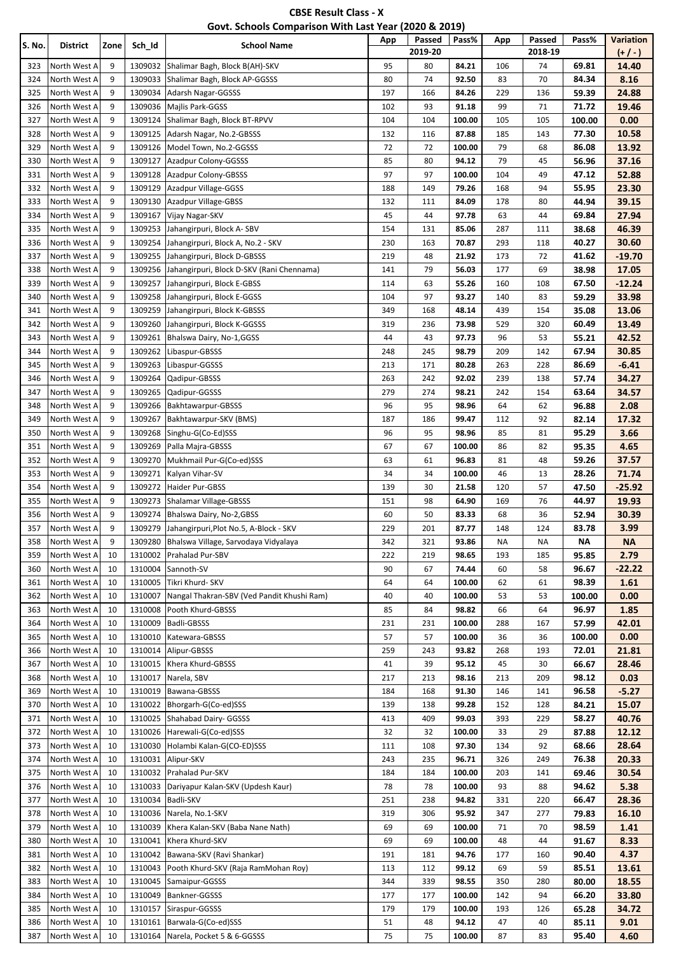| <b>CBSE Result Class - X</b>                          |  |
|-------------------------------------------------------|--|
| Govt. Schools Comparison With Last Year (2020 & 2019) |  |

| S. No. | District     | Zone | Sch_Id  | <b>School Name</b>                           | App | Passed<br>2019-20 | Pass%  | App | Passed<br>2018-19 | Pass%  | <b>Variation</b><br>$(+ / -)$ |
|--------|--------------|------|---------|----------------------------------------------|-----|-------------------|--------|-----|-------------------|--------|-------------------------------|
| 323    | North West A | 9    | 1309032 | Shalimar Bagh, Block B(AH)-SKV               | 95  | 80                | 84.21  | 106 | 74                | 69.81  | 14.40                         |
| 324    | North West A | 9    | 1309033 | Shalimar Bagh, Block AP-GGSSS                | 80  | 74                | 92.50  | 83  | 70                | 84.34  | 8.16                          |
| 325    | North West A | 9    | 1309034 | Adarsh Nagar-GGSSS                           | 197 | 166               | 84.26  | 229 | 136               | 59.39  | 24.88                         |
| 326    | North West A | 9    | 1309036 | Majlis Park-GGSS                             | 102 | 93                | 91.18  | 99  | 71                | 71.72  | 19.46                         |
| 327    | North West A | 9    | 1309124 | Shalimar Bagh, Block BT-RPVV                 | 104 | 104               | 100.00 | 105 | 105               | 100.00 | 0.00                          |
| 328    | North West A | 9    | 1309125 | Adarsh Nagar, No.2-GBSSS                     | 132 | 116               | 87.88  | 185 | 143               | 77.30  | 10.58                         |
| 329    | North West A | 9    | 1309126 | Model Town, No.2-GGSSS                       | 72  | 72                | 100.00 | 79  | 68                | 86.08  | 13.92                         |
| 330    | North West A | 9    | 1309127 | Azadpur Colony-GGSSS                         | 85  | 80                | 94.12  | 79  | 45                | 56.96  | 37.16                         |
| 331    | North West A | 9    | 1309128 | Azadpur Colony-GBSSS                         | 97  | 97                | 100.00 | 104 | 49                | 47.12  | 52.88                         |
| 332    | North West A | 9    | 1309129 | Azadpur Village-GGSS                         | 188 | 149               | 79.26  | 168 | 94                | 55.95  | 23.30                         |
| 333    | North West A | 9    | 1309130 | Azadpur Village-GBSS                         | 132 | 111               | 84.09  | 178 | 80                | 44.94  | 39.15                         |
| 334    | North West A | 9    | 1309167 | Vijay Nagar-SKV                              | 45  | 44                | 97.78  | 63  | 44                | 69.84  | 27.94                         |
| 335    | North West A | 9    | 1309253 | Jahangirpuri, Block A-SBV                    | 154 | 131               | 85.06  | 287 | 111               | 38.68  | 46.39                         |
| 336    | North West A | 9    | 1309254 | Jahangirpuri, Block A, No.2 - SKV            | 230 | 163               | 70.87  | 293 | 118               | 40.27  | 30.60                         |
| 337    | North West A | 9    | 1309255 | Jahangirpuri, Block D-GBSSS                  | 219 | 48                | 21.92  | 173 | 72                | 41.62  | $-19.70$                      |
| 338    | North West A | 9    | 1309256 | Jahangirpuri, Block D-SKV (Rani Chennama)    | 141 | 79                | 56.03  | 177 | 69                | 38.98  | 17.05                         |
| 339    | North West A | 9    | 1309257 | Jahangirpuri, Block E-GBSS                   | 114 | 63                | 55.26  | 160 | 108               | 67.50  | $-12.24$                      |
| 340    | North West A | 9    | 1309258 | Jahangirpuri, Block E-GGSS                   | 104 | 97                | 93.27  | 140 | 83                | 59.29  | 33.98                         |
| 341    | North West A | 9    | 1309259 | Jahangirpuri, Block K-GBSSS                  | 349 | 168               | 48.14  | 439 | 154               | 35.08  | 13.06                         |
| 342    | North West A | 9    | 1309260 | Jahangirpuri, Block K-GGSSS                  | 319 | 236               | 73.98  | 529 | 320               | 60.49  | 13.49                         |
| 343    | North West A | 9    | 1309261 | Bhalswa Dairy, No-1, GGSS                    | 44  | 43                | 97.73  | 96  | 53                | 55.21  | 42.52                         |
| 344    | North West A | 9    | 1309262 | Libaspur-GBSSS                               | 248 | 245               | 98.79  | 209 | 142               | 67.94  | 30.85                         |
| 345    | North West A | 9    | 1309263 | Libaspur-GGSSS                               | 213 | 171               | 80.28  | 263 | 228               | 86.69  | $-6.41$                       |
| 346    | North West A | 9    | 1309264 | Qadipur-GBSSS                                | 263 | 242               | 92.02  | 239 | 138               | 57.74  | 34.27                         |
| 347    | North West A | 9    | 1309265 | Qadipur-GGSSS                                | 279 | 274               | 98.21  | 242 | 154               | 63.64  | 34.57                         |
| 348    | North West A | 9    | 1309266 | Bakhtawarpur-GBSSS                           | 96  | 95                | 98.96  | 64  | 62                | 96.88  | 2.08                          |
| 349    | North West A | 9    | 1309267 | Bakhtawarpur-SKV (BMS)                       | 187 | 186               | 99.47  | 112 | 92                | 82.14  | 17.32                         |
| 350    | North West A | 9    | 1309268 | Singhu-G(Co-Ed)SSS                           | 96  | 95                | 98.96  | 85  | 81                | 95.29  | 3.66                          |
| 351    | North West A | 9    | 1309269 | Palla Majra-GBSSS                            | 67  | 67                | 100.00 | 86  | 82                | 95.35  | 4.65                          |
| 352    | North West A | 9    | 1309270 | Mukhmail Pur-G(Co-ed)SSS                     | 63  | 61                | 96.83  | 81  | 48                | 59.26  | 37.57                         |
| 353    | North West A | 9    | 1309271 | Kalyan Vihar-SV                              | 34  | 34                | 100.00 | 46  | 13                | 28.26  | 71.74                         |
| 354    | North West A | 9    | 1309272 | Haider Pur-GBSS                              | 139 | 30                | 21.58  | 120 | 57                | 47.50  | -25.92                        |
| 355    | North West A | 9    | 1309273 | Shalamar Village-GBSSS                       | 151 | 98                | 64.90  | 169 | 76                | 44.97  | 19.93                         |
| 356    | North West A | 9    | 1309274 | Bhalswa Dairy, No-2, GBSS                    | 60  | 50                | 83.33  | 68  | 36                | 52.94  | 30.39                         |
| 357    | North West A | 9    | 1309279 | Jahangirpuri, Plot No.5, A-Block - SKV       | 229 | 201               | 87.77  | 148 | 124               | 83.78  | 3.99                          |
| 358    | North West A | 9    |         | 1309280 Bhalswa Village, Sarvodaya Vidyalaya | 342 | 321               | 93.86  | ΝA  | ΝA                | ΝA     | ΝA                            |
| 359    | North West A | 10   | 1310002 | Prahalad Pur-SBV                             | 222 | 219               | 98.65  | 193 | 185               | 95.85  | 2.79                          |
| 360    | North West A | 10   | 1310004 | Sannoth-SV                                   | 90  | 67                | 74.44  | 60  | 58                | 96.67  | -22.22                        |
| 361    | North West A | 10   | 1310005 | Tikri Khurd- SKV                             | 64  | 64                | 100.00 | 62  | 61                | 98.39  | 1.61                          |
| 362    | North West A | 10   | 1310007 | Nangal Thakran-SBV (Ved Pandit Khushi Ram)   | 40  | 40                | 100.00 | 53  | 53                | 100.00 | 0.00                          |
| 363    | North West A | 10   | 1310008 | Pooth Khurd-GBSSS                            | 85  | 84                | 98.82  | 66  | 64                | 96.97  | 1.85                          |
| 364    | North West A | 10   | 1310009 | Badli-GBSSS                                  | 231 | 231               | 100.00 | 288 | 167               | 57.99  | 42.01                         |
| 365    | North West A | 10   | 1310010 | Katewara-GBSSS                               | 57  | 57                | 100.00 | 36  | 36                | 100.00 | 0.00                          |
| 366    | North West A | 10   | 1310014 | Alipur-GBSSS                                 | 259 | 243               | 93.82  | 268 | 193               | 72.01  | 21.81                         |
| 367    | North West A | 10   | 1310015 | Khera Khurd-GBSSS                            | 41  | 39                | 95.12  | 45  | 30                | 66.67  | 28.46                         |
| 368    | North West A | 10   | 1310017 | Narela, SBV                                  | 217 | 213               | 98.16  | 213 | 209               | 98.12  | 0.03                          |
| 369    | North West A | 10   | 1310019 | Bawana-GBSSS                                 | 184 | 168               | 91.30  | 146 | 141               | 96.58  | $-5.27$                       |
| 370    | North West A | 10   | 1310022 | Bhorgarh-G(Co-ed)SSS                         | 139 | 138               | 99.28  | 152 | 128               | 84.21  | 15.07                         |
| 371    | North West A | 10   | 1310025 | Shahabad Dairy- GGSSS                        | 413 | 409               | 99.03  | 393 | 229               | 58.27  | 40.76                         |
| 372    | North West A | 10   | 1310026 | Harewali-G(Co-ed)SSS                         | 32  | 32                | 100.00 | 33  | 29                | 87.88  | 12.12                         |
| 373    | North West A | 10   | 1310030 | Holambi Kalan-G(CO-ED)SSS                    | 111 | 108               | 97.30  | 134 | 92                | 68.66  | 28.64                         |
| 374    | North West A | 10   | 1310031 | Alipur-SKV                                   | 243 | 235               | 96.71  | 326 | 249               | 76.38  | 20.33                         |
| 375    | North West A | 10   | 1310032 | Prahalad Pur-SKV                             | 184 | 184               | 100.00 | 203 | 141               | 69.46  | 30.54                         |
| 376    | North West A | 10   | 1310033 | Dariyapur Kalan-SKV (Updesh Kaur)            | 78  | 78                | 100.00 | 93  | 88                | 94.62  | 5.38                          |
| 377    | North West A | 10   | 1310034 | Badli-SKV                                    | 251 | 238               | 94.82  | 331 | 220               | 66.47  | 28.36                         |
| 378    | North West A | 10   | 1310036 | Narela, No.1-SKV                             | 319 | 306               | 95.92  | 347 | 277               | 79.83  | 16.10                         |
| 379    | North West A | 10   | 1310039 | Khera Kalan-SKV (Baba Nane Nath)             | 69  | 69                | 100.00 | 71  | 70                | 98.59  | 1.41                          |
| 380    | North West A | 10   | 1310041 | Khera Khurd-SKV                              | 69  | 69                | 100.00 | 48  | 44                | 91.67  | 8.33                          |
| 381    | North West A | 10   | 1310042 | Bawana-SKV (Ravi Shankar)                    | 191 | 181               | 94.76  | 177 | 160               | 90.40  | 4.37                          |
| 382    | North West A | 10   | 1310043 | Pooth Khurd-SKV (Raja RamMohan Roy)          | 113 | 112               | 99.12  | 69  | 59                | 85.51  | 13.61                         |
| 383    | North West A | 10   | 1310045 | Samaipur-GGSSS                               | 344 | 339               | 98.55  | 350 | 280               | 80.00  | 18.55                         |
| 384    | North West A | 10   | 1310049 | Bankner-GGSSS                                | 177 | 177               | 100.00 | 142 | 94                | 66.20  | 33.80                         |
| 385    | North West A | 10   | 1310157 | Siraspur-GGSSS                               | 179 | 179               | 100.00 | 193 | 126               | 65.28  | 34.72                         |
| 386    | North West A | 10   | 1310161 |                                              |     |                   |        | 47  |                   | 85.11  | 9.01                          |
|        |              |      |         | Barwala-G(Co-ed)SSS                          | 51  | 48                | 94.12  |     | 40                |        |                               |
| 387    | North West A | 10   |         | 1310164 Narela, Pocket 5 & 6-GGSSS           | 75  | 75                | 100.00 | 87  | 83                | 95.40  | 4.60                          |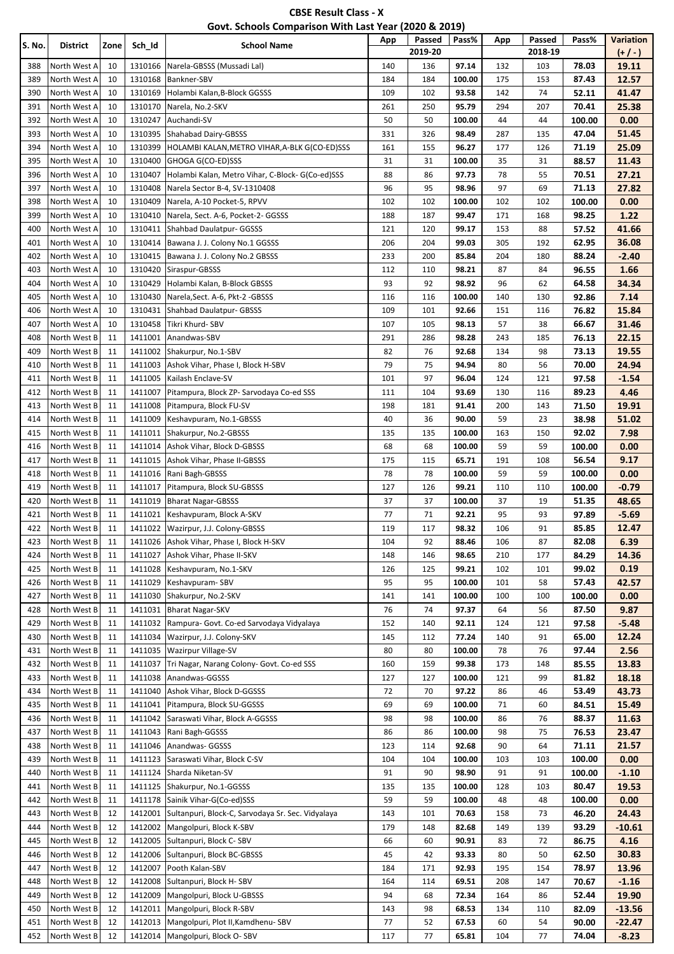| <b>CBSE Result Class - X</b>                          |  |
|-------------------------------------------------------|--|
| Govt. Schools Comparison With Last Year (2020 & 2019) |  |

| S. No.     | District                     | Zone     | Sch_Id             | <b>School Name</b>                                | App       | Passed<br>2019-20 | Pass%           | App       | Passed<br>2018-19 | Pass%          | <b>Variation</b><br>$(+/-)$ |
|------------|------------------------------|----------|--------------------|---------------------------------------------------|-----------|-------------------|-----------------|-----------|-------------------|----------------|-----------------------------|
| 388        | North West A                 | 10       | 1310166            | Narela-GBSSS (Mussadi Lal)                        | 140       | 136               | 97.14           | 132       | 103               | 78.03          | 19.11                       |
| 389        | North West A                 | 10       | 1310168            | Bankner-SBV                                       | 184       | 184               | 100.00          | 175       | 153               | 87.43          | 12.57                       |
| 390        | North West A                 | 10       | 1310169            | Holambi Kalan, B-Block GGSSS                      | 109       | 102               | 93.58           | 142       | 74                | 52.11          | 41.47                       |
| 391        | North West A                 | 10       | 1310170            | Narela, No.2-SKV                                  | 261       | 250               | 95.79           | 294       | 207               | 70.41          | 25.38                       |
| 392        | North West A                 | 10       | 1310247            | Auchandi-SV                                       | 50        | 50                | 100.00          | 44        | 44                | 100.00         | 0.00                        |
| 393        | North West A                 | 10       | 1310395            | Shahabad Dairy-GBSSS                              | 331       | 326               | 98.49           | 287       | 135               | 47.04          | 51.45                       |
| 394        | North West A                 | 10       | 1310399            | HOLAMBI KALAN, METRO VIHAR, A-BLK G(CO-ED)SSS     | 161       | 155               | 96.27           | 177       | 126               | 71.19          | 25.09                       |
| 395        | North West A                 | 10       | 1310400            | GHOGA G(CO-ED)SSS                                 | 31        | 31                | 100.00          | 35        | 31                | 88.57          | 11.43                       |
| 396        | North West A                 | 10       | 1310407            | Holambi Kalan, Metro Vihar, C-Block- G(Co-ed)SSS  | 88        | 86                | 97.73           | 78        | 55                | 70.51          | 27.21                       |
| 397        | North West A                 | 10       | 1310408            | Narela Sector B-4, SV-1310408                     | 96        | 95                | 98.96           | 97        | 69                | 71.13          | 27.82                       |
| 398        | North West A                 | 10       | 1310409            | Narela, A-10 Pocket-5, RPVV                       | 102       | 102               | 100.00          | 102       | 102               | 100.00         | 0.00                        |
| 399        | North West A                 | 10       | 1310410            | Narela, Sect. A-6, Pocket-2- GGSSS                | 188       | 187               | 99.47           | 171       | 168               | 98.25          | 1.22                        |
| 400        | North West A                 | 10       | 1310411            | Shahbad Daulatpur- GGSSS                          | 121       | 120               | 99.17           | 153       | 88                | 57.52          | 41.66                       |
| 401        | North West A                 | 10       | 1310414            | Bawana J. J. Colony No.1 GGSSS                    | 206       | 204               | 99.03           | 305       | 192               | 62.95          | 36.08                       |
| 402        | North West A                 | 10       | 1310415            | Bawana J. J. Colony No.2 GBSSS                    | 233       | 200               | 85.84           | 204       | 180               | 88.24          | $-2.40$                     |
| 403        | North West A                 | 10       | 1310420            | Siraspur-GBSSS                                    | 112       | 110               | 98.21           | 87        | 84                | 96.55          | 1.66                        |
| 404        | North West A                 | 10       | 1310429            | Holambi Kalan, B-Block GBSSS                      | 93        | 92                | 98.92           | 96        | 62                | 64.58          | 34.34                       |
| 405        | North West A                 | 10       | 1310430            | Narela, Sect. A-6, Pkt-2 - GBSSS                  | 116       | 116               | 100.00          | 140       | 130               | 92.86          | 7.14                        |
| 406        | North West A                 | 10       | 1310431            | Shahbad Daulatpur- GBSSS                          | 109       | 101               | 92.66           | 151       | 116               | 76.82          | 15.84                       |
| 407        | North West A                 | 10       | 1310458            | Tikri Khurd- SBV                                  | 107       | 105               | 98.13           | 57        | 38                | 66.67          | 31.46                       |
| 408        | North West B                 | 11       | 1411001            | Anandwas-SBV                                      | 291       | 286               | 98.28           | 243       | 185               | 76.13          | 22.15                       |
| 409        | North West B                 | 11       | 1411002            | Shakurpur, No.1-SBV                               | 82        | 76                | 92.68           | 134       | 98                | 73.13          | 19.55                       |
| 410        | North West B                 | 11       | 1411003            | Ashok Vihar, Phase I, Block H-SBV                 | 79        | 75                | 94.94           | 80        | 56                | 70.00          | 24.94                       |
| 411        | North West B                 | 11       | 1411005            | Kailash Enclave-SV                                | 101       | 97                | 96.04           | 124       | 121               | 97.58          | $-1.54$                     |
| 412        | North West B                 | 11       | 1411007            | Pitampura, Block ZP- Sarvodaya Co-ed SSS          | 111       | 104               | 93.69           | 130       | 116               | 89.23          | 4.46                        |
| 413        | North West B                 | 11       | 1411008            | Pitampura, Block FU-SV                            | 198       | 181<br>36         | 91.41           | 200       | 143               | 71.50          | 19.91<br>51.02              |
| 414<br>415 | North West B<br>North West B | 11<br>11 | 1411009<br>1411011 | Keshavpuram, No.1-GBSSS<br>Shakurpur, No.2-GBSSS  | 40<br>135 | 135               | 90.00<br>100.00 | 59<br>163 | 23<br>150         | 38.98<br>92.02 | 7.98                        |
| 416        | North West B                 | 11       | 1411014            | Ashok Vihar, Block D-GBSSS                        | 68        | 68                | 100.00          | 59        | 59                | 100.00         | 0.00                        |
| 417        | North West B                 | 11       | 1411015            | Ashok Vihar, Phase II-GBSSS                       | 175       | 115               | 65.71           | 191       | 108               | 56.54          | 9.17                        |
| 418        | North West B                 | 11       | 1411016            | Rani Bagh-GBSSS                                   | 78        | 78                | 100.00          | 59        | 59                | 100.00         | 0.00                        |
| 419        | North West B                 | 11       | 1411017            | Pitampura, Block SU-GBSSS                         | 127       | 126               | 99.21           | 110       | 110               | 100.00         | -0.79                       |
| 420        | North West B                 | 11       | 1411019            | <b>Bharat Nagar-GBSSS</b>                         | 37        | 37                | 100.00          | 37        | 19                | 51.35          | 48.65                       |
| 421        | North West B                 | 11       | 1411021            | Keshavpuram, Block A-SKV                          | 77        | 71                | 92.21           | 95        | 93                | 97.89          | -5.69                       |
| 422        | North West B                 | 11       | 1411022            | Wazirpur, J.J. Colony-GBSSS                       | 119       | 117               | 98.32           | 106       | 91                | 85.85          | 12.47                       |
| 423        | North West B                 | 11       | 1411026            | Ashok Vihar, Phase I, Block H-SKV                 | 104       | 92                | 88.46           | 106       | 87                | 82.08          | 6.39                        |
| 424        | North West B                 | 11       | 1411027            | Ashok Vihar, Phase II-SKV                         | 148       | 146               | 98.65           | 210       | 177               | 84.29          | 14.36                       |
| 425        | North West B                 | 11       | 1411028            | Keshavpuram, No.1-SKV                             | 126       | 125               | 99.21           | 102       | 101               | 99.02          | 0.19                        |
| 426        | North West B                 | 11       | 1411029            | Keshavpuram-SBV                                   | 95        | 95                | 100.00          | 101       | 58                | 57.43          | 42.57                       |
| 427        | North West B                 | 11       | 1411030            | Shakurpur, No.2-SKV                               | 141       | 141               | 100.00          | 100       | 100               | 100.00         | 0.00                        |
| 428        | North West B                 | 11       | 1411031            | <b>Bharat Nagar-SKV</b>                           | 76        | 74                | 97.37           | 64        | 56                | 87.50          | 9.87                        |
| 429        | North West B                 | 11       | 1411032            | Rampura- Govt. Co-ed Sarvodaya Vidyalaya          | 152       | 140               | 92.11           | 124       | 121               | 97.58          | -5.48                       |
| 430        | North West B                 | 11       | 1411034            | Wazirpur, J.J. Colony-SKV                         | 145       | 112               | 77.24           | 140       | 91                | 65.00          | 12.24                       |
| 431        | North West B                 | 11       | 1411035            | <b>Wazirpur Village-SV</b>                        | 80        | 80                | 100.00          | 78        | 76                | 97.44          | 2.56                        |
| 432        | North West B                 | 11       | 1411037            | Tri Nagar, Narang Colony- Govt. Co-ed SSS         | 160       | 159               | 99.38           | 173       | 148               | 85.55          | 13.83                       |
| 433        | North West B                 | 11       | 1411038            | Anandwas-GGSSS                                    | 127       | 127               | 100.00          | 121       | 99                | 81.82          | 18.18                       |
| 434        | North West B                 | 11       | 1411040            | Ashok Vihar, Block D-GGSSS                        | 72        | 70                | 97.22           | 86        | 46                | 53.49          | 43.73                       |
| 435        | North West B                 | 11       | 1411041            | Pitampura, Block SU-GGSSS                         | 69        | 69                | 100.00          | 71        | 60                | 84.51          | 15.49                       |
| 436        | North West B                 | 11       | 1411042            | Saraswati Vihar, Block A-GGSSS                    | 98        | 98                | 100.00          | 86        | 76                | 88.37          | 11.63                       |
| 437        | North West B                 | 11       | 1411043            | Rani Bagh-GGSSS                                   | 86        | 86                | 100.00          | 98        | 75                | 76.53          | 23.47                       |
| 438        | North West B                 | 11       | 1411046            | Anandwas- GGSSS                                   | 123       | 114               | 92.68           | 90        | 64                | 71.11          | 21.57                       |
| 439        | North West B                 | 11       | 1411123            | Saraswati Vihar, Block C-SV                       | 104       | 104               | 100.00          | 103       | 103               | 100.00         | 0.00                        |
| 440        | North West B                 | 11       | 1411124            | Sharda Niketan-SV                                 | 91        | 90                | 98.90           | 91        | 91                | 100.00         | $-1.10$                     |
| 441        | North West B                 | 11       |                    | 1411125 Shakurpur, No.1-GGSSS                     | 135       | 135               | 100.00          | 128       | 103               | 80.47          | 19.53                       |
| 442        | North West B                 | 11       | 1411178            | Sainik Vihar-G(Co-ed)SSS                          | 59        | 59                | 100.00          | 48        | 48                | 100.00         | 0.00                        |
| 443        | North West B                 | 12       | 1412001            | Sultanpuri, Block-C, Sarvodaya Sr. Sec. Vidyalaya | 143       | 101               | 70.63           | 158       | 73                | 46.20          | 24.43                       |
| 444        | North West B                 | 12       | 1412002            | Mangolpuri, Block K-SBV                           | 179       | 148               | 82.68           | 149       | 139               | 93.29          | -10.61                      |
| 445        | North West B                 | 12       | 1412005            | Sultanpuri, Block C-SBV                           | 66        | 60                | 90.91           | 83        | 72                | 86.75          | 4.16                        |
| 446        | North West B                 | 12       | 1412006            | Sultanpuri, Block BC-GBSSS                        | 45        | 42                | 93.33           | 80        | 50                | 62.50          | 30.83                       |
| 447        | North West B                 | 12       | 1412007            | Pooth Kalan-SBV                                   | 184       | 171               | 92.93           | 195       | 154               | 78.97          | 13.96                       |
| 448        | North West B                 | 12       | 1412008            | Sultanpuri, Block H-SBV                           | 164       | 114               | 69.51           | 208       | 147               | 70.67          | $-1.16$                     |
| 449        | North West B                 | 12       | 1412009            | Mangolpuri, Block U-GBSSS                         | 94        | 68                | 72.34           | 164       | 86                | 52.44          | 19.90                       |
| 450        | North West B                 | 12       | 1412011            | Mangolpuri, Block R-SBV                           | 143       | 98                | 68.53           | 134       | 110               | 82.09          | $-13.56$                    |
| 451        | North West B                 | 12       | 1412013            | Mangolpuri, Plot II, Kamdhenu-SBV                 | 77        | 52                | 67.53           | 60        | 54                | 90.00          | -22.47                      |
| 452        | North West B                 | 12       | 1412014            | Mangolpuri, Block O-SBV                           | 117       | 77                | 65.81           | 104       | 77                | 74.04          | $-8.23$                     |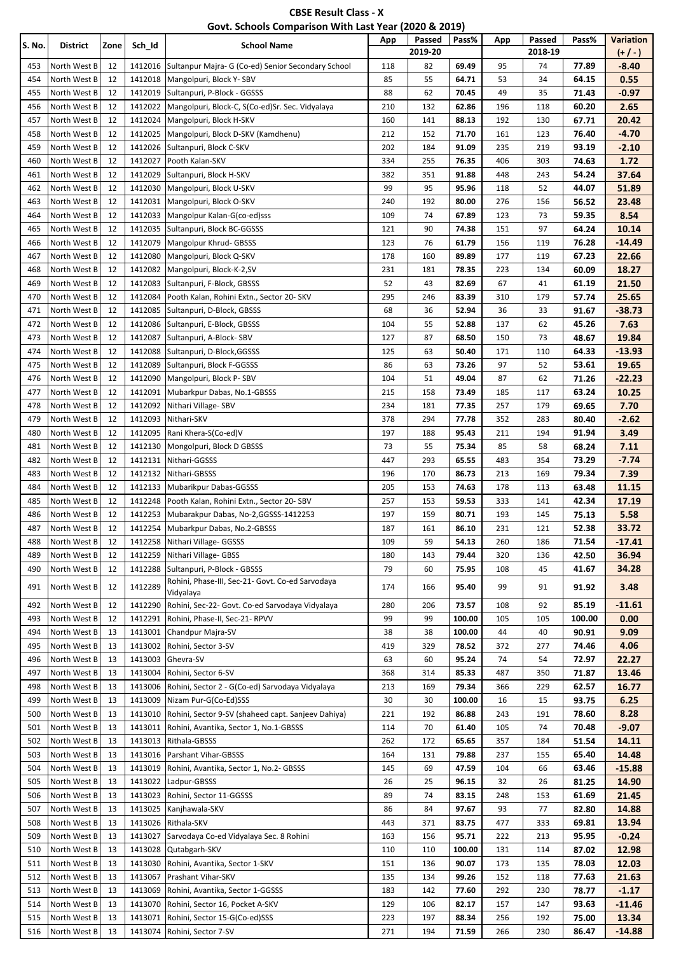| <b>CBSE Result Class - X</b>                          |  |
|-------------------------------------------------------|--|
| Govt. Schools Comparison With Last Year (2020 & 2019) |  |

| S. No. | District     | Zone | Sch_Id  | <b>School Name</b>                                            | App | Passed<br>2019-20 | Pass%  | App | Passed<br>2018-19 | Pass%  | Variation<br>$(+/-)$ |
|--------|--------------|------|---------|---------------------------------------------------------------|-----|-------------------|--------|-----|-------------------|--------|----------------------|
| 453    | North West B | 12   |         | 1412016 Sultanpur Majra- G (Co-ed) Senior Secondary School    | 118 | 82                | 69.49  | 95  | 74                | 77.89  | $-8.40$              |
| 454    | North West B | 12   | 1412018 | Mangolpuri, Block Y-SBV                                       | 85  | 55                | 64.71  | 53  | 34                | 64.15  | 0.55                 |
| 455    | North West B | 12   |         | 1412019 Sultanpuri, P-Block - GGSSS                           | 88  | 62                | 70.45  | 49  | 35                | 71.43  | $-0.97$              |
| 456    | North West B | 12   | 1412022 | Mangolpuri, Block-C, S(Co-ed)Sr. Sec. Vidyalaya               | 210 | 132               | 62.86  | 196 | 118               | 60.20  | 2.65                 |
| 457    | North West B | 12   | 1412024 | Mangolpuri, Block H-SKV                                       | 160 | 141               | 88.13  | 192 | 130               | 67.71  | 20.42                |
| 458    | North West B | 12   | 1412025 | Mangolpuri, Block D-SKV (Kamdhenu)                            | 212 | 152               | 71.70  | 161 | 123               | 76.40  | $-4.70$              |
| 459    | North West B | 12   | 1412026 | Sultanpuri, Block C-SKV                                       | 202 | 184               | 91.09  | 235 | 219               | 93.19  | $-2.10$              |
| 460    | North West B | 12   | 1412027 | Pooth Kalan-SKV                                               | 334 | 255               | 76.35  | 406 | 303               | 74.63  | 1.72                 |
| 461    | North West B | 12   | 1412029 | Sultanpuri, Block H-SKV                                       | 382 | 351               | 91.88  | 448 | 243               | 54.24  | 37.64                |
| 462    | North West B | 12   | 1412030 | Mangolpuri, Block U-SKV                                       | 99  | 95                | 95.96  | 118 | 52                | 44.07  | 51.89                |
| 463    | North West B | 12   | 1412031 | Mangolpuri, Block O-SKV                                       | 240 | 192               | 80.00  | 276 | 156               | 56.52  | 23.48                |
| 464    | North West B | 12   | 1412033 | Mangolpur Kalan-G(co-ed)sss                                   | 109 | 74                | 67.89  | 123 | 73                | 59.35  | 8.54                 |
| 465    | North West B | 12   | 1412035 | Sultanpuri, Block BC-GGSSS                                    | 121 | 90                | 74.38  | 151 | 97                | 64.24  | 10.14                |
| 466    | North West B | 12   | 1412079 | Mangolpur Khrud- GBSSS                                        | 123 | 76                | 61.79  | 156 | 119               | 76.28  | $-14.49$             |
| 467    | North West B | 12   | 1412080 | Mangolpuri, Block Q-SKV                                       | 178 | 160               | 89.89  | 177 | 119               | 67.23  | 22.66                |
| 468    | North West B | 12   | 1412082 | Mangolpuri, Block-K-2,SV                                      | 231 | 181               | 78.35  | 223 | 134               | 60.09  | 18.27                |
| 469    | North West B | 12   | 1412083 | Sultanpuri, F-Block, GBSSS                                    | 52  | 43                | 82.69  | 67  | 41                | 61.19  | 21.50                |
| 470    | North West B | 12   | 1412084 | Pooth Kalan, Rohini Extn., Sector 20- SKV                     | 295 | 246               | 83.39  | 310 | 179               | 57.74  | 25.65                |
| 471    | North West B | 12   | 1412085 | Sultanpuri, D-Block, GBSSS                                    | 68  | 36                | 52.94  | 36  | 33                | 91.67  | $-38.73$             |
| 472    | North West B | 12   | 1412086 | Sultanpuri, E-Block, GBSSS                                    | 104 | 55                | 52.88  | 137 | 62                | 45.26  | 7.63                 |
| 473    | North West B | 12   | 1412087 | Sultanpuri, A-Block-SBV                                       | 127 | 87                | 68.50  | 150 | 73                | 48.67  | 19.84                |
| 474    | North West B | 12   | 1412088 | Sultanpuri, D-Block, GGSSS                                    | 125 | 63                | 50.40  | 171 | 110               | 64.33  | $-13.93$             |
| 475    | North West B | 12   | 1412089 | Sultanpuri, Block F-GGSSS                                     | 86  | 63                | 73.26  | 97  | 52                | 53.61  | 19.65                |
| 476    | North West B | 12   | 1412090 | Mangolpuri, Block P-SBV                                       | 104 | 51                | 49.04  | 87  | 62                | 71.26  | $-22.23$             |
| 477    | North West B | 12   | 1412091 | Mubarkpur Dabas, No.1-GBSSS                                   | 215 | 158               | 73.49  | 185 | 117               | 63.24  | 10.25                |
| 478    | North West B | 12   | 1412092 | Nithari Village-SBV                                           | 234 | 181               | 77.35  | 257 | 179               | 69.65  | 7.70                 |
| 479    | North West B | 12   | 1412093 | Nithari-SKV                                                   | 378 | 294               | 77.78  | 352 | 283               | 80.40  | $-2.62$              |
| 480    | North West B | 12   | 1412095 | Rani Khera-S(Co-ed)V                                          | 197 | 188               | 95.43  | 211 | 194               | 91.94  | 3.49                 |
| 481    | North West B | 12   | 1412130 | Mongolpuri, Block D GBSSS                                     | 73  | 55                | 75.34  | 85  | 58                | 68.24  | 7.11                 |
| 482    | North West B | 12   | 1412131 | Nithari-GGSSS                                                 | 447 | 293               | 65.55  | 483 | 354               | 73.29  | $-7.74$              |
| 483    | North West B | 12   | 1412132 | Nithari-GBSSS                                                 | 196 | 170               | 86.73  | 213 | 169               | 79.34  | 7.39                 |
| 484    | North West B | 12   | 1412133 | Mubarikpur Dabas-GGSSS                                        | 205 | 153               | 74.63  | 178 | 113               | 63.48  | 11.15                |
| 485    | North West B | 12   | 1412248 | Pooth Kalan, Rohini Extn., Sector 20- SBV                     | 257 | 153               | 59.53  | 333 | 141               | 42.34  | 17.19                |
| 486    | North West B | 12   | 1412253 | Mubarakpur Dabas, No-2, GGSSS-1412253                         | 197 | 159               | 80.71  | 193 | 145               | 75.13  | 5.58                 |
| 487    | North West B | 12   | 1412254 | Mubarkpur Dabas, No.2-GBSSS                                   | 187 | 161               | 86.10  | 231 | 121               | 52.38  | 33.72                |
| 488    | North West B | 12   | 1412258 | Nithari Village- GGSSS                                        | 109 | 59                | 54.13  | 260 | 186               | 71.54  | $-17.41$             |
| 489    | North West B | 12   | 1412259 | Nithari Village- GBSS                                         | 180 | 143               | 79.44  | 320 | 136               | 42.50  | 36.94                |
| 490    | North West B | 12   | 1412288 | Sultanpuri, P-Block - GBSSS                                   | 79  | 60                | 75.95  | 108 | 45                | 41.67  | 34.28                |
| 491    | North West B | 12   | 1412289 | Rohini, Phase-III, Sec-21- Govt. Co-ed Sarvodaya<br>Vidyalaya | 174 | 166               | 95.40  | 99  | 91                | 91.92  | 3.48                 |
| 492    | North West B | 12   | 1412290 | Rohini, Sec-22- Govt. Co-ed Sarvodaya Vidyalaya               | 280 | 206               | 73.57  | 108 | 92                | 85.19  | -11.61               |
| 493    | North West B | 12   | 1412291 | Rohini, Phase-II, Sec-21- RPVV                                | 99  | 99                | 100.00 | 105 | 105               | 100.00 | 0.00                 |
| 494    | North West B | 13   | 1413001 | Chandpur Majra-SV                                             | 38  | 38                | 100.00 | 44  | 40                | 90.91  | 9.09                 |
| 495    | North West B | 13   | 1413002 | Rohini, Sector 3-SV                                           | 419 | 329               | 78.52  | 372 | 277               | 74.46  | 4.06                 |
| 496    | North West B | 13   | 1413003 | Ghevra-SV                                                     | 63  | 60                | 95.24  | 74  | 54                | 72.97  | 22.27                |
| 497    | North West B | 13   | 1413004 | Rohini, Sector 6-SV                                           | 368 | 314               | 85.33  | 487 | 350               | 71.87  | 13.46                |
| 498    | North West B | 13   | 1413006 | Rohini, Sector 2 - G(Co-ed) Sarvodaya Vidyalaya               | 213 | 169               | 79.34  | 366 | 229               | 62.57  | 16.77                |
| 499    | North West B | 13   | 1413009 | Nizam Pur-G(Co-Ed)SSS                                         | 30  | 30                | 100.00 | 16  | 15                | 93.75  | 6.25                 |
| 500    | North West B | 13   |         | 1413010 Rohini, Sector 9-SV (shaheed capt. Sanjeev Dahiya)    | 221 | 192               | 86.88  | 243 | 191               | 78.60  | 8.28                 |
| 501    | North West B | 13   | 1413011 | Rohini, Avantika, Sector 1, No.1-GBSSS                        | 114 | 70                | 61.40  | 105 | 74                | 70.48  | $-9.07$              |
| 502    | North West B | 13   | 1413013 | Rithala-GBSSS                                                 | 262 | 172               | 65.65  | 357 | 184               | 51.54  | 14.11                |
| 503    | North West B | 13   |         | 1413016 Parshant Vihar-GBSSS                                  | 164 | 131               | 79.88  | 237 | 155               | 65.40  | 14.48                |
| 504    | North West B | 13   |         | 1413019 Rohini, Avantika, Sector 1, No.2- GBSSS               | 145 | 69                | 47.59  | 104 | 66                | 63.46  | $-15.88$             |
| 505    | North West B | 13   | 1413022 | Ladpur-GBSSS                                                  | 26  | 25                | 96.15  | 32  | 26                | 81.25  | 14.90                |
| 506    | North West B | 13   | 1413023 | Rohini, Sector 11-GGSSS                                       | 89  | 74                | 83.15  | 248 | 153               | 61.69  | 21.45                |
| 507    | North West B | 13   | 1413025 | Kanjhawala-SKV                                                | 86  | 84                | 97.67  | 93  | 77                | 82.80  | 14.88                |
| 508    | North West B | 13   | 1413026 | Rithala-SKV                                                   | 443 | 371               | 83.75  | 477 | 333               | 69.81  | 13.94                |
| 509    | North West B | 13   | 1413027 | Sarvodaya Co-ed Vidyalaya Sec. 8 Rohini                       | 163 | 156               | 95.71  | 222 | 213               | 95.95  | $-0.24$              |
| 510    | North West B | 13   | 1413028 | Qutabgarh-SKV                                                 | 110 | 110               | 100.00 | 131 | 114               | 87.02  | 12.98                |
| 511    | North West B | 13   | 1413030 | Rohini, Avantika, Sector 1-SKV                                | 151 | 136               | 90.07  | 173 | 135               | 78.03  | 12.03                |
| 512    | North West B | 13   | 1413067 | Prashant Vihar-SKV                                            | 135 | 134               | 99.26  | 152 | 118               | 77.63  | 21.63                |
| 513    | North West B | 13   |         | 1413069 Rohini, Avantika, Sector 1-GGSSS                      | 183 | 142               | 77.60  | 292 | 230               | 78.77  | $-1.17$              |
| 514    | North West B | 13   |         | 1413070 Rohini, Sector 16, Pocket A-SKV                       | 129 | 106               | 82.17  | 157 | 147               | 93.63  | $-11.46$             |
| 515    | North West B | 13   |         | 1413071 Rohini, Sector 15-G(Co-ed)SSS                         | 223 | 197               | 88.34  | 256 | 192               | 75.00  | 13.34                |
| 516    | North West B | 13   |         | 1413074 Rohini, Sector 7-SV                                   | 271 | 194               | 71.59  | 266 | 230               | 86.47  | $-14.88$             |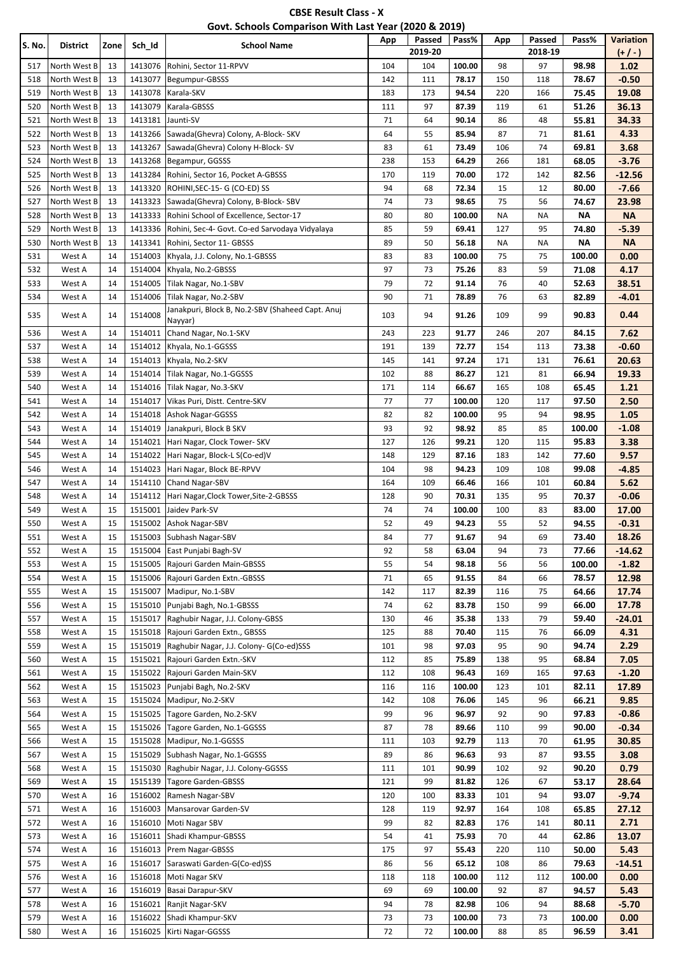| <b>CBSE Result Class - X</b>                          |
|-------------------------------------------------------|
| Govt. Schools Comparison With Last Year (2020 & 2019) |

| <b>S. No.</b> | District                     | Zone     | Sch_Id             | <b>School Name</b>                                                | App        | Passed    | Pass%          | App       | Passed     | Pass%           | <b>Variation</b>    |
|---------------|------------------------------|----------|--------------------|-------------------------------------------------------------------|------------|-----------|----------------|-----------|------------|-----------------|---------------------|
|               |                              |          |                    |                                                                   |            | 2019-20   |                |           | 2018-19    |                 | $(+ / -)$           |
| 517           | North West B                 | 13       | 1413076            | Rohini, Sector 11-RPVV                                            | 104        | 104       | 100.00         | 98        | 97         | 98.98           | 1.02                |
| 518           | North West B                 | 13       | 1413077            | Begumpur-GBSSS                                                    | 142        | 111       | 78.17          | 150       | 118        | 78.67           | $-0.50$             |
| 519           | North West B                 | 13       | 1413078            | Karala-SKV                                                        | 183        | 173       | 94.54          | 220       | 166        | 75.45           | 19.08               |
| 520           | North West B                 | 13       | 1413079            | Karala-GBSSS                                                      | 111        | 97        | 87.39          | 119       | 61         | 51.26           | 36.13               |
| 521           | North West B                 | 13       | 1413181            | Jaunti-SV                                                         | 71         | 64        | 90.14          | 86        | 48         | 55.81           | 34.33               |
| 522           | North West B                 | 13       | 1413266            | Sawada(Ghevra) Colony, A-Block- SKV                               | 64         | 55        | 85.94          | 87        | 71         | 81.61           | 4.33                |
| 523           | North West B                 | 13       | 1413267            | Sawada(Ghevra) Colony H-Block-SV                                  | 83         | 61        | 73.49          | 106       | 74         | 69.81           | 3.68                |
| 524<br>525    | North West B<br>North West B | 13       | 1413268            | Begampur, GGSSS                                                   | 238<br>170 | 153       | 64.29          | 266       | 181<br>142 | 68.05           | $-3.76$             |
| 526           | North West B                 | 13<br>13 | 1413284<br>1413320 | Rohini, Sector 16, Pocket A-GBSSS<br>ROHINI, SEC-15- G (CO-ED) SS | 94         | 119<br>68 | 70.00<br>72.34 | 172<br>15 | 12         | 82.56<br>80.00  | $-12.56$<br>$-7.66$ |
| 527           | North West B                 | 13       | 1413323            | Sawada(Ghevra) Colony, B-Block-SBV                                | 74         | 73        | 98.65          | 75        | 56         | 74.67           | 23.98               |
| 528           | North West B                 | 13       | 1413333            | Rohini School of Excellence, Sector-17                            | 80         | 80        | 100.00         | NA        | NA         | ΝA              | <b>NA</b>           |
| 529           | North West B                 | 13       | 1413336            | Rohini, Sec-4- Govt. Co-ed Sarvodaya Vidyalaya                    | 85         | 59        | 69.41          | 127       | 95         | 74.80           | $-5.39$             |
| 530           | North West B                 | 13       | 1413341            | Rohini, Sector 11- GBSSS                                          | 89         | 50        | 56.18          | NA        | NA         | <b>NA</b>       | <b>NA</b>           |
| 531           | West A                       | 14       | 1514003            | Khyala, J.J. Colony, No.1-GBSSS                                   | 83         | 83        | 100.00         | 75        | 75         | 100.00          | 0.00                |
| 532           | West A                       | 14       | 1514004            | Khyala, No.2-GBSSS                                                | 97         | 73        | 75.26          | 83        | 59         | 71.08           | 4.17                |
| 533           | West A                       | 14       | 1514005            | Tilak Nagar, No.1-SBV                                             | 79         | 72        | 91.14          | 76        | 40         | 52.63           | 38.51               |
| 534           | West A                       | 14       | 1514006            | Tilak Nagar, No.2-SBV                                             | 90         | 71        | 78.89          | 76        | 63         | 82.89           | -4.01               |
|               |                              |          |                    | Janakpuri, Block B, No.2-SBV (Shaheed Capt. Anuj                  |            |           |                |           |            |                 |                     |
| 535           | West A                       | 14       | 1514008            | Nayyar)                                                           | 103        | 94        | 91.26          | 109       | 99         | 90.83           | 0.44                |
| 536           | West A                       | 14       | 1514011            | Chand Nagar, No.1-SKV                                             | 243        | 223       | 91.77          | 246       | 207        | 84.15           | 7.62                |
| 537           | West A                       | 14       | 1514012            | Khyala, No.1-GGSSS                                                | 191        | 139       | 72.77          | 154       | 113        | 73.38           | $-0.60$             |
| 538           | West A                       | 14       | 1514013            | Khyala, No.2-SKV                                                  | 145        | 141       | 97.24          | 171       | 131        | 76.61           | 20.63               |
| 539           | West A                       | 14       |                    | 1514014 Tilak Nagar, No.1-GGSSS                                   | 102        | 88        | 86.27          | 121       | 81         | 66.94           | 19.33               |
| 540           | West A                       | 14       | 1514016            | Tilak Nagar, No.3-SKV                                             | 171        | 114       | 66.67          | 165       | 108        | 65.45           | 1.21                |
| 541           | West A                       | 14       | 1514017            | Vikas Puri, Distt. Centre-SKV                                     | 77         | 77        | 100.00         | 120       | 117        | 97.50           | 2.50                |
| 542           | West A                       | 14       | 1514018            | Ashok Nagar-GGSSS                                                 | 82         | 82        | 100.00         | 95        | 94         | 98.95           | 1.05                |
| 543           | West A                       | 14       | 1514019            | Janakpuri, Block B SKV                                            | 93         | 92        | 98.92          | 85        | 85         | 100.00          | $-1.08$             |
| 544           | West A                       | 14       | 1514021            | Hari Nagar, Clock Tower- SKV                                      | 127        | 126       | 99.21          | 120       | 115        | 95.83           | 3.38                |
| 545           | West A                       | 14       | 1514022            | Hari Nagar, Block-L S(Co-ed)V                                     | 148        | 129       | 87.16          | 183       | 142        | 77.60           | 9.57                |
| 546           | West A                       | 14       | 1514023            | Hari Nagar, Block BE-RPVV                                         | 104        | 98        | 94.23          | 109       | 108        | 99.08           | $-4.85$             |
| 547           | West A                       | 14       | 1514110            | Chand Nagar-SBV                                                   | 164        | 109       | 66.46          | 166       | 101        | 60.84           | 5.62                |
| 548           | West A                       | 14       | 1514112            | Hari Nagar, Clock Tower, Site-2-GBSSS                             | 128        | 90        | 70.31          | 135       | 95         | 70.37           | $-0.06$             |
| 549           | West A                       | 15       | 1515001            | Jaidev Park-SV                                                    | 74         | 74        | 100.00         | 100       | 83         | 83.00           | 17.00               |
| 550<br>551    | West A                       | 15<br>15 | 1515002            | <b>Ashok Nagar-SBV</b>                                            | 52<br>84   | 49<br>77  | 94.23          | 55<br>94  | 52         | 94.55           | $-0.31$             |
|               | West A                       |          |                    | 1515003 Subhash Nagar-SBV                                         |            |           | 91.67          |           | 69         | 73.40           | 18.26               |
| 552<br>553    | West A<br>West A             | 15<br>15 | 1515005            | 1515004 East Punjabi Bagh-SV<br>Rajouri Garden Main-GBSSS         | 92<br>55   | 58<br>54  | 63.04<br>98.18 | 94<br>56  | 73<br>56   | 77.66           | $-14.62$            |
| 554           | West A                       | 15       |                    | 1515006 Rajouri Garden Extn.-GBSSS                                | 71         | 65        | 91.55          | 84        | 66         | 100.00<br>78.57 | $-1.82$<br>12.98    |
| 555           | West A                       | 15       | 1515007            | Madipur, No.1-SBV                                                 | 142        | 117       | 82.39          | 116       | 75         | 64.66           | 17.74               |
| 556           | West A                       | 15       | 1515010            | Punjabi Bagh, No.1-GBSSS                                          | 74         | 62        | 83.78          | 150       | 99         | 66.00           | 17.78               |
| 557           | West A                       | 15       | 1515017            | Raghubir Nagar, J.J. Colony-GBSS                                  | 130        | 46        | 35.38          | 133       | 79         | 59.40           | $-24.01$            |
| 558           | West A                       | 15       |                    | 1515018 Rajouri Garden Extn., GBSSS                               | 125        | 88        | 70.40          | 115       | 76         | 66.09           | 4.31                |
| 559           | West A                       | 15       |                    | 1515019 Raghubir Nagar, J.J. Colony- G(Co-ed)SSS                  | 101        | 98        | 97.03          | 95        | 90         | 94.74           | 2.29                |
| 560           | West A                       | 15       | 1515021            | Rajouri Garden Extn.-SKV                                          | 112        | 85        | 75.89          | 138       | 95         | 68.84           | 7.05                |
| 561           | West A                       | 15       |                    | 1515022 Rajouri Garden Main-SKV                                   | 112        | 108       | 96.43          | 169       | 165        | 97.63           | $-1.20$             |
| 562           | West A                       | 15       |                    | 1515023 Punjabi Bagh, No.2-SKV                                    | 116        | 116       | 100.00         | 123       | 101        | 82.11           | 17.89               |
| 563           | West A                       | 15       |                    | 1515024 Madipur, No.2-SKV                                         | 142        | 108       | 76.06          | 145       | 96         | 66.21           | 9.85                |
| 564           | West A                       | 15       |                    | 1515025 Tagore Garden, No.2-SKV                                   | 99         | 96        | 96.97          | 92        | 90         | 97.83           | $-0.86$             |
| 565           | West A                       | 15       |                    | 1515026 Tagore Garden, No.1-GGSSS                                 | 87         | 78        | 89.66          | 110       | 99         | 90.00           | $-0.34$             |
| 566           | West A                       | 15       |                    | 1515028 Madipur, No.1-GGSSS                                       | 111        | 103       | 92.79          | 113       | 70         | 61.95           | 30.85               |
| 567           | West A                       | 15       |                    | 1515029 Subhash Nagar, No.1-GGSSS                                 | 89         | 86        | 96.63          | 93        | 87         | 93.55           | 3.08                |
| 568           | West A                       | 15       |                    | 1515030 Raghubir Nagar, J.J. Colony-GGSSS                         | 111        | 101       | 90.99          | 102       | 92         | 90.20           | 0.79                |
| 569           | West A                       | 15       |                    | 1515139 Tagore Garden-GBSSS                                       | 121        | 99        | 81.82          | 126       | 67         | 53.17           | 28.64               |
| 570           | West A                       | 16       |                    | 1516002 Ramesh Nagar-SBV                                          | 120        | 100       | 83.33          | 101       | 94         | 93.07           | $-9.74$             |
| 571           | West A                       | 16       |                    | 1516003 Mansarovar Garden-SV                                      | 128        | 119       | 92.97          | 164       | 108        | 65.85           | 27.12               |
| 572           | West A                       | 16       |                    | 1516010 Moti Nagar SBV                                            | 99         | 82        | 82.83          | 176       | 141        | 80.11           | 2.71                |
| 573           | West A                       | 16       |                    | 1516011 Shadi Khampur-GBSSS                                       | 54         | 41        | 75.93          | 70        | 44         | 62.86           | 13.07               |
| 574           | West A                       | 16       |                    | 1516013 Prem Nagar-GBSSS                                          | 175        | 97        | 55.43          | 220       | 110        | 50.00           | 5.43                |
| 575           | West A                       | 16       |                    | 1516017 Saraswati Garden-G(Co-ed)SS                               | 86         | 56        | 65.12          | 108       | 86         | 79.63           | $-14.51$            |
| 576           | West A                       | 16       |                    | 1516018 Moti Nagar SKV                                            | 118        | 118       | 100.00         | 112       | 112        | 100.00          | 0.00                |
| 577           | West A                       | 16       |                    | 1516019 Basai Darapur-SKV                                         | 69         | 69        | 100.00         | 92        | 87         | 94.57           | 5.43                |
| 578           | West A                       | 16       | 1516021            | Ranjit Nagar-SKV                                                  | 94         | 78        | 82.98          | 106       | 94         | 88.68           | $-5.70$             |
| 579           | West A                       | 16       |                    | 1516022 Shadi Khampur-SKV                                         | 73         | 73        | 100.00         | 73        | 73         | 100.00          | 0.00                |
| 580           | West A                       | 16       |                    | 1516025 Kirti Nagar-GGSSS                                         | 72         | 72        | 100.00         | 88        | 85         | 96.59           | 3.41                |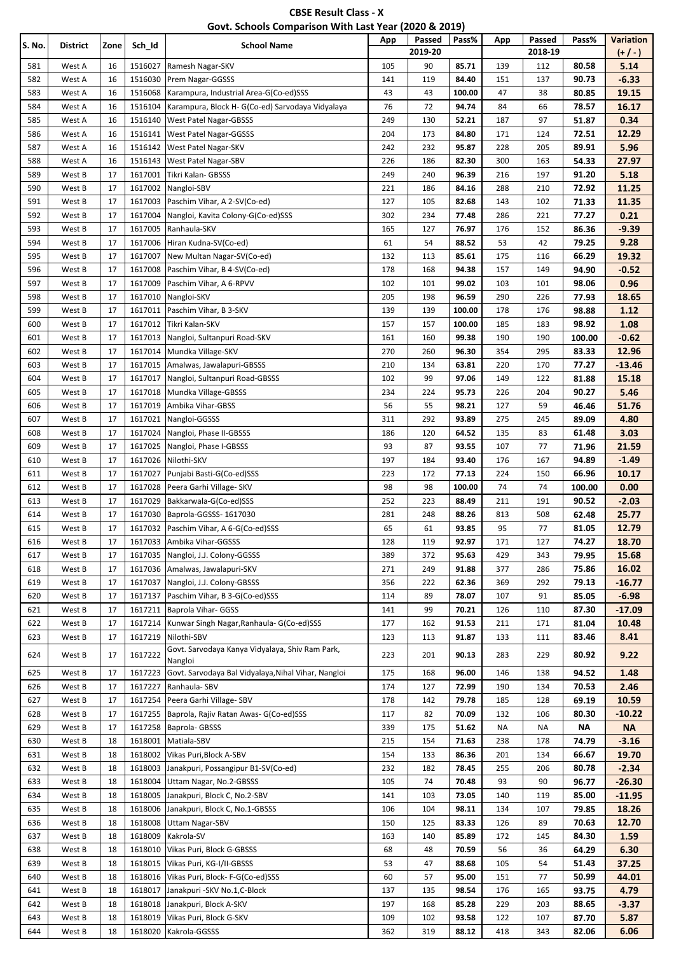| <b>CBSE Result Class - X</b>                          |
|-------------------------------------------------------|
| Govt. Schools Comparison With Last Year (2020 & 2019) |

| S. No.     | <b>District</b>  | Zone     | Sch_Id             | <b>School Name</b>                                         | App        | Passed<br>2019-20 | Pass%          | App        | Passed<br>2018-19 | Pass%          | <b>Variation</b><br>(+/-) |
|------------|------------------|----------|--------------------|------------------------------------------------------------|------------|-------------------|----------------|------------|-------------------|----------------|---------------------------|
| 581        | West A           | 16       | 1516027            | Ramesh Nagar-SKV                                           | 105        | 90                | 85.71          | 139        | 112               | 80.58          | 5.14                      |
| 582        | West A           | 16       | 1516030            | Prem Nagar-GGSSS                                           | 141        | 119               | 84.40          | 151        | 137               | 90.73          | $-6.33$                   |
| 583        | West A           | 16       | 1516068            | Karampura, Industrial Area-G(Co-ed)SSS                     | 43         | 43                | 100.00         | 47         | 38                | 80.85          | 19.15                     |
| 584        | West A           | 16       | 1516104            | Karampura, Block H- G(Co-ed) Sarvodaya Vidyalaya           | 76         | 72                | 94.74          | 84         | 66                | 78.57          | 16.17                     |
| 585        | West A           | 16       | 1516140            | <b>West Patel Nagar-GBSSS</b>                              | 249        | 130               | 52.21          | 187        | 97                | 51.87          | 0.34                      |
| 586        | West A           | 16       | 1516141            | West Patel Nagar-GGSSS                                     | 204        | 173               | 84.80          | 171        | 124               | 72.51          | 12.29                     |
| 587        | West A           | 16       | 1516142            | West Patel Nagar-SKV                                       | 242        | 232               | 95.87          | 228        | 205               | 89.91          | 5.96                      |
| 588        | West A           | 16       | 1516143            | West Patel Nagar-SBV                                       | 226        | 186               | 82.30          | 300        | 163               | 54.33          | 27.97                     |
| 589        | West B           | 17       | 1617001            | Tikri Kalan- GBSSS                                         | 249        | 240               | 96.39          | 216        | 197               | 91.20          | 5.18                      |
| 590        | West B           | 17       | 1617002            | Nangloi-SBV                                                | 221        | 186               | 84.16          | 288        | 210               | 72.92          | 11.25                     |
| 591        | West B           | 17       | 1617003            | Paschim Vihar, A 2-SV(Co-ed)                               | 127        | 105               | 82.68          | 143        | 102               | 71.33          | 11.35                     |
| 592        | West B           | 17       | 1617004            | Nangloi, Kavita Colony-G(Co-ed)SSS                         | 302        | 234               | 77.48          | 286        | 221               | 77.27          | 0.21                      |
| 593        | West B           | 17       | 1617005            | Ranhaula-SKV                                               | 165        | 127               | 76.97          | 176        | 152               | 86.36          | $-9.39$                   |
| 594        | West B           | 17<br>17 | 1617006<br>1617007 | Hiran Kudna-SV(Co-ed)                                      | 61<br>132  | 54                | 88.52          | 53         | 42                | 79.25          | 9.28<br>19.32             |
| 595<br>596 | West B<br>West B | 17       | 1617008            | New Multan Nagar-SV(Co-ed)<br>Paschim Vihar, B 4-SV(Co-ed) | 178        | 113<br>168        | 85.61<br>94.38 | 175<br>157 | 116<br>149        | 66.29<br>94.90 | $-0.52$                   |
| 597        | West B           | 17       | 1617009            | Paschim Vihar, A 6-RPVV                                    | 102        | 101               | 99.02          | 103        | 101               | 98.06          | 0.96                      |
| 598        | West B           | 17       | 1617010            | Nangloi-SKV                                                | 205        | 198               | 96.59          | 290        | 226               | 77.93          | 18.65                     |
| 599        | West B           | $17\,$   | 1617011            | Paschim Vihar, B 3-SKV                                     | 139        | 139               | 100.00         | 178        | 176               | 98.88          | 1.12                      |
| 600        | West B           | 17       | 1617012            | Tikri Kalan-SKV                                            | 157        | 157               | 100.00         | 185        | 183               | 98.92          | 1.08                      |
| 601        | West B           | 17       | 1617013            | Nangloi, Sultanpuri Road-SKV                               | 161        | 160               | 99.38          | 190        | 190               | 100.00         | $-0.62$                   |
| 602        | West B           | 17       | 1617014            | Mundka Village-SKV                                         | 270        | 260               | 96.30          | 354        | 295               | 83.33          | 12.96                     |
| 603        | West B           | 17       | 1617015            | Amalwas, Jawalapuri-GBSSS                                  | 210        | 134               | 63.81          | 220        | 170               | 77.27          | $-13.46$                  |
| 604        | West B           | 17       | 1617017            | Nangloi, Sultanpuri Road-GBSSS                             | 102        | 99                | 97.06          | 149        | 122               | 81.88          | 15.18                     |
| 605        | West B           | 17       | 1617018            | Mundka Village-GBSSS                                       | 234        | 224               | 95.73          | 226        | 204               | 90.27          | 5.46                      |
| 606        | West B           | 17       | 1617019            | Ambika Vihar-GBSS                                          | 56         | 55                | 98.21          | 127        | 59                | 46.46          | 51.76                     |
| 607        | West B           | $17\,$   | 1617021            | Nangloi-GGSSS                                              | 311        | 292               | 93.89          | 275        | 245               | 89.09          | 4.80                      |
| 608        | West B           | 17       | 1617024            | Nangloi, Phase II-GBSSS                                    | 186        | 120               | 64.52          | 135        | 83                | 61.48          | 3.03                      |
| 609        | West B           | 17       | 1617025            | Nangloi, Phase I-GBSSS                                     | 93         | 87                | 93.55          | 107        | 77                | 71.96          | 21.59                     |
| 610        | West B           | 17       | 1617026            | Nilothi-SKV                                                | 197        | 184               | 93.40          | 176        | 167               | 94.89          | $-1.49$                   |
| 611        | West B           | 17       | 1617027            | Punjabi Basti-G(Co-ed)SSS                                  | 223        | 172               | 77.13          | 224        | 150               | 66.96          | 10.17                     |
| 612        | West B           | 17       | 1617028            | Peera Garhi Village- SKV                                   | 98         | 98                | 100.00         | 74         | 74                | 100.00         | 0.00                      |
| 613        | West B           | 17       | 1617029            | Bakkarwala-G(Co-ed)SSS                                     | 252        | 223               | 88.49          | 211        | 191               | 90.52          | $-2.03$                   |
| 614        | West B           | 17       | 1617030            | Baprola-GGSSS-1617030                                      | 281        | 248               | 88.26          | 813        | 508               | 62.48          | 25.77                     |
| 615        | West B           | 17       | 1617032            | Paschim Vihar, A 6-G(Co-ed)SSS                             | 65         | 61                | 93.85          | 95         | 77                | 81.05          | 12.79                     |
| 616        | West B           | 17       |                    | 1617033 Ambika Vihar-GGSSS                                 | 128        | 119               | 92.97          | 171        | 127               | 74.27          | 18.70                     |
| 617        | West B           | 17       | 1617035            | Nangloi, J.J. Colony-GGSSS                                 | 389        | 372               | 95.63          | 429        | 343               | 79.95          | 15.68                     |
| 618        | West B           | 17       | 1617036            | Amalwas, Jawalapuri-SKV                                    | 271        | 249               | 91.88          | 377        | 286               | 75.86          | 16.02                     |
| 619        | West B           | 17       | 1617037            | Nangloi, J.J. Colony-GBSSS                                 | 356        | 222               | 62.36          | 369        | 292               | 79.13          | -16.77                    |
| 620        | West B           | 17       | 1617137            | Paschim Vihar, B 3-G(Co-ed)SSS                             | 114        | 89                | 78.07          | 107        | 91                | 85.05          | $-6.98$                   |
| 621        | West B           | 17       |                    | 1617211   Baprola Vihar- GGSS                              | 141        | 99                | 70.21          | 126        | 110               | 87.30          | -17.09                    |
| 622        | West B           | 17       | 1617214            | Kunwar Singh Nagar, Ranhaula- G(Co-ed)SSS                  | 177        | 162               | 91.53          | 211        | 171               | 81.04          | 10.48                     |
| 623        | West B           | 17       | 1617219            | Nilothi-SBV                                                | 123        | 113               | 91.87          | 133        | 111               | 83.46          | 8.41                      |
| 624        | West B           | 17       | 1617222            | Govt. Sarvodaya Kanya Vidyalaya, Shiv Ram Park,<br>Nangloi | 223        | 201               | 90.13          | 283        | 229               | 80.92          | 9.22                      |
| 625        | West B           | 17       | 1617223            | Govt. Sarvodaya Bal Vidyalaya, Nihal Vihar, Nangloi        | 175        | 168               | 96.00          | 146        | 138               | 94.52          | 1.48                      |
| 626        | West B           | 17       | 1617227            | Ranhaula-SBV                                               | 174        | 127               | 72.99          | 190        | 134               | 70.53          | 2.46                      |
| 627        | West B           | 17       | 1617254            | Peera Garhi Village- SBV                                   | 178        | 142               | 79.78          | 185        | 128               | 69.19          | 10.59                     |
| 628        | West B           | 17       | 1617255            | Baprola, Rajiv Ratan Awas- G(Co-ed)SSS                     | 117        | 82                | 70.09          | 132        | 106               | 80.30          | $-10.22$                  |
| 629        | West B           | 17       | 1617258            | Baprola-GBSSS                                              | 339        | 175               | 51.62          | ΝA         | ΝA                | ΝA             | <b>NA</b>                 |
| 630        | West B           | 18       | 1618001            | Matiala-SBV                                                | 215        | 154               | 71.63          | 238        | 178               | 74.79          | $-3.16$                   |
| 631        | West B           | 18       | 1618002            | Vikas Puri, Block A-SBV                                    | 154        | 133               | 86.36          | 201        | 134               | 66.67          | 19.70                     |
| 632        | West B           | 18       | 1618003            | Janakpuri, Possangipur B1-SV(Co-ed)                        | 232        | 182               | 78.45          | 255        | 206               | 80.78          | $-2.34$                   |
| 633        | West B           | 18       | 1618004            | Uttam Nagar, No.2-GBSSS                                    | 105        | 74                | 70.48          | 93         | 90                | 96.77          | $-26.30$                  |
| 634        | West B           | 18       | 1618005            | Janakpuri, Block C, No.2-SBV                               | 141        | 103               | 73.05          | 140        | 119               | 85.00          | $-11.95$                  |
| 635        | West B           | 18       | 1618006            | Janakpuri, Block C, No.1-GBSSS                             | 106        | 104               | 98.11          | 134        | 107               | 79.85          | 18.26                     |
| 636        | West B           | 18       | 1618008            | <b>Uttam Nagar-SBV</b>                                     | 150        | 125               | 83.33          | 126        | 89                | 70.63          | 12.70                     |
| 637        | West B           | 18       | 1618009            | Kakrola-SV                                                 | 163        | 140               | 85.89          | 172        | 145               | 84.30          | 1.59                      |
| 638        | West B           | 18       | 1618010            | Vikas Puri, Block G-GBSSS                                  | 68         | 48                | 70.59          | 56         | 36                | 64.29          | 6.30                      |
| 639        | West B           | 18       | 1618015            | Vikas Puri, KG-I/II-GBSSS                                  | 53         | 47                | 88.68          | 105        | 54                | 51.43          | 37.25                     |
| 640        | West B           | 18       | 1618016            | Vikas Puri, Block- F-G(Co-ed)SSS                           | 60         | 57                | 95.00          | 151        | 77                | 50.99          | 44.01                     |
| 641        | West B           | 18       | 1618017            | Janakpuri - SKV No.1, C-Block                              | 137        | 135               | 98.54          | 176        | 165               | 93.75          | 4.79                      |
| 642        | West B           | 18       | 1618018            | Janakpuri, Block A-SKV                                     | 197        | 168               | 85.28          | 229        | 203               | 88.65          | $-3.37$                   |
| 643<br>644 | West B<br>West B | 18<br>18 | 1618019<br>1618020 | Vikas Puri, Block G-SKV<br>Kakrola-GGSSS                   | 109<br>362 | 102<br>319        | 93.58<br>88.12 | 122<br>418 | 107<br>343        | 87.70<br>82.06 | 5.87<br>6.06              |
|            |                  |          |                    |                                                            |            |                   |                |            |                   |                |                           |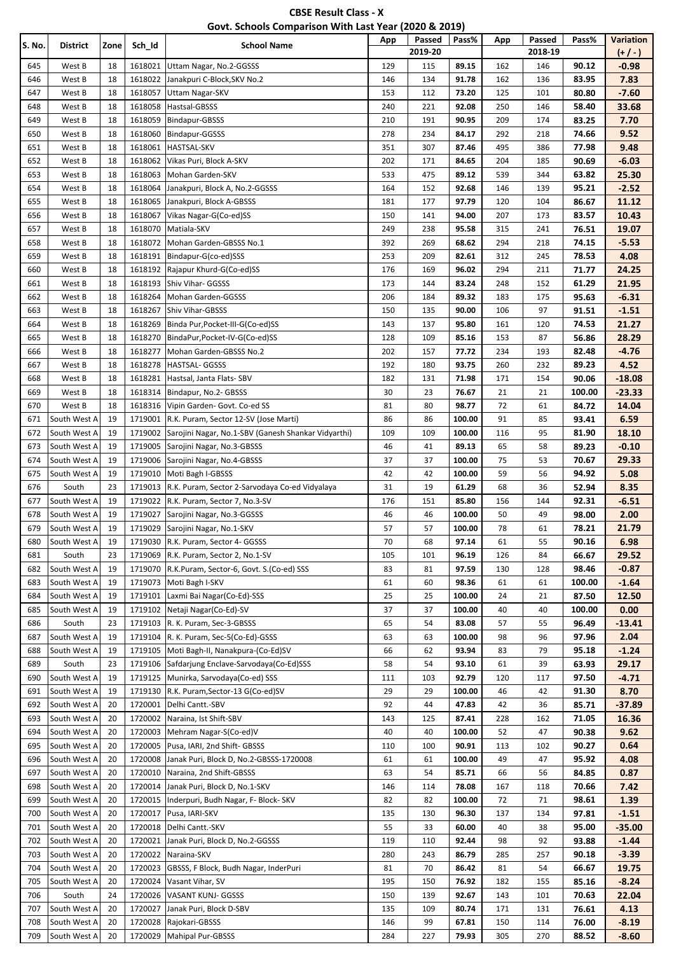| <b>CBSE Result Class - X</b>                          |  |
|-------------------------------------------------------|--|
| Govt. Schools Comparison With Last Year (2020 & 2019) |  |

| S. No.     | <b>District</b>              | Zone     | Sch_Id             | <b>School Name</b>                                                   | App        | Passed<br>2019-20 | Pass%          | App        | Passed<br>2018-19 | Pass%          | <b>Variation</b><br>$(+/-)$ |
|------------|------------------------------|----------|--------------------|----------------------------------------------------------------------|------------|-------------------|----------------|------------|-------------------|----------------|-----------------------------|
| 645        | West B                       | 18       | 1618021            | Uttam Nagar, No.2-GGSSS                                              | 129        | 115               | 89.15          | 162        | 146               | 90.12          | $-0.98$                     |
| 646        | West B                       | 18       | 1618022            | Janakpuri C-Block, SKV No.2                                          | 146        | 134               | 91.78          | 162        | 136               | 83.95          | 7.83                        |
| 647        | West B                       | 18       | 1618057            | <b>Uttam Nagar-SKV</b>                                               | 153        | 112               | 73.20          | 125        | 101               | 80.80          | $-7.60$                     |
| 648        | West B                       | 18       | 1618058            | Hastsal-GBSSS                                                        | 240        | 221               | 92.08          | 250        | 146               | 58.40          | 33.68                       |
| 649        | West B                       | 18       | 1618059            | Bindapur-GBSSS                                                       | 210        | 191               | 90.95          | 209        | 174               | 83.25          | 7.70                        |
| 650        | West B                       | 18       | 1618060            | Bindapur-GGSSS                                                       | 278        | 234               | 84.17          | 292        | 218               | 74.66          | 9.52                        |
| 651        | West B                       | 18       | 1618061            | HASTSAL-SKV                                                          | 351        | 307               | 87.46          | 495        | 386               | 77.98          | 9.48                        |
| 652        | West B                       | 18       | 1618062            | Vikas Puri, Block A-SKV                                              | 202        | 171               | 84.65          | 204        | 185               | 90.69          | $-6.03$                     |
| 653        | West B                       | 18       | 1618063            | Mohan Garden-SKV                                                     | 533        | 475               | 89.12          | 539        | 344               | 63.82          | 25.30                       |
| 654        | West B                       | 18       | 1618064            | Janakpuri, Block A, No.2-GGSSS                                       | 164        | 152               | 92.68          | 146        | 139               | 95.21          | $-2.52$                     |
| 655<br>656 | West B<br>West B             | 18<br>18 | 1618065<br>1618067 | Janakpuri, Block A-GBSSS<br>Vikas Nagar-G(Co-ed)SS                   | 181<br>150 | 177<br>141        | 97.79<br>94.00 | 120<br>207 | 104<br>173        | 86.67          | 11.12<br>10.43              |
| 657        | West B                       | 18       | 1618070            | Matiala-SKV                                                          | 249        | 238               | 95.58          | 315        | 241               | 83.57<br>76.51 | 19.07                       |
| 658        | West B                       | 18       | 1618072            | Mohan Garden-GBSSS No.1                                              | 392        | 269               | 68.62          | 294        | 218               | 74.15          | $-5.53$                     |
| 659        | West B                       | 18       | 1618191            | Bindapur-G(co-ed)SSS                                                 | 253        | 209               | 82.61          | 312        | 245               | 78.53          | 4.08                        |
| 660        | West B                       | 18       |                    | 1618192 Rajapur Khurd-G(Co-ed)SS                                     | 176        | 169               | 96.02          | 294        | 211               | 71.77          | 24.25                       |
| 661        | West B                       | 18       | 1618193            | Shiv Vihar- GGSSS                                                    | 173        | 144               | 83.24          | 248        | 152               | 61.29          | 21.95                       |
| 662        | West B                       | 18       | 1618264            | Mohan Garden-GGSSS                                                   | 206        | 184               | 89.32          | 183        | 175               | 95.63          | $-6.31$                     |
| 663        | West B                       | 18       | 1618267            | Shiv Vihar-GBSSS                                                     | 150        | 135               | 90.00          | 106        | 97                | 91.51          | $-1.51$                     |
| 664        | West B                       | 18       | 1618269            | Binda Pur, Pocket-III-G(Co-ed)SS                                     | 143        | 137               | 95.80          | 161        | 120               | 74.53          | 21.27                       |
| 665        | West B                       | 18       | 1618270            | BindaPur, Pocket-IV-G(Co-ed)SS                                       | 128        | 109               | 85.16          | 153        | 87                | 56.86          | 28.29                       |
| 666        | West B                       | 18       | 1618277            | Mohan Garden-GBSSS No.2                                              | 202        | 157               | 77.72          | 234        | 193               | 82.48          | $-4.76$                     |
| 667        | West B                       | 18       | 1618278            | HASTSAL- GGSSS                                                       | 192        | 180               | 93.75          | 260        | 232               | 89.23          | 4.52                        |
| 668        | West B                       | 18       | 1618281            | Hastsal, Janta Flats-SBV                                             | 182        | 131               | 71.98          | 171        | 154               | 90.06          | $-18.08$                    |
| 669        | West B                       | 18       | 1618314            | Bindapur, No.2- GBSSS                                                | 30         | 23                | 76.67          | 21         | 21                | 100.00         | $-23.33$                    |
| 670        | West B                       | 18       | 1618316            | Vipin Garden- Govt. Co-ed SS                                         | 81         | 80                | 98.77          | 72         | 61                | 84.72          | 14.04                       |
| 671        | South West A                 | 19       | 1719001            | R.K. Puram, Sector 12-SV (Jose Marti)                                | 86         | 86                | 100.00         | 91         | 85                | 93.41          | 6.59                        |
| 672        | South West A                 | 19       | 1719002            | Sarojini Nagar, No.1-SBV (Ganesh Shankar Vidyarthi)                  | 109        | 109               | 100.00         | 116        | 95                | 81.90          | 18.10                       |
| 673        | South West A                 | 19       | 1719005            | Sarojini Nagar, No.3-GBSSS                                           | 46         | 41                | 89.13          | 65         | 58                | 89.23          | $-0.10$                     |
| 674        | South West A                 | 19       | 1719006            | Sarojini Nagar, No.4-GBSSS                                           | 37         | 37                | 100.00         | 75         | 53                | 70.67          | 29.33                       |
| 675        | South West A                 | 19       | 1719010            | Moti Bagh I-GBSSS                                                    | 42         | 42                | 100.00         | 59         | 56                | 94.92          | 5.08                        |
| 676        | South                        | 23       |                    | 1719013 R.K. Puram, Sector 2-Sarvodaya Co-ed Vidyalaya               | 31         | 19                | 61.29          | 68         | 36                | 52.94          | 8.35                        |
| 677        | South West A                 | 19       | 1719022            | R.K. Puram, Sector 7, No.3-SV                                        | 176        | 151               | 85.80          | 156        | 144               | 92.31          | $-6.51$                     |
| 678        | South West A                 | 19       | 1719027            | Sarojini Nagar, No.3-GGSSS                                           | 46         | 46                | 100.00         | 50         | 49                | 98.00          | 2.00                        |
| 679        | South West A                 | 19       | 1719029            | Sarojini Nagar, No.1-SKV                                             | 57         | 57                | 100.00         | 78         | 61                | 78.21          | 21.79                       |
| 680<br>681 | South West A<br>South        | 19<br>23 | 1719069            | 1719030 R.K. Puram, Sector 4- GGSSS<br>R.K. Puram, Sector 2, No.1-SV | 70<br>105  | 68<br>101         | 97.14<br>96.19 | 61<br>126  | 55<br>84          | 90.16<br>66.67 | 6.98                        |
| 682        | South West A                 | 19       | 1719070            | R.K.Puram, Sector-6, Govt. S.(Co-ed) SSS                             | 83         | 81                | 97.59          | 130        | 128               | 98.46          | 29.52<br>$-0.87$            |
| 683        | South West A                 | 19       |                    | 1719073 Moti Bagh I-SKV                                              | 61         | 60                | 98.36          | 61         | 61                | 100.00         | $-1.64$                     |
| 684        | South West A                 | 19       | 1719101            | Laxmi Bai Nagar (Co-Ed)-SSS                                          | 25         | 25                | 100.00         | 24         | 21                | 87.50          | 12.50                       |
| 685        | South West A                 | 19       | 1719102            | Netaji Nagar (Co-Ed)-SV                                              | 37         | 37                | 100.00         | 40         | 40                | 100.00         | 0.00                        |
| 686        | South                        | 23       |                    | 1719103 R. K. Puram, Sec-3-GBSSS                                     | 65         | 54                | 83.08          | 57         | 55                | 96.49          | $-13.41$                    |
| 687        | South West A                 | 19       |                    | 1719104 R. K. Puram, Sec-5(Co-Ed)-GSSS                               | 63         | 63                | 100.00         | 98         | 96                | 97.96          | 2.04                        |
| 688        | South West A                 | 19       | 1719105            | Moti Bagh-II, Nanakpura-(Co-Ed)SV                                    | 66         | 62                | 93.94          | 83         | 79                | 95.18          | $-1.24$                     |
| 689        | South                        | 23       | 1719106            | Safdarjung Enclave-Sarvodaya(Co-Ed)SSS                               | 58         | 54                | 93.10          | 61         | 39                | 63.93          | 29.17                       |
| 690        | South West A                 | 19       |                    | 1719125 Munirka, Sarvodaya(Co-ed) SSS                                | 111        | 103               | 92.79          | 120        | 117               | 97.50          | $-4.71$                     |
| 691        | South West A                 | 19       | 1719130            | R.K. Puram, Sector-13 G(Co-ed)SV                                     | 29         | 29                | 100.00         | 46         | 42                | 91.30          | 8.70                        |
| 692        | South West A                 | 20       | 1720001            | Delhi Cantt.-SBV                                                     | 92         | 44                | 47.83          | 42         | 36                | 85.71          | $-37.89$                    |
| 693        | South West A                 | 20       | 1720002            | Naraina, Ist Shift-SBV                                               | 143        | 125               | 87.41          | 228        | 162               | 71.05          | 16.36                       |
| 694        | South West A                 | 20       | 1720003            | Mehram Nagar-S(Co-ed)V                                               | 40         | 40                | 100.00         | 52         | 47                | 90.38          | 9.62                        |
| 695        | South West A                 | 20       | 1720005            | Pusa, IARI, 2nd Shift- GBSSS                                         | 110        | 100               | 90.91          | 113        | 102               | 90.27          | 0.64                        |
| 696        | South West A                 | 20       | 1720008            | Janak Puri, Block D, No.2-GBSSS-1720008                              | 61         | 61                | 100.00         | 49         | 47                | 95.92          | 4.08                        |
| 697        | South West A                 | 20       | 1720010            | Naraina, 2nd Shift-GBSSS                                             | 63         | 54                | 85.71          | 66         | 56                | 84.85          | 0.87                        |
| 698        | South West A                 | 20       | 1720014            | Janak Puri, Block D, No.1-SKV                                        | 146        | 114               | 78.08          | 167        | 118               | 70.66          | 7.42                        |
| 699        | South West A                 | 20       | 1720015            | Inderpuri, Budh Nagar, F- Block- SKV                                 | 82         | 82                | 100.00         | 72         | 71                | 98.61          | 1.39                        |
| 700        | South West A                 | 20       | 1720017            | Pusa, IARI-SKV                                                       | 135        | 130               | 96.30          | 137        | 134               | 97.81          | $-1.51$                     |
| 701<br>702 | South West A<br>South West A | 20<br>20 | 1720018            | Delhi Cantt.-SKV                                                     | 55<br>119  | 33                | 60.00<br>92.44 | 40<br>98   | 38                | 95.00<br>93.88 | $-35.00$<br>$-1.44$         |
| 703        | South West A                 | 20       | 1720021<br>1720022 | Janak Puri, Block D, No.2-GGSSS<br>Naraina-SKV                       | 280        | 110<br>243        | 86.79          | 285        | 92<br>257         | 90.18          | $-3.39$                     |
| 704        | South West A                 | 20       | 1720023            | GBSSS, F Block, Budh Nagar, InderPuri                                | 81         | 70                | 86.42          | 81         | 54                | 66.67          | 19.75                       |
| 705        | South West A                 | 20       | 1720024            | Vasant Vihar, SV                                                     | 195        | 150               | 76.92          | 182        | 155               | 85.16          | $-8.24$                     |
| 706        | South                        | 24       | 1720026            | VASANT KUNJ- GGSSS                                                   | 150        | 139               | 92.67          | 143        | 101               | 70.63          | 22.04                       |
| 707        | South West A                 | 20       | 1720027            | Janak Puri, Block D-SBV                                              | 135        | 109               | 80.74          | 171        | 131               | 76.61          | 4.13                        |
| 708        | South West A                 | 20       | 1720028            | Rajokari-GBSSS                                                       | 146        | 99                | 67.81          | 150        | 114               | 76.00          | $-8.19$                     |
| 709        | South West A                 | 20       | 1720029            | <b>Mahipal Pur-GBSSS</b>                                             | 284        | 227               | 79.93          | 305        | 270               | 88.52          | $-8.60$                     |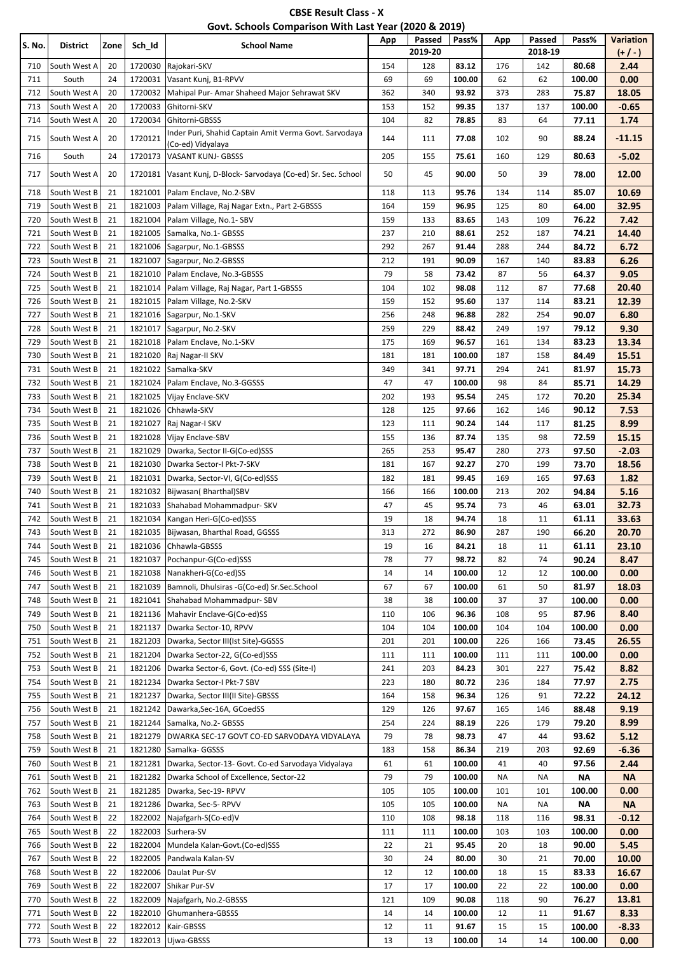| <b>CBSE Result Class - X</b>                          |
|-------------------------------------------------------|
| Govt. Schools Comparison With Last Year (2020 & 2019) |

| S. No. | District     | Zone | Sch_Id  | <b>School Name</b>                                                         | App | Passed<br>2019-20 | Pass%  | App | Passed<br>2018-19 | Pass%  | Variation<br>$(+/-)$ |
|--------|--------------|------|---------|----------------------------------------------------------------------------|-----|-------------------|--------|-----|-------------------|--------|----------------------|
| 710    | South West A | 20   | 1720030 | Rajokari-SKV                                                               | 154 | 128               | 83.12  | 176 | 142               | 80.68  | 2.44                 |
| 711    | South        | 24   | 1720031 | Vasant Kunj, B1-RPVV                                                       | 69  | 69                | 100.00 | 62  | 62                | 100.00 | 0.00                 |
| 712    | South West A | 20   | 1720032 | Mahipal Pur-Amar Shaheed Major Sehrawat SKV                                | 362 | 340               | 93.92  | 373 | 283               | 75.87  | 18.05                |
| 713    | South West A | 20   | 1720033 | Ghitorni-SKV                                                               | 153 | 152               | 99.35  | 137 | 137               | 100.00 | $-0.65$              |
| 714    | South West A | 20   | 1720034 | Ghitorni-GBSSS                                                             | 104 | 82                | 78.85  | 83  | 64                | 77.11  | 1.74                 |
| 715    | South West A | 20   | 1720121 | Inder Puri, Shahid Captain Amit Verma Govt. Sarvodaya<br>(Co-ed) Vidyalaya | 144 | 111               | 77.08  | 102 | 90                | 88.24  | $-11.15$             |
| 716    | South        | 24   | 1720173 | <b>VASANT KUNJ- GBSSS</b>                                                  | 205 | 155               | 75.61  | 160 | 129               | 80.63  | $-5.02$              |
| 717    | South West A | 20   | 1720181 | Vasant Kunj, D-Block- Sarvodaya (Co-ed) Sr. Sec. School                    | 50  | 45                | 90.00  | 50  | 39                | 78.00  | 12.00                |
| 718    | South West B | 21   | 1821001 | Palam Enclave, No.2-SBV                                                    | 118 | 113               | 95.76  | 134 | 114               | 85.07  | 10.69                |
| 719    | South West B | 21   | 1821003 | Palam Village, Raj Nagar Extn., Part 2-GBSSS                               | 164 | 159               | 96.95  | 125 | 80                | 64.00  | 32.95                |
| 720    | South West B | 21   | 1821004 | Palam Village, No.1-SBV                                                    | 159 | 133               | 83.65  | 143 | 109               | 76.22  | 7.42                 |
| 721    | South West B | 21   | 1821005 | Samalka, No.1- GBSSS                                                       | 237 | 210               | 88.61  | 252 | 187               | 74.21  | 14.40                |
| 722    | South West B | 21   | 1821006 | Sagarpur, No.1-GBSSS                                                       | 292 | 267               | 91.44  | 288 | 244               | 84.72  | 6.72                 |
| 723    | South West B | 21   | 1821007 | Sagarpur, No.2-GBSSS                                                       | 212 | 191               | 90.09  | 167 | 140               | 83.83  | 6.26                 |
| 724    | South West B | 21   | 1821010 | Palam Enclave, No.3-GBSSS                                                  | 79  | 58                | 73.42  | 87  | 56                | 64.37  | 9.05                 |
| 725    | South West B | 21   | 1821014 | Palam Village, Raj Nagar, Part 1-GBSSS                                     | 104 | 102               | 98.08  | 112 | 87                | 77.68  | 20.40                |
| 726    | South West B | 21   | 1821015 | Palam Village, No.2-SKV                                                    | 159 | 152               | 95.60  | 137 | 114               | 83.21  | 12.39                |
| 727    | South West B | 21   | 1821016 | Sagarpur, No.1-SKV                                                         | 256 | 248               | 96.88  | 282 | 254               | 90.07  | 6.80                 |
| 728    | South West B | 21   | 1821017 | Sagarpur, No.2-SKV                                                         | 259 | 229               | 88.42  | 249 | 197               | 79.12  | 9.30                 |
| 729    | South West B | 21   | 1821018 | Palam Enclave, No.1-SKV                                                    | 175 | 169               | 96.57  | 161 | 134               | 83.23  | 13.34                |
| 730    | South West B | 21   | 1821020 | Raj Nagar-II SKV                                                           | 181 | 181               | 100.00 | 187 | 158               | 84.49  | 15.51                |
| 731    | South West B | 21   | 1821022 | Samalka-SKV                                                                | 349 | 341               | 97.71  | 294 | 241               | 81.97  | 15.73                |
| 732    | South West B | 21   | 1821024 | Palam Enclave, No.3-GGSSS                                                  | 47  | 47                | 100.00 | 98  | 84                | 85.71  | 14.29                |
| 733    | South West B | 21   | 1821025 | Vijay Enclave-SKV                                                          | 202 | 193               | 95.54  | 245 | 172               | 70.20  | 25.34                |
| 734    | South West B | 21   | 1821026 | Chhawla-SKV                                                                | 128 | 125               | 97.66  | 162 | 146               | 90.12  | 7.53                 |
| 735    | South West B | 21   | 1821027 | Raj Nagar-I SKV                                                            | 123 | 111               | 90.24  | 144 | 117               | 81.25  | 8.99                 |
| 736    | South West B | 21   | 1821028 | Vijay Enclave-SBV                                                          | 155 | 136               | 87.74  | 135 | 98                | 72.59  | 15.15                |
| 737    | South West B | 21   | 1821029 | Dwarka, Sector II-G(Co-ed)SSS                                              | 265 | 253               | 95.47  | 280 | 273               | 97.50  | $-2.03$              |
| 738    | South West B | 21   | 1821030 | Dwarka Sector-I Pkt-7-SKV                                                  | 181 | 167               | 92.27  | 270 | 199               | 73.70  | 18.56                |
| 739    | South West B | 21   | 1821031 | Dwarka, Sector-VI, G(Co-ed)SSS                                             | 182 | 181               | 99.45  | 169 | 165               | 97.63  | 1.82                 |
| 740    | South West B | 21   | 1821032 | Bijwasan(Bharthal)SBV                                                      | 166 | 166               | 100.00 | 213 | 202               | 94.84  | 5.16                 |
| 741    | South West B | 21   | 1821033 | Shahabad Mohammadpur- SKV                                                  | 47  | 45                | 95.74  | 73  | 46                | 63.01  | 32.73                |
| 742    | South West B | 21   | 1821034 | Kangan Heri-G(Co-ed)SSS                                                    | 19  | 18                | 94.74  | 18  | 11                | 61.11  | 33.63                |
| 743    | South West B | 21   | 1821035 | Bijwasan, Bharthal Road, GGSSS                                             | 313 | 272               | 86.90  | 287 | 190               | 66.20  | 20.70                |
| 744    | South West B | 21   | 1821036 | Chhawla-GBSSS                                                              | 19  | 16                | 84.21  | 18  | 11                | 61.11  | 23.10                |
| 745    | South West B | 21   | 1821037 | Pochanpur-G(Co-ed)SSS                                                      | 78  | 77                | 98.72  | 82  | 74                | 90.24  | 8.47                 |
| 746    | South West B | 21   | 1821038 | Nanakheri-G(Co-ed)SS                                                       | 14  | 14                | 100.00 | 12  | 12                | 100.00 | 0.00                 |
| 747    | South West B | 21   | 1821039 | Bamnoli, Dhulsiras -G(Co-ed) Sr.Sec.School                                 | 67  | 67                | 100.00 | 61  | 50                | 81.97  | 18.03                |
| 748    | South West B | 21   | 1821041 | Shahabad Mohammadpur- SBV                                                  | 38  | 38                | 100.00 | 37  | 37                | 100.00 | 0.00                 |
| 749    | South West B | 21   | 1821136 | Mahavir Enclave-G(Co-ed)SS                                                 | 110 | 106               | 96.36  | 108 | 95                | 87.96  | 8.40                 |
| 750    | South West B | 21   | 1821137 | Dwarka Sector-10, RPVV                                                     | 104 | 104               | 100.00 | 104 | 104               | 100.00 | 0.00                 |
| 751    | South West B | 21   | 1821203 | Dwarka, Sector III(Ist Site)-GGSSS                                         | 201 | 201               | 100.00 | 226 | 166               | 73.45  | 26.55                |
| 752    | South West B | 21   | 1821204 | Dwarka Sector-22, G(Co-ed)SSS                                              | 111 | 111               | 100.00 | 111 | 111               | 100.00 | 0.00                 |
| 753    | South West B | 21   | 1821206 | Dwarka Sector-6, Govt. (Co-ed) SSS (Site-I)                                | 241 | 203               | 84.23  | 301 | 227               | 75.42  | 8.82                 |
| 754    | South West B | 21   | 1821234 | Dwarka Sector-I Pkt-7 SBV                                                  | 223 | 180               | 80.72  | 236 | 184               | 77.97  | 2.75                 |
| 755    | South West B | 21   | 1821237 | Dwarka, Sector III(II Site)-GBSSS                                          | 164 | 158               | 96.34  | 126 | 91                | 72.22  | 24.12                |
| 756    | South West B | 21   | 1821242 | Dawarka, Sec-16A, GCoedSS                                                  | 129 | 126               | 97.67  | 165 | 146               | 88.48  | 9.19                 |
| 757    | South West B | 21   | 1821244 | Samalka, No.2- GBSSS                                                       | 254 | 224               | 88.19  | 226 | 179               | 79.20  | 8.99                 |
| 758    | South West B | 21   | 1821279 | DWARKA SEC-17 GOVT CO-ED SARVODAYA VIDYALAYA                               | 79  | 78                | 98.73  | 47  | 44                | 93.62  | 5.12                 |
| 759    | South West B | 21   | 1821280 | Samalka- GGSSS                                                             | 183 | 158               | 86.34  | 219 | 203               | 92.69  | $-6.36$              |
| 760    | South West B | 21   | 1821281 | Dwarka, Sector-13- Govt. Co-ed Sarvodaya Vidyalaya                         | 61  | 61                | 100.00 | 41  | 40                | 97.56  | 2.44                 |
| 761    | South West B | 21   | 1821282 | Dwarka School of Excellence, Sector-22                                     | 79  | 79                | 100.00 | NA  | ΝA                | ΝA     | <b>NA</b>            |
| 762    | South West B | 21   | 1821285 | Dwarka, Sec-19- RPVV                                                       | 105 | 105               | 100.00 | 101 | 101               | 100.00 | 0.00                 |
| 763    | South West B | 21   | 1821286 | Dwarka, Sec-5- RPVV                                                        | 105 | 105               | 100.00 | NA  | <b>NA</b>         | ΝA     | <b>NA</b>            |
| 764    | South West B | 22   | 1822002 | Najafgarh-S(Co-ed)V                                                        | 110 | 108               | 98.18  | 118 | 116               | 98.31  | $-0.12$              |
| 765    | South West B | 22   | 1822003 | Surhera-SV                                                                 | 111 | 111               | 100.00 | 103 | 103               | 100.00 | 0.00                 |
| 766    | South West B | 22   | 1822004 | Mundela Kalan-Govt.(Co-ed)SSS                                              | 22  | 21                | 95.45  | 20  | 18                | 90.00  | 5.45                 |
| 767    | South West B | 22   | 1822005 | Pandwala Kalan-SV                                                          | 30  | 24                | 80.00  | 30  | 21                | 70.00  | 10.00                |
| 768    | South West B | 22   | 1822006 | Daulat Pur-SV                                                              | 12  | 12                | 100.00 | 18  | 15                | 83.33  | 16.67                |
| 769    | South West B | 22   | 1822007 | Shikar Pur-SV                                                              | 17  | 17                | 100.00 | 22  | 22                | 100.00 | 0.00                 |
| 770    | South West B | 22   | 1822009 | Najafgarh, No.2-GBSSS                                                      | 121 | 109               | 90.08  | 118 | 90                | 76.27  | 13.81                |
| 771    | South West B | 22   | 1822010 | Ghumanhera-GBSSS                                                           | 14  | 14                | 100.00 | 12  | 11                | 91.67  | 8.33                 |
| 772    | South West B | 22   | 1822012 | Kair-GBSSS                                                                 | 12  | 11                | 91.67  | 15  | 15                | 100.00 | $-8.33$              |
| 773    | South West B | 22   | 1822013 | Ujwa-GBSSS                                                                 | 13  | 13                | 100.00 | 14  | 14                | 100.00 | 0.00                 |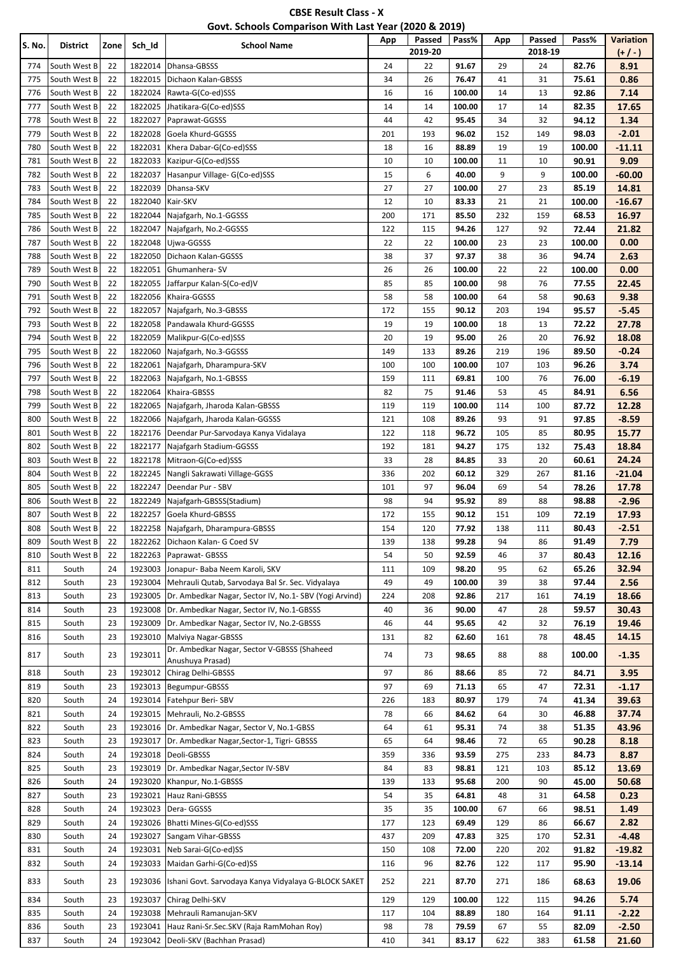| <b>CBSE Result Class - X</b>                          |  |
|-------------------------------------------------------|--|
| Govt. Schools Comparison With Last Year (2020 & 2019) |  |

| S. No.     | <b>District</b>              | Zone     | Sch_Id             | <b>School Name</b>                                                                 | App       | Passed<br>2019-20 | Pass%           | App        | Passed<br>2018-19 | Pass%          | Variation<br>$(+/-)$ |
|------------|------------------------------|----------|--------------------|------------------------------------------------------------------------------------|-----------|-------------------|-----------------|------------|-------------------|----------------|----------------------|
| 774        | South West B                 | 22       | 1822014            | Dhansa-GBSSS                                                                       | 24        | 22                | 91.67           | 29         | 24                | 82.76          | 8.91                 |
| 775        | South West B                 | 22       | 1822015            | Dichaon Kalan-GBSSS                                                                | 34        | 26                | 76.47           | 41         | 31                | 75.61          | 0.86                 |
| 776        | South West B                 | 22       | 1822024            | Rawta-G(Co-ed)SSS                                                                  | 16        | 16                | 100.00          | 14         | 13                | 92.86          | 7.14                 |
| 777        | South West B                 | 22       | 1822025            | Jhatikara-G(Co-ed)SSS                                                              | 14        | 14                | 100.00          | 17         | 14                | 82.35          | 17.65                |
| 778        | South West B                 | 22       | 1822027            | Paprawat-GGSSS                                                                     | 44        | 42                | 95.45           | 34         | 32                | 94.12          | 1.34                 |
| 779        | South West B                 | 22       | 1822028            | Goela Khurd-GGSSS                                                                  | 201       | 193               | 96.02           | 152        | 149               | 98.03          | $-2.01$              |
| 780        | South West B                 | 22       | 1822031            | Khera Dabar-G(Co-ed)SSS                                                            | 18        | 16                | 88.89           | 19         | 19                | 100.00         | $-11.11$             |
| 781        | South West B                 | 22       | 1822033            | Kazipur-G(Co-ed)SSS                                                                | 10        | 10                | 100.00          | 11         | 10                | 90.91          | 9.09                 |
| 782        | South West B                 | 22       | 1822037            | Hasanpur Village- G(Co-ed)SSS                                                      | 15        | 6                 | 40.00           | 9          | 9                 | 100.00         | $-60.00$             |
| 783        | South West B                 | 22       | 1822039            | Dhansa-SKV                                                                         | 27        | 27                | 100.00          | 27         | 23                | 85.19          | 14.81                |
| 784<br>785 | South West B<br>South West B | 22<br>22 | 1822040<br>1822044 | Kair-SKV<br>Najafgarh, No.1-GGSSS                                                  | 12<br>200 | 10<br>171         | 83.33<br>85.50  | 21<br>232  | 21<br>159         | 100.00         | -16.67<br>16.97      |
| 786        | South West B                 | 22       | 1822047            | Najafgarh, No.2-GGSSS                                                              | 122       | 115               | 94.26           | 127        | 92                | 68.53<br>72.44 | 21.82                |
| 787        | South West B                 | 22       | 1822048            | Ujwa-GGSSS                                                                         | 22        | 22                | 100.00          | 23         | 23                | 100.00         | 0.00                 |
| 788        | South West B                 | 22       | 1822050            | Dichaon Kalan-GGSSS                                                                | 38        | 37                | 97.37           | 38         | 36                | 94.74          | 2.63                 |
| 789        | South West B                 | 22       | 1822051            | Ghumanhera-SV                                                                      | 26        | 26                | 100.00          | 22         | 22                | 100.00         | 0.00                 |
| 790        | South West B                 | 22       | 1822055            | Jaffarpur Kalan-S(Co-ed)V                                                          | 85        | 85                | 100.00          | 98         | 76                | 77.55          | 22.45                |
| 791        | South West B                 | 22       | 1822056            | Khaira-GGSSS                                                                       | 58        | 58                | 100.00          | 64         | 58                | 90.63          | 9.38                 |
| 792        | South West B                 | 22       | 1822057            | Najafgarh, No.3-GBSSS                                                              | 172       | 155               | 90.12           | 203        | 194               | 95.57          | $-5.45$              |
| 793        | South West B                 | 22       | 1822058            | Pandawala Khurd-GGSSS                                                              | 19        | 19                | 100.00          | 18         | 13                | 72.22          | 27.78                |
| 794        | South West B                 | 22       | 1822059            | Malikpur-G(Co-ed)SSS                                                               | 20        | 19                | 95.00           | 26         | 20                | 76.92          | 18.08                |
| 795        | South West B                 | 22       | 1822060            | Najafgarh, No.3-GGSSS                                                              | 149       | 133               | 89.26           | 219        | 196               | 89.50          | $-0.24$              |
| 796        | South West B                 | 22       | 1822061            | Najafgarh, Dharampura-SKV                                                          | 100       | 100               | 100.00          | 107        | 103               | 96.26          | 3.74                 |
| 797        | South West B                 | 22       | 1822063            | Najafgarh, No.1-GBSSS                                                              | 159       | 111               | 69.81           | 100        | 76                | 76.00          | $-6.19$              |
| 798        | South West B                 | 22       | 1822064            | Khaira-GBSSS                                                                       | 82        | 75                | 91.46           | 53         | 45                | 84.91          | 6.56                 |
| 799        | South West B                 | 22       | 1822065            | Najafgarh, Jharoda Kalan-GBSSS                                                     | 119       | 119               | 100.00          | 114        | 100               | 87.72          | 12.28                |
| 800        | South West B                 | 22       | 1822066            | Najafgarh, Jharoda Kalan-GGSSS                                                     | 121       | 108               | 89.26           | 93         | 91                | 97.85          | $-8.59$              |
| 801        | South West B                 | 22       | 1822176            | Deendar Pur-Sarvodaya Kanya Vidalaya                                               | 122       | 118               | 96.72           | 105        | 85                | 80.95          | 15.77                |
| 802        | South West B                 | 22       | 1822177            | Najafgarh Stadium-GGSSS                                                            | 192       | 181               | 94.27           | 175        | 132               | 75.43          | 18.84                |
| 803        | South West B                 | 22       | 1822178            | Mitraon-G(Co-ed)SSS                                                                | 33        | 28                | 84.85           | 33         | 20                | 60.61          | 24.24                |
| 804        | South West B                 | 22       | 1822245            | Nangli Sakrawati Village-GGSS                                                      | 336       | 202               | 60.12           | 329        | 267               | 81.16          | $-21.04$             |
| 805        | South West B                 | 22       | 1822247            | Deendar Pur - SBV                                                                  | 101       | 97                | 96.04           | 69         | 54                | 78.26          | 17.78                |
| 806        | South West B                 | 22       | 1822249            | Najafgarh-GBSSS(Stadium)                                                           | 98        | 94                | 95.92           | 89         | 88                | 98.88          | $-2.96$              |
| 807        | South West B                 | 22       | 1822257            | Goela Khurd-GBSSS                                                                  | 172       | 155               | 90.12           | 151        | 109               | 72.19          | 17.93                |
| 808        | South West B                 | 22       | 1822258            | Najafgarh, Dharampura-GBSSS                                                        | 154       | 120               | 77.92           | 138        | 111               | 80.43          | $-2.51$              |
| 809        | South West B                 | 22       | 1822262            | Dichaon Kalan- G Coed SV                                                           | 139       | 138               | 99.28           | 94         | 86                | 91.49          | 7.79                 |
| 810        | South West B                 | 22       | 1822263            | Paprawat- GBSSS                                                                    | 54        | 50                | 92.59           | 46         | 37                | 80.43          | 12.16                |
| 811<br>812 | South<br>South               | 24<br>23 | 1923003<br>1923004 | Jonapur- Baba Neem Karoli, SKV<br>Mehrauli Qutab, Sarvodaya Bal Sr. Sec. Vidyalaya | 111<br>49 | 109<br>49         | 98.20<br>100.00 | 95<br>39   | 62<br>38          | 65.26<br>97.44 | 32.94                |
| 813        | South                        | 23       | 1923005            | Dr. Ambedkar Nagar, Sector IV, No.1- SBV (Yogi Arvind)                             | 224       | 208               | 92.86           | 217        | 161               | 74.19          | 2.56<br>18.66        |
| 814        | South                        | 23       | 1923008            | Dr. Ambedkar Nagar, Sector IV, No.1-GBSSS                                          | 40        | 36                | 90.00           | 47         | 28                | 59.57          | 30.43                |
| 815        | South                        | 23       | 1923009            | Dr. Ambedkar Nagar, Sector IV, No.2-GBSSS                                          | 46        | 44                | 95.65           | 42         | 32                | 76.19          | 19.46                |
| 816        | South                        | 23       | 1923010            | Malviya Nagar-GBSSS                                                                | 131       | 82                | 62.60           | 161        | 78                | 48.45          | 14.15                |
|            |                              |          |                    | Dr. Ambedkar Nagar, Sector V-GBSSS (Shaheed                                        |           |                   |                 |            |                   |                |                      |
| 817        | South                        | 23       | 1923011            | Anushuya Prasad)                                                                   | 74        | 73                | 98.65           | 88         | 88                | 100.00         | $-1.35$              |
| 818        | South                        | 23       | 1923012            | Chirag Delhi-GBSSS                                                                 | 97        | 86                | 88.66           | 85         | 72                | 84.71          | 3.95                 |
| 819        | South                        | 23       | 1923013            | Begumpur-GBSSS                                                                     | 97        | 69                | 71.13           | 65         | 47                | 72.31          | $-1.17$              |
| 820        | South                        | 24       | 1923014            | Fatehpur Beri-SBV                                                                  | 226       | 183               | 80.97           | 179        | 74                | 41.34          | 39.63                |
| 821        | South                        | 24       | 1923015            | Mehrauli, No.2-GBSSS                                                               | 78        | 66                | 84.62           | 64         | 30                | 46.88          | 37.74                |
| 822        | South                        | 23       | 1923016            | Dr. Ambedkar Nagar, Sector V, No.1-GBSS                                            | 64        | 61                | 95.31           | 74         | 38                | 51.35          | 43.96                |
| 823        | South                        | 23       | 1923017            | Dr. Ambedkar Nagar, Sector-1, Tigri- GBSSS                                         | 65        | 64                | 98.46           | 72         | 65                | 90.28          | 8.18                 |
| 824<br>825 | South                        | 24<br>23 | 1923018<br>1923019 | Deoli-GBSSS                                                                        | 359<br>84 | 336<br>83         | 93.59           | 275        | 233<br>103        | 84.73<br>85.12 | 8.87<br>13.69        |
| 826        | South<br>South               | 24       | 1923020            | Dr. Ambedkar Nagar, Sector IV-SBV<br>Khanpur, No.1-GBSSS                           | 139       | 133               | 98.81<br>95.68  | 121<br>200 | 90                | 45.00          | 50.68                |
| 827        | South                        | 23       | 1923021            | Hauz Rani-GBSSS                                                                    | 54        | 35                | 64.81           | 48         | 31                | 64.58          | 0.23                 |
| 828        | South                        | 24       | 1923023            | Dera-GGSSS                                                                         | 35        | 35                | 100.00          | 67         | 66                | 98.51          | 1.49                 |
| 829        | South                        | 24       | 1923026            | Bhatti Mines-G(Co-ed)SSS                                                           | 177       | 123               | 69.49           | 129        | 86                | 66.67          | 2.82                 |
| 830        | South                        | 24       | 1923027            | Sangam Vihar-GBSSS                                                                 | 437       | 209               | 47.83           | 325        | 170               | 52.31          | $-4.48$              |
| 831        | South                        | 24       | 1923031            | Neb Sarai-G(Co-ed)SS                                                               | 150       | 108               | 72.00           | 220        | 202               | 91.82          | $-19.82$             |
| 832        | South                        | 24       | 1923033            | Maidan Garhi-G(Co-ed)SS                                                            | 116       | 96                | 82.76           | 122        | 117               | 95.90          | $-13.14$             |
| 833        | South                        | 23       | 1923036            | Ishani Govt. Sarvodaya Kanya Vidyalaya G-BLOCK SAKET                               | 252       | 221               | 87.70           | 271        | 186               | 68.63          | 19.06                |
|            |                              |          |                    |                                                                                    |           |                   |                 |            |                   |                |                      |
| 834        | South                        | 23       | 1923037            | Chirag Delhi-SKV                                                                   | 129       | 129               | 100.00          | 122        | 115               | 94.26          | 5.74                 |
| 835        | South                        | 24       | 1923038            | Mehrauli Ramanujan-SKV                                                             | 117       | 104               | 88.89           | 180        | 164               | 91.11          | $-2.22$              |
| 836<br>837 | South<br>South               | 23<br>24 | 1923041            | Hauz Rani-Sr.Sec.SKV (Raja RamMohan Roy)<br>1923042   Deoli-SKV (Bachhan Prasad)   | 98<br>410 | 78<br>341         | 79.59<br>83.17  | 67<br>622  | 55<br>383         | 82.09<br>61.58 | $-2.50$<br>21.60     |
|            |                              |          |                    |                                                                                    |           |                   |                 |            |                   |                |                      |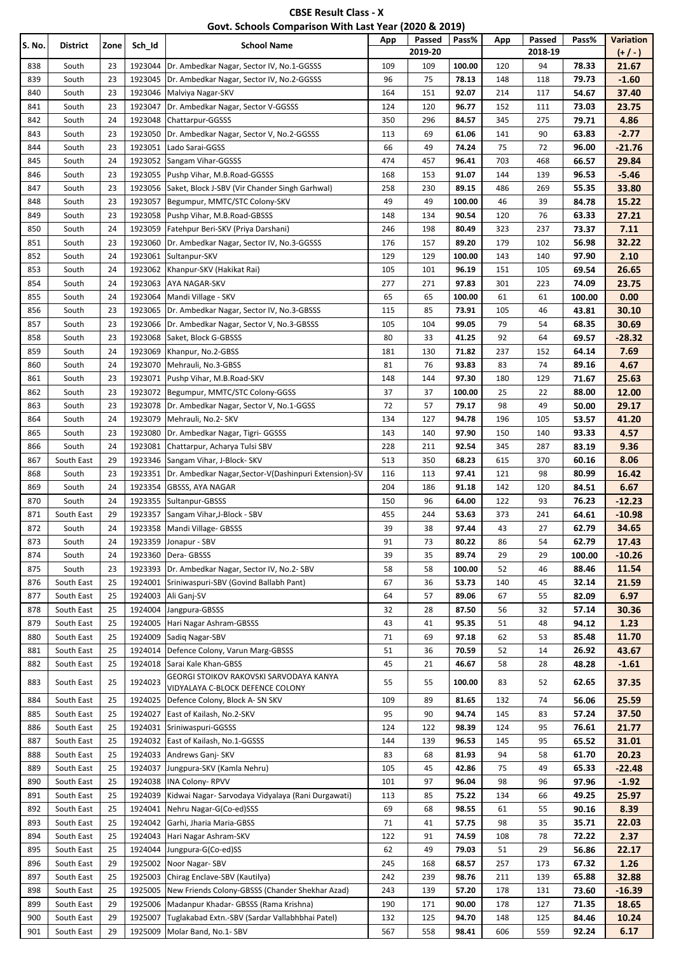| <b>CBSE Result Class - X</b>                          |
|-------------------------------------------------------|
| Govt. Schools Comparison With Last Year (2020 & 2019) |

| S. No.     | District       | Zone     | Sch_Id             | <b>School Name</b>                                                 | App       | Passed<br>2019-20 | Pass%          | App       | Passed<br>2018-19 | Pass%          | <b>Variation</b><br>$(+/-)$ |
|------------|----------------|----------|--------------------|--------------------------------------------------------------------|-----------|-------------------|----------------|-----------|-------------------|----------------|-----------------------------|
| 838        | South          | 23       | 1923044            | Dr. Ambedkar Nagar, Sector IV, No.1-GGSSS                          | 109       | 109               | 100.00         | 120       | 94                | 78.33          | 21.67                       |
| 839        | South          | 23       | 1923045            | Dr. Ambedkar Nagar, Sector IV, No.2-GGSSS                          | 96        | 75                | 78.13          | 148       | 118               | 79.73          | $-1.60$                     |
| 840        | South          | 23       | 1923046            | Malviya Nagar-SKV                                                  | 164       | 151               | 92.07          | 214       | 117               | 54.67          | 37.40                       |
| 841        | South          | 23       | 1923047            | Dr. Ambedkar Nagar, Sector V-GGSSS                                 | 124       | 120               | 96.77          | 152       | 111               | 73.03          | 23.75                       |
| 842        | South          | 24       | 1923048            | Chattarpur-GGSSS                                                   | 350       | 296               | 84.57          | 345       | 275               | 79.71          | 4.86                        |
| 843        | South          | 23       | 1923050            | Dr. Ambedkar Nagar, Sector V, No.2-GGSSS                           | 113       | 69                | 61.06          | 141       | 90                | 63.83          | $-2.77$                     |
| 844        | South          | 23       | 1923051            | Lado Sarai-GGSS                                                    | 66        | 49                | 74.24          | 75        | 72                | 96.00          | $-21.76$                    |
| 845        | South          | 24       | 1923052            | Sangam Vihar-GGSSS                                                 | 474       | 457               | 96.41          | 703       | 468               | 66.57          | 29.84                       |
| 846        | South          | 23       | 1923055            | Pushp Vihar, M.B.Road-GGSSS                                        | 168       | 153               | 91.07          | 144       | 139               | 96.53          | $-5.46$                     |
| 847        | South          | 23       | 1923056            | Saket, Block J-SBV (Vir Chander Singh Garhwal)                     | 258       | 230               | 89.15          | 486       | 269               | 55.35          | 33.80                       |
| 848        | South          | 23       | 1923057            | Begumpur, MMTC/STC Colony-SKV                                      | 49        | 49                | 100.00         | 46        | 39                | 84.78          | 15.22                       |
| 849        | South          | 23       | 1923058            | Pushp Vihar, M.B.Road-GBSSS                                        | 148       | 134               | 90.54          | 120       | 76                | 63.33          | 27.21                       |
| 850        | South          | 24       | 1923059            | Fatehpur Beri-SKV (Priya Darshani)                                 | 246       | 198               | 80.49          | 323       | 237               | 73.37          | 7.11                        |
| 851        | South          | 23       | 1923060            | Dr. Ambedkar Nagar, Sector IV, No.3-GGSSS                          | 176       | 157               | 89.20          | 179       | 102               | 56.98          | 32.22                       |
| 852        | South          | 24       | 1923061            | Sultanpur-SKV                                                      | 129       | 129               | 100.00         | 143       | 140               | 97.90          | 2.10                        |
| 853        | South          | 24       | 1923062            | Khanpur-SKV (Hakikat Rai)                                          | 105       | 101               | 96.19          | 151       | 105               | 69.54          | 26.65                       |
| 854        | South          | 24       | 1923063            | AYA NAGAR-SKV                                                      | 277       | 271               | 97.83          | 301       | 223               | 74.09          | 23.75                       |
| 855        | South          | 24       | 1923064            | Mandi Village - SKV                                                | 65        | 65                | 100.00         | 61        | 61                | 100.00         | 0.00                        |
| 856        | South          | 23       | 1923065            | Dr. Ambedkar Nagar, Sector IV, No.3-GBSSS                          | 115       | 85                | 73.91          | 105       | 46                | 43.81          | 30.10                       |
| 857        | South          | 23<br>23 | 1923066            | Dr. Ambedkar Nagar, Sector V, No.3-GBSSS                           | 105<br>80 | 104               | 99.05          | 79        | 54                | 68.35          | 30.69<br>$-28.32$           |
| 858        | South          | 24       | 1923068<br>1923069 | Saket, Block G-GBSSS                                               |           | 33                | 41.25          | 92        | 64                | 69.57          | 7.69                        |
| 859<br>860 | South          | 24       | 1923070            | Khanpur, No.2-GBSS                                                 | 181<br>81 | 130<br>76         | 71.82<br>93.83 | 237<br>83 | 152<br>74         | 64.14<br>89.16 | 4.67                        |
| 861        | South<br>South | 23       | 1923071            | Mehrauli, No.3-GBSS<br>Pushp Vihar, M.B.Road-SKV                   | 148       | 144               | 97.30          | 180       | 129               | 71.67          | 25.63                       |
| 862        | South          | 23       | 1923072            | Begumpur, MMTC/STC Colony-GGSS                                     | 37        | 37                | 100.00         | 25        | 22                | 88.00          | 12.00                       |
| 863        | South          | 23       | 1923078            | Dr. Ambedkar Nagar, Sector V, No.1-GGSS                            | 72        | 57                | 79.17          | 98        | 49                | 50.00          | 29.17                       |
| 864        | South          | 24       | 1923079            | Mehrauli, No.2- SKV                                                | 134       | 127               | 94.78          | 196       | 105               | 53.57          | 41.20                       |
| 865        | South          | 23       | 1923080            | Dr. Ambedkar Nagar, Tigri- GGSSS                                   | 143       | 140               | 97.90          | 150       | 140               | 93.33          | 4.57                        |
| 866        | South          | 24       | 1923081            | Chattarpur, Acharya Tulsi SBV                                      | 228       | 211               | 92.54          | 345       | 287               | 83.19          | 9.36                        |
| 867        | South East     | 29       | 1923346            | Sangam Vihar, J-Block-SKV                                          | 513       | 350               | 68.23          | 615       | 370               | 60.16          | 8.06                        |
| 868        | South          | 23       | 1923351            | Dr. Ambedkar Nagar, Sector-V(Dashinpuri Extension)-SV              | 116       | 113               | 97.41          | 121       | 98                | 80.99          | 16.42                       |
| 869        | South          | 24       | 1923354            | GBSSS, AYA NAGAR                                                   | 204       | 186               | 91.18          | 142       | 120               | 84.51          | 6.67                        |
| 870        | South          | 24       | 1923355            | Sultanpur-GBSSS                                                    | 150       | 96                | 64.00          | 122       | 93                | 76.23          | $-12.23$                    |
| 871        | South East     | 29       | 1923357            | Sangam Vihar, J-Block - SBV                                        | 455       | 244               | 53.63          | 373       | 241               | 64.61          | $-10.98$                    |
| 872        | South          | 24       | 1923358            | Mandi Village- GBSSS                                               | 39        | 38                | 97.44          | 43        | 27                | 62.79          | 34.65                       |
| 873        | South          | 24       | 1923359            | Jonapur - SBV                                                      | 91        | 73                | 80.22          | 86        | 54                | 62.79          | 17.43                       |
| 874        | South          | 24       | 1923360            | Dera-GBSSS                                                         | 39        | 35                | 89.74          | 29        | 29                | 100.00         | $-10.26$                    |
| 875        | South          | 23       | 1923393            | Dr. Ambedkar Nagar, Sector IV, No.2- SBV                           | 58        | 58                | 100.00         | 52        | 46                | 88.46          | 11.54                       |
| 876        | South East     | 25       | 1924001            | Sriniwaspuri-SBV (Govind Ballabh Pant)                             | 67        | 36                | 53.73          | 140       | 45                | 32.14          | 21.59                       |
| 877        | South East     | 25       | 1924003            | Ali Ganj-SV                                                        | 64        | 57                | 89.06          | 67        | 55                | 82.09          | 6.97                        |
| 878        | South East     | 25       | 1924004            | Jangpura-GBSSS                                                     | 32        | 28                | 87.50          | 56        | 32                | 57.14          | 30.36                       |
| 879        | South East     | 25       | 1924005            | Hari Nagar Ashram-GBSSS                                            | 43        | 41                | 95.35          | 51        | 48                | 94.12          | 1.23                        |
| 880        | South East     | 25       | 1924009            | Sadiq Nagar-SBV                                                    | 71        | 69                | 97.18          | 62        | 53                | 85.48          | 11.70                       |
| 881        | South East     | 25       | 1924014            | Defence Colony, Varun Marg-GBSSS                                   | 51        | 36                | 70.59          | 52        | 14                | 26.92          | 43.67                       |
| 882        | South East     | 25       | 1924018            | Sarai Kale Khan-GBSS                                               | 45        | 21                | 46.67          | 58        | 28                | 48.28          | $-1.61$                     |
| 883        | South East     | 25       | 1924023            | GEORGI STOIKOV RAKOVSKI SARVODAYA KANYA                            | 55        | 55                | 100.00         | 83        | 52                | 62.65          | 37.35                       |
| 884        | South East     | 25       | 1924025            | VIDYALAYA C-BLOCK DEFENCE COLONY<br>Defence Colony, Block A-SN SKV | 109       | 89                | 81.65          | 132       | 74                | 56.06          | 25.59                       |
| 885        | South East     | 25       | 1924027            | East of Kailash, No.2-SKV                                          | 95        | 90                | 94.74          | 145       | 83                | 57.24          | 37.50                       |
| 886        | South East     | 25       | 1924031            | Sriniwaspuri-GGSSS                                                 | 124       | 122               | 98.39          | 124       | 95                | 76.61          | 21.77                       |
| 887        | South East     | 25       | 1924032            | East of Kailash, No.1-GGSSS                                        | 144       | 139               | 96.53          | 145       | 95                | 65.52          | 31.01                       |
| 888        | South East     | 25       | 1924033            | Andrews Ganj- SKV                                                  | 83        | 68                | 81.93          | 94        | 58                | 61.70          | 20.23                       |
| 889        | South East     | 25       | 1924037            | Jungpura-SKV (Kamla Nehru)                                         | 105       | 45                | 42.86          | 75        | 49                | 65.33          | $-22.48$                    |
| 890        | South East     | 25       | 1924038            | INA Colony-RPVV                                                    | 101       | 97                | 96.04          | 98        | 96                | 97.96          | $-1.92$                     |
| 891        | South East     | 25       | 1924039            | Kidwai Nagar- Sarvodaya Vidyalaya (Rani Durgawati)                 | 113       | 85                | 75.22          | 134       | 66                | 49.25          | 25.97                       |
| 892        | South East     | 25       | 1924041            | Nehru Nagar-G(Co-ed)SSS                                            | 69        | 68                | 98.55          | 61        | 55                | 90.16          | 8.39                        |
| 893        | South East     | 25       | 1924042            | Garhi, Jharia Maria-GBSS                                           | 71        | 41                | 57.75          | 98        | 35                | 35.71          | 22.03                       |
| 894        | South East     | 25       | 1924043            | Hari Nagar Ashram-SKV                                              | 122       | 91                | 74.59          | 108       | 78                | 72.22          | 2.37                        |
| 895        | South East     | 25       | 1924044            | Jungpura-G(Co-ed)SS                                                | 62        | 49                | 79.03          | 51        | 29                | 56.86          | 22.17                       |
| 896        | South East     | 29       | 1925002            | Noor Nagar-SBV                                                     | 245       | 168               | 68.57          | 257       | 173               | 67.32          | 1.26                        |
| 897        | South East     | 25       | 1925003            | Chirag Enclave-SBV (Kautilya)                                      | 242       | 239               | 98.76          | 211       | 139               | 65.88          | 32.88                       |
| 898        | South East     | 25       | 1925005            | New Friends Colony-GBSSS (Chander Shekhar Azad)                    | 243       | 139               | 57.20          | 178       | 131               | 73.60          | $-16.39$                    |
| 899        | South East     | 29       | 1925006            | Madanpur Khadar- GBSSS (Rama Krishna)                              | 190       | 171               | 90.00          | 178       | 127               | 71.35          | 18.65                       |
| 900        | South East     | 29       | 1925007            | Tuglakabad Extn.-SBV (Sardar Vallabhbhai Patel)                    | 132       | 125               | 94.70          | 148       | 125               | 84.46          | 10.24                       |
| 901        | South East     | 29       | 1925009            | Molar Band, No.1- SBV                                              | 567       | 558               | 98.41          | 606       | 559               | 92.24          | 6.17                        |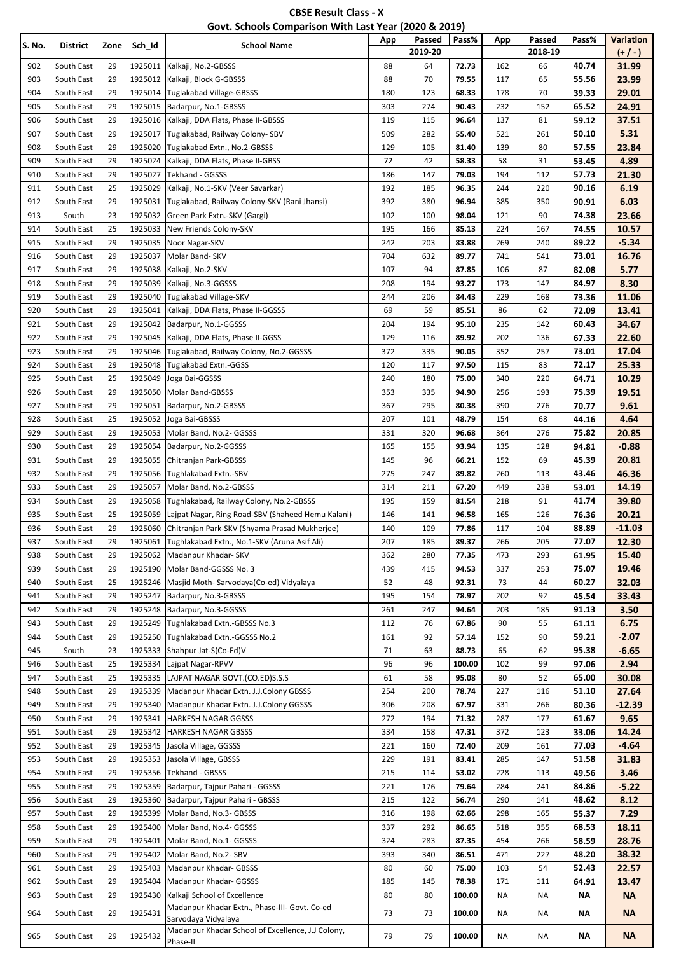| <b>CBSE Result Class - X</b>                          |  |
|-------------------------------------------------------|--|
| Govt. Schools Comparison With Last Year (2020 & 2019) |  |

| S. No.     | <b>District</b>          | Zone     | Sch_Id             | <b>School Name</b>                                                       | App        | Passed<br>2019-20 | Pass%          | App        | Passed<br>2018-19 | Pass%          | <b>Variation</b><br>$(+/-)$ |
|------------|--------------------------|----------|--------------------|--------------------------------------------------------------------------|------------|-------------------|----------------|------------|-------------------|----------------|-----------------------------|
| 902        | South East               | 29       | 1925011            | Kalkaji, No.2-GBSSS                                                      | 88         | 64                | 72.73          | 162        | 66                | 40.74          | 31.99                       |
| 903        | South East               | 29       | 1925012            | Kalkaji, Block G-GBSSS                                                   | 88         | 70                | 79.55          | 117        | 65                | 55.56          | 23.99                       |
| 904        | South East               | 29       | 1925014            | Tuglakabad Village-GBSSS                                                 | 180        | 123               | 68.33          | 178        | 70                | 39.33          | 29.01                       |
| 905        | South East               | 29       | 1925015            | Badarpur, No.1-GBSSS                                                     | 303        | 274               | 90.43          | 232        | 152               | 65.52          | 24.91                       |
| 906        | South East               | 29       | 1925016            | Kalkaji, DDA Flats, Phase II-GBSSS                                       | 119        | 115               | 96.64          | 137        | 81                | 59.12          | 37.51                       |
| 907        | South East               | 29       | 1925017            | Tuglakabad, Railway Colony- SBV                                          | 509        | 282               | 55.40          | 521        | 261               | 50.10          | 5.31                        |
| 908        | South East               | 29       | 1925020            | Tuglakabad Extn., No.2-GBSSS                                             | 129        | 105               | 81.40          | 139        | 80                | 57.55          | 23.84                       |
| 909        | South East               | 29       | 1925024            | Kalkaji, DDA Flats, Phase II-GBSS                                        | 72         | 42                | 58.33          | 58         | 31                | 53.45          | 4.89                        |
| 910        | South East               | 29       | 1925027            | Tekhand - GGSSS                                                          | 186        | 147               | 79.03          | 194        | 112               | 57.73          | 21.30                       |
| 911        | South East               | 25       | 1925029            | Kalkaji, No.1-SKV (Veer Savarkar)                                        | 192        | 185               | 96.35          | 244        | 220               | 90.16          | 6.19                        |
| 912        | South East               | 29       | 1925031            | Tuglakabad, Railway Colony-SKV (Rani Jhansi)                             | 392        | 380               | 96.94          | 385        | 350               | 90.91          | 6.03                        |
| 913        | South                    | 23       | 1925032            | Green Park Extn.-SKV (Gargi)                                             | 102        | 100               | 98.04          | 121        | 90                | 74.38          | 23.66                       |
| 914        | South East               | 25       | 1925033            | New Friends Colony-SKV                                                   | 195        | 166               | 85.13          | 224        | 167               | 74.55          | 10.57                       |
| 915        | South East               | 29       | 1925035            | Noor Nagar-SKV                                                           | 242        | 203               | 83.88          | 269        | 240               | 89.22          | $-5.34$                     |
| 916        | South East               | 29       | 1925037            | Molar Band- SKV                                                          | 704        | 632               | 89.77          | 741        | 541               | 73.01          | 16.76                       |
| 917        | South East               | 29       | 1925038            | Kalkaji, No.2-SKV                                                        | 107        | 94                | 87.85          | 106        | 87                | 82.08          | 5.77                        |
| 918        | South East               | 29       | 1925039            | Kalkaji, No.3-GGSSS                                                      | 208        | 194               | 93.27          | 173        | 147               | 84.97          | 8.30                        |
| 919        | South East               | 29       | 1925040            | Tuglakabad Village-SKV                                                   | 244        | 206               | 84.43          | 229        | 168               | 73.36          | 11.06                       |
| 920        | South East               | 29       | 1925041            | Kalkaji, DDA Flats, Phase II-GGSSS                                       | 69         | 59                | 85.51          | 86         | 62                | 72.09          | 13.41                       |
| 921        | South East               | 29       | 1925042            | Badarpur, No.1-GGSSS                                                     | 204        | 194               | 95.10          | 235        | 142               | 60.43          | 34.67                       |
| 922        | South East               | 29       | 1925045            | Kalkaji, DDA Flats, Phase II-GGSS                                        | 129        | 116               | 89.92          | 202        | 136               | 67.33          | 22.60                       |
| 923        | South East               | 29       | 1925046            | Tuglakabad, Railway Colony, No.2-GGSSS                                   | 372        | 335               | 90.05          | 352        | 257               | 73.01          | 17.04                       |
| 924        | South East               | 29       | 1925048            | Tuglakabad Extn.-GGSS                                                    | 120        | 117               | 97.50          | 115        | 83                | 72.17          | 25.33                       |
| 925        | South East               | 25       | 1925049            | Joga Bai-GGSSS                                                           | 240        | 180               | 75.00          | 340        | 220               | 64.71          | 10.29                       |
| 926        | South East               | 29       | 1925050            | Molar Band-GBSSS                                                         | 353        | 335               | 94.90          | 256        | 193               | 75.39          | 19.51                       |
| 927        | South East               | 29       | 1925051            | Badarpur, No.2-GBSSS                                                     | 367        | 295               | 80.38          | 390        | 276               | 70.77          | 9.61                        |
| 928        | South East               | 25       | 1925052            | Joga Bai-GBSSS                                                           | 207        | 101               | 48.79          | 154        | 68                | 44.16          | 4.64                        |
| 929        | South East               | 29       | 1925053            | Molar Band, No.2- GGSSS                                                  | 331        | 320               | 96.68          | 364        | 276               | 75.82          | 20.85                       |
| 930        | South East               | 29<br>29 | 1925054            | Badarpur, No.2-GGSSS                                                     | 165        | 155               | 93.94          | 135        | 128               | 94.81          | $-0.88$                     |
| 931<br>932 | South East<br>South East | 29       | 1925055            | Chitranjan Park-GBSSS                                                    | 145<br>275 | 96<br>247         | 66.21<br>89.82 | 152<br>260 | 69<br>113         | 45.39          | 20.81                       |
| 933        | South East               | 29       | 1925056<br>1925057 | Tughlakabad Extn.-SBV<br>Molar Band, No.2-GBSSS                          | 314        | 211               | 67.20          | 449        | 238               | 43.46<br>53.01 | 46.36<br>14.19              |
| 934        | South East               | 29       | 1925058            | Tughlakabad, Railway Colony, No.2-GBSSS                                  | 195        | 159               | 81.54          | 218        | 91                | 41.74          | 39.80                       |
| 935        | South East               | 25       | 1925059            | Lajpat Nagar, Ring Road-SBV (Shaheed Hemu Kalani)                        | 146        | 141               | 96.58          | 165        | 126               | 76.36          | 20.21                       |
| 936        | South East               | 29       | 1925060            | Chitranjan Park-SKV (Shyama Prasad Mukherjee)                            | 140        | 109               | 77.86          | 117        | 104               | 88.89          | $-11.03$                    |
| 937        | South East               | 29       |                    | 1925061 Tughlakabad Extn., No.1-SKV (Aruna Asif Ali)                     | 207        | 185               | 89.37          | 266        | 205               | 77.07          | 12.30                       |
| 938        | South East               | 29       | 1925062            | Madanpur Khadar- SKV                                                     | 362        | 280               | 77.35          | 473        | 293               | 61.95          | 15.40                       |
| 939        | South East               | 29       | 1925190            | Molar Band-GGSSS No. 3                                                   | 439        | 415               | 94.53          | 337        | 253               | 75.07          | 19.46                       |
| 940        | South East               | 25       | 1925246            | Masjid Moth-Sarvodaya(Co-ed) Vidyalaya                                   | 52         | 48                | 92.31          | 73         | 44                | 60.27          | 32.03                       |
| 941        | South East               | 29       | 1925247            | Badarpur, No.3-GBSSS                                                     | 195        | 154               | 78.97          | 202        | 92                | 45.54          | 33.43                       |
| 942        | South East               | 29       | 1925248            | Badarpur, No.3-GGSSS                                                     | 261        | 247               | 94.64          | 203        | 185               | 91.13          | 3.50                        |
| 943        | South East               | 29       | 1925249            | Tughlakabad Extn.-GBSSS No.3                                             | 112        | 76                | 67.86          | 90         | 55                | 61.11          | 6.75                        |
| 944        | South East               | 29       | 1925250            | Tughlakabad Extn.-GGSSS No.2                                             | 161        | 92                | 57.14          | 152        | 90                | 59.21          | $-2.07$                     |
| 945        | South                    | 23       | 1925333            | Shahpur Jat-S(Co-Ed)V                                                    | 71         | 63                | 88.73          | 65         | 62                | 95.38          | -6.65                       |
| 946        | South East               | 25       | 1925334            | Lajpat Nagar-RPVV                                                        | 96         | 96                | 100.00         | 102        | 99                | 97.06          | 2.94                        |
| 947        | South East               | 25       | 1925335            | LAJPAT NAGAR GOVT.(CO.ED)S.S.S                                           | 61         | 58                | 95.08          | 80         | 52                | 65.00          | 30.08                       |
| 948        | South East               | 29       | 1925339            | Madanpur Khadar Extn. J.J.Colony GBSSS                                   | 254        | 200               | 78.74          | 227        | 116               | 51.10          | 27.64                       |
| 949        | South East               | 29       | 1925340            | Madanpur Khadar Extn. J.J.Colony GGSSS                                   | 306        | 208               | 67.97          | 331        | 266               | 80.36          | -12.39                      |
| 950        | South East               | 29       | 1925341            | <b>HARKESH NAGAR GGSSS</b>                                               | 272        | 194               | 71.32          | 287        | 177               | 61.67          | 9.65                        |
| 951        | South East               | 29       | 1925342            | <b>HARKESH NAGAR GBSSS</b>                                               | 334        | 158               | 47.31          | 372        | 123               | 33.06          | 14.24                       |
| 952        | South East               | 29       | 1925345            | Jasola Village, GGSSS                                                    | 221        | 160               | 72.40          | 209        | 161               | 77.03          | $-4.64$                     |
| 953        | South East               | 29       | 1925353            | Jasola Village, GBSSS                                                    | 229        | 191               | 83.41          | 285        | 147               | 51.58          | 31.83                       |
| 954        | South East               | 29       | 1925356            | Tekhand - GBSSS                                                          | 215        | 114               | 53.02          | 228        | 113               | 49.56          | 3.46                        |
| 955        | South East               | 29       | 1925359            | Badarpur, Tajpur Pahari - GGSSS                                          | 221        | 176               | 79.64          | 284        | 241               | 84.86          | $-5.22$                     |
| 956        | South East               | 29       | 1925360            | Badarpur, Tajpur Pahari - GBSSS                                          | 215        | 122               | 56.74          | 290        | 141               | 48.62          | 8.12                        |
| 957        | South East               | 29       | 1925399            | Molar Band, No.3- GBSSS                                                  | 316        | 198               | 62.66          | 298        | 165               | 55.37          | 7.29                        |
| 958        | South East               | 29       | 1925400            | Molar Band, No.4- GGSSS                                                  | 337        | 292               | 86.65          | 518        | 355               | 68.53          | 18.11                       |
| 959        | South East               | 29       | 1925401            | Molar Band, No.1- GGSSS                                                  | 324        | 283               | 87.35          | 454        | 266               | 58.59          | 28.76                       |
| 960        | South East               | 29       | 1925402            | Molar Band, No.2- SBV                                                    | 393        | 340               | 86.51          | 471        | 227               | 48.20          | 38.32                       |
| 961        | South East               | 29       | 1925403            | Madanpur Khadar- GBSSS                                                   | 80         | 60                | 75.00          | 103        | 54                | 52.43          | 22.57                       |
| 962        | South East               | 29       | 1925404            | Madanpur Khadar- GGSSS                                                   | 185        | 145               | 78.38          | 171        | 111               | 64.91          | 13.47                       |
| 963        | South East               | 29       | 1925430            | Kalkaji School of Excellence                                             | 80         | 80                | 100.00         | ΝA         | ΝA                | ΝA             | <b>NA</b>                   |
| 964        | South East               | 29       | 1925431            | Madanpur Khadar Extn., Phase-III- Govt. Co-ed                            | 73         | 73                | 100.00         | ΝA         | ΝA                | ΝA             | <b>NA</b>                   |
|            |                          |          |                    | Sarvodaya Vidyalaya<br>Madanpur Khadar School of Excellence, J.J Colony, |            |                   |                |            |                   |                |                             |
| 965        | South East               | 29       | 1925432            | Phase-II                                                                 | 79         | 79                | 100.00         | ΝA         | ΝA                | ΝA             | <b>NA</b>                   |